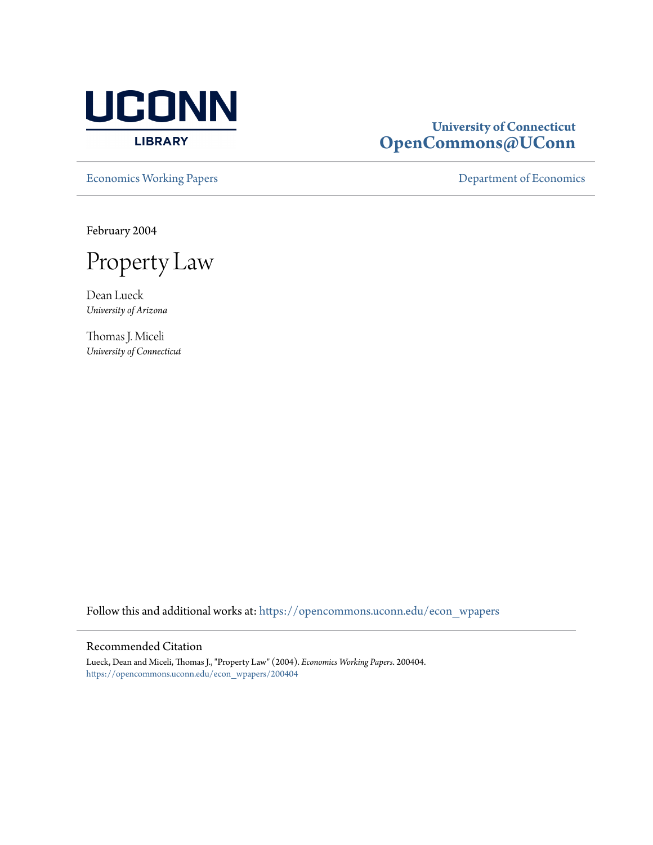

## **University of Connecticut [OpenCommons@UConn](https://opencommons.uconn.edu?utm_source=opencommons.uconn.edu%2Fecon_wpapers%2F200404&utm_medium=PDF&utm_campaign=PDFCoverPages)**

[Economics Working Papers](https://opencommons.uconn.edu/econ_wpapers?utm_source=opencommons.uconn.edu%2Fecon_wpapers%2F200404&utm_medium=PDF&utm_campaign=PDFCoverPages) **[Department of Economics](https://opencommons.uconn.edu/econ?utm_source=opencommons.uconn.edu%2Fecon_wpapers%2F200404&utm_medium=PDF&utm_campaign=PDFCoverPages)** 

February 2004

Property Law

Dean Lueck *University of Arizona*

Thomas J. Miceli *University of Connecticut*

Follow this and additional works at: [https://opencommons.uconn.edu/econ\\_wpapers](https://opencommons.uconn.edu/econ_wpapers?utm_source=opencommons.uconn.edu%2Fecon_wpapers%2F200404&utm_medium=PDF&utm_campaign=PDFCoverPages)

#### Recommended Citation

Lueck, Dean and Miceli, Thomas J., "Property Law" (2004). *Economics Working Papers*. 200404. [https://opencommons.uconn.edu/econ\\_wpapers/200404](https://opencommons.uconn.edu/econ_wpapers/200404?utm_source=opencommons.uconn.edu%2Fecon_wpapers%2F200404&utm_medium=PDF&utm_campaign=PDFCoverPages)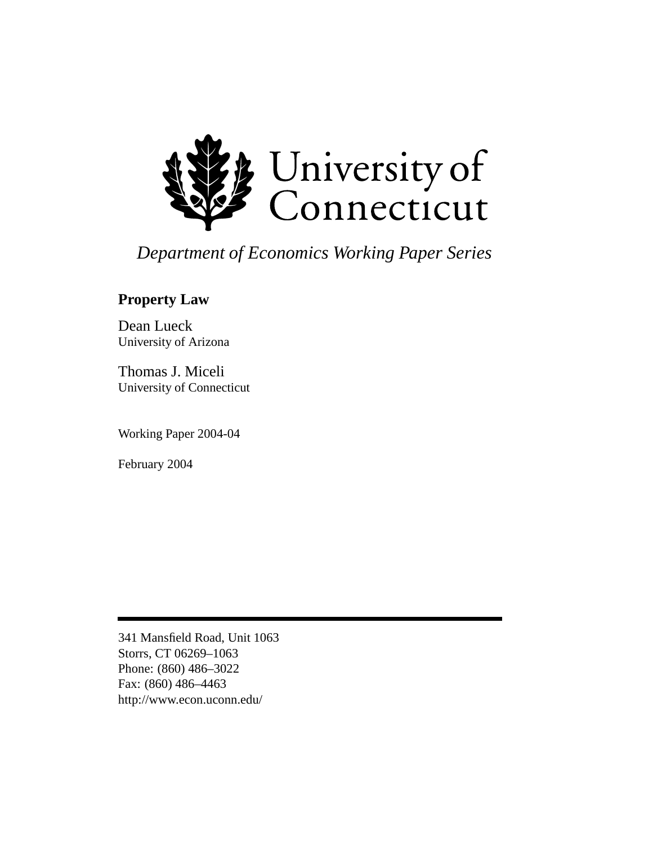

# *Department of Economics Working Paper Series*

## **Property Law**

Dean Lueck University of Arizona

Thomas J. Miceli University of Connecticut

Working Paper 2004-04

February 2004

341 Mansfield Road, Unit 1063 Storrs, CT 06269–1063 Phone: (860) 486–3022 Fax: (860) 486–4463 http://www.econ.uconn.edu/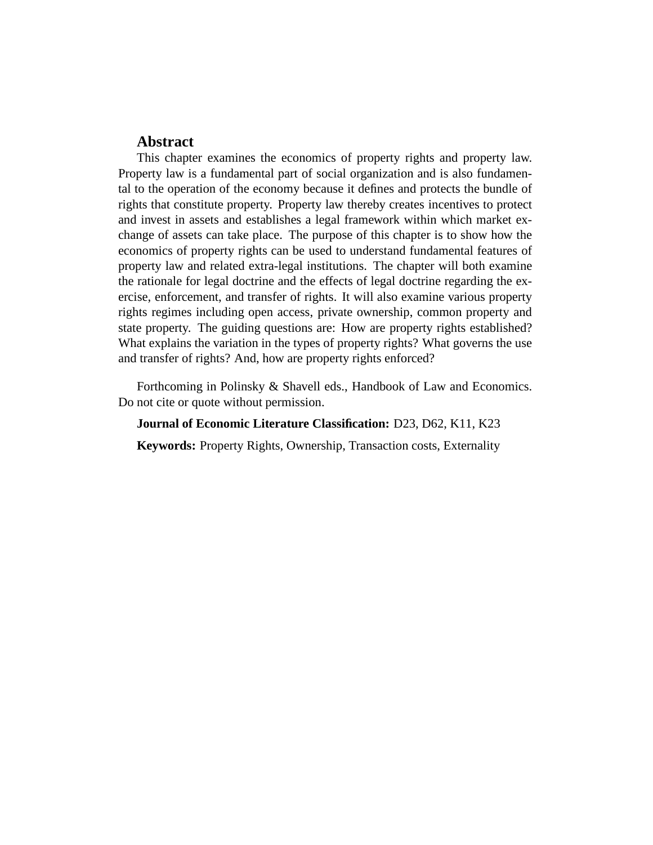#### **Abstract**

This chapter examines the economics of property rights and property law. Property law is a fundamental part of social organization and is also fundamental to the operation of the economy because it defines and protects the bundle of rights that constitute property. Property law thereby creates incentives to protect and invest in assets and establishes a legal framework within which market exchange of assets can take place. The purpose of this chapter is to show how the economics of property rights can be used to understand fundamental features of property law and related extra-legal institutions. The chapter will both examine the rationale for legal doctrine and the effects of legal doctrine regarding the exercise, enforcement, and transfer of rights. It will also examine various property rights regimes including open access, private ownership, common property and state property. The guiding questions are: How are property rights established? What explains the variation in the types of property rights? What governs the use and transfer of rights? And, how are property rights enforced?

Forthcoming in Polinsky & Shavell eds., Handbook of Law and Economics. Do not cite or quote without permission.

#### **Journal of Economic Literature Classification:** D23, D62, K11, K23

**Keywords:** Property Rights, Ownership, Transaction costs, Externality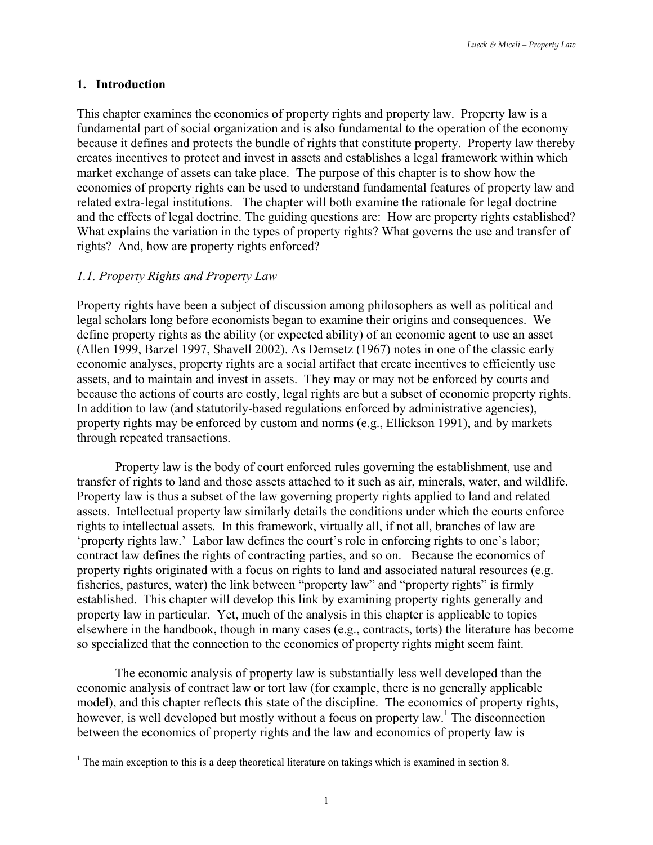#### **1. Introduction**

 $\overline{a}$ 

This chapter examines the economics of property rights and property law. Property law is a fundamental part of social organization and is also fundamental to the operation of the economy because it defines and protects the bundle of rights that constitute property. Property law thereby creates incentives to protect and invest in assets and establishes a legal framework within which market exchange of assets can take place. The purpose of this chapter is to show how the economics of property rights can be used to understand fundamental features of property law and related extra-legal institutions. The chapter will both examine the rationale for legal doctrine and the effects of legal doctrine. The guiding questions are: How are property rights established? What explains the variation in the types of property rights? What governs the use and transfer of rights? And, how are property rights enforced?

## *1.1. Property Rights and Property Law*

Property rights have been a subject of discussion among philosophers as well as political and legal scholars long before economists began to examine their origins and consequences. We define property rights as the ability (or expected ability) of an economic agent to use an asset (Allen 1999, Barzel 1997, Shavell 2002). As Demsetz (1967) notes in one of the classic early economic analyses, property rights are a social artifact that create incentives to efficiently use assets, and to maintain and invest in assets. They may or may not be enforced by courts and because the actions of courts are costly, legal rights are but a subset of economic property rights. In addition to law (and statutorily-based regulations enforced by administrative agencies), property rights may be enforced by custom and norms (e.g., Ellickson 1991), and by markets through repeated transactions.

Property law is the body of court enforced rules governing the establishment, use and transfer of rights to land and those assets attached to it such as air, minerals, water, and wildlife. Property law is thus a subset of the law governing property rights applied to land and related assets. Intellectual property law similarly details the conditions under which the courts enforce rights to intellectual assets. In this framework, virtually all, if not all, branches of law are 'property rights law.' Labor law defines the court's role in enforcing rights to one's labor; contract law defines the rights of contracting parties, and so on. Because the economics of property rights originated with a focus on rights to land and associated natural resources (e.g. fisheries, pastures, water) the link between "property law" and "property rights" is firmly established. This chapter will develop this link by examining property rights generally and property law in particular. Yet, much of the analysis in this chapter is applicable to topics elsewhere in the handbook, though in many cases (e.g., contracts, torts) the literature has become so specialized that the connection to the economics of property rights might seem faint.

The economic analysis of property law is substantially less well developed than the economic analysis of contract law or tort law (for example, there is no generally applicable model), and this chapter reflects this state of the discipline. The economics of property rights, however, is well developed but mostly without a focus on property law.<sup>1</sup> The disconnection between the economics of property rights and the law and economics of property law is

 $1$ <sup>1</sup> The main exception to this is a deep theoretical literature on takings which is examined in section 8.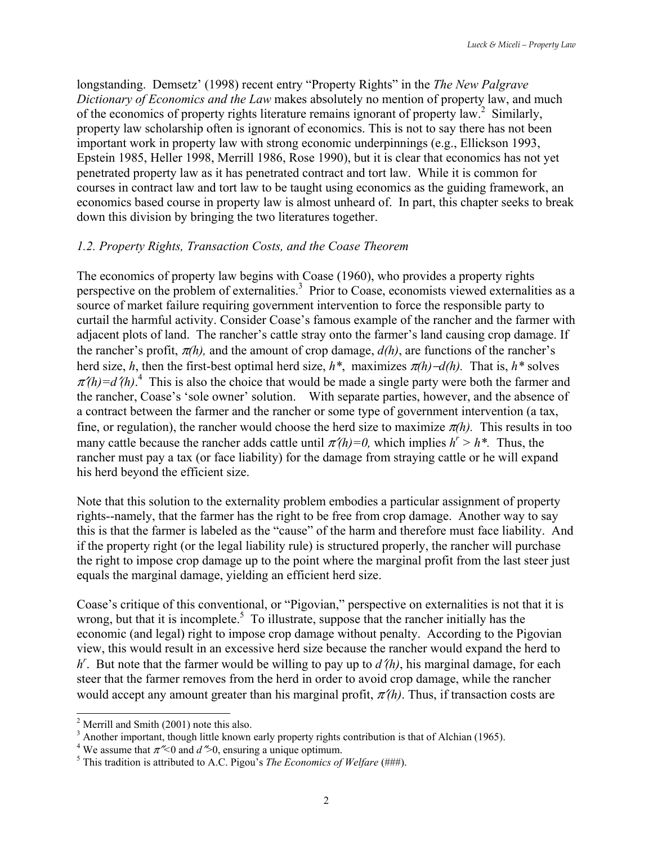longstanding. Demsetz' (1998) recent entry "Property Rights" in the *The New Palgrave Dictionary of Economics and the Law* makes absolutely no mention of property law, and much of the economics of property rights literature remains ignorant of property law.<sup>2</sup> Similarly, property law scholarship often is ignorant of economics. This is not to say there has not been important work in property law with strong economic underpinnings (e.g., Ellickson 1993, Epstein 1985, Heller 1998, Merrill 1986, Rose 1990), but it is clear that economics has not yet penetrated property law as it has penetrated contract and tort law. While it is common for courses in contract law and tort law to be taught using economics as the guiding framework, an economics based course in property law is almost unheard of. In part, this chapter seeks to break down this division by bringing the two literatures together.

#### *1.2. Property Rights, Transaction Costs, and the Coase Theorem*

The economics of property law begins with Coase (1960), who provides a property rights perspective on the problem of externalities.<sup>3</sup> Prior to Coase, economists viewed externalities as a source of market failure requiring government intervention to force the responsible party to curtail the harmful activity. Consider Coase's famous example of the rancher and the farmer with adjacent plots of land. The rancher's cattle stray onto the farmer's land causing crop damage. If the rancher's profit,  $\pi(h)$ , and the amount of crop damage,  $d(h)$ , are functions of the rancher's herd size, *h*, then the first-best optimal herd size,  $h^*$ , maximizes  $\pi(h)$ −*d*(*h*). That is,  $h^*$  solves  $\pi(h)=d(h)$ <sup>4</sup>. This is also the choice that would be made a single party were both the farmer and the rancher, Coase's 'sole owner' solution. With separate parties, however, and the absence of a contract between the farmer and the rancher or some type of government intervention (a tax, fine, or regulation), the rancher would choose the herd size to maximize  $\pi(h)$ . This results in too many cattle because the rancher adds cattle until  $\pi(h)=0$ , which implies  $h^r > h^*$ . Thus, the rancher must pay a tax (or face liability) for the damage from straying cattle or he will expand his herd beyond the efficient size.

Note that this solution to the externality problem embodies a particular assignment of property rights--namely, that the farmer has the right to be free from crop damage. Another way to say this is that the farmer is labeled as the "cause" of the harm and therefore must face liability. And if the property right (or the legal liability rule) is structured properly, the rancher will purchase the right to impose crop damage up to the point where the marginal profit from the last steer just equals the marginal damage, yielding an efficient herd size.

Coase's critique of this conventional, or "Pigovian," perspective on externalities is not that it is wrong, but that it is incomplete.<sup>5</sup> To illustrate, suppose that the rancher initially has the economic (and legal) right to impose crop damage without penalty. According to the Pigovian view, this would result in an excessive herd size because the rancher would expand the herd to *hr* . But note that the farmer would be willing to pay up to *d*′*(h)*, his marginal damage, for each steer that the farmer removes from the herd in order to avoid crop damage, while the rancher would accept any amount greater than his marginal profit,  $\pi/h$ ). Thus, if transaction costs are

 $2^2$  Merrill and Smith (2001) note this also.

<sup>&</sup>lt;sup>3</sup> Another important, though little known early property rights contribution is that of Alchian (1965).

<sup>&</sup>lt;sup>4</sup> We assume that  $\pi^{\prime\prime}$  and  $d^{\prime\prime}$  o, ensuring a unique optimum.

 $<sup>5</sup>$  This tradition is attributed to A.C. Pigou's *The Economics of Welfare* (###).</sup>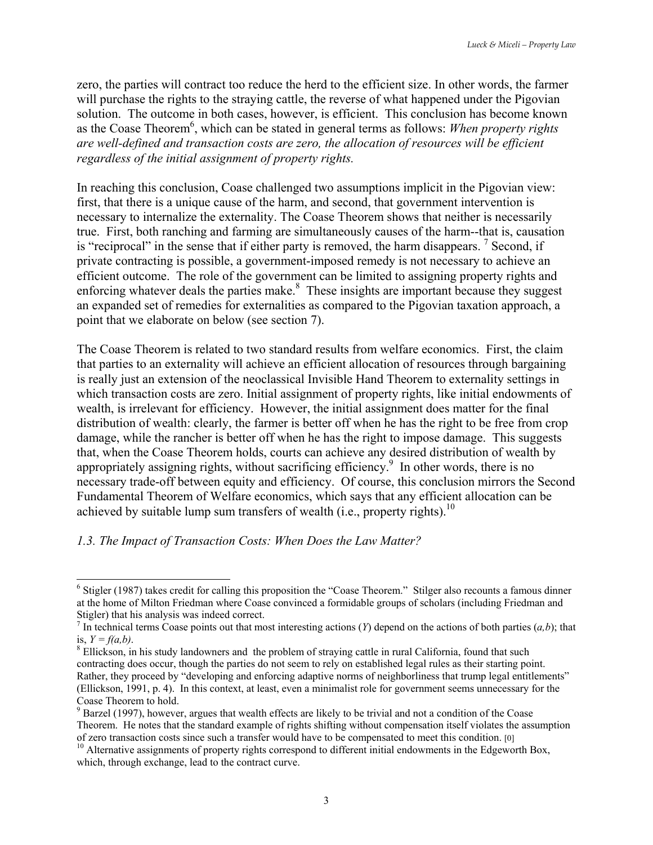zero, the parties will contract too reduce the herd to the efficient size. In other words, the farmer will purchase the rights to the straying cattle, the reverse of what happened under the Pigovian solution. The outcome in both cases, however, is efficient. This conclusion has become known as the Coase Theorem<sup>6</sup>, which can be stated in general terms as follows: *When property rights are well-defined and transaction costs are zero, the allocation of resources will be efficient regardless of the initial assignment of property rights.*

In reaching this conclusion, Coase challenged two assumptions implicit in the Pigovian view: first, that there is a unique cause of the harm, and second, that government intervention is necessary to internalize the externality. The Coase Theorem shows that neither is necessarily true. First, both ranching and farming are simultaneously causes of the harm--that is, causation is "reciprocal" in the sense that if either party is removed, the harm disappears.  $\frac{7}{1}$  Second, if private contracting is possible, a government-imposed remedy is not necessary to achieve an efficient outcome. The role of the government can be limited to assigning property rights and enforcing whatever deals the parties make. $8$  These insights are important because they suggest an expanded set of remedies for externalities as compared to the Pigovian taxation approach, a point that we elaborate on below (see section 7).

The Coase Theorem is related to two standard results from welfare economics. First, the claim that parties to an externality will achieve an efficient allocation of resources through bargaining is really just an extension of the neoclassical Invisible Hand Theorem to externality settings in which transaction costs are zero. Initial assignment of property rights, like initial endowments of wealth, is irrelevant for efficiency. However, the initial assignment does matter for the final distribution of wealth: clearly, the farmer is better off when he has the right to be free from crop damage, while the rancher is better off when he has the right to impose damage. This suggests that, when the Coase Theorem holds, courts can achieve any desired distribution of wealth by appropriately assigning rights, without sacrificing efficiency.<sup>9</sup> In other words, there is no necessary trade-off between equity and efficiency. Of course, this conclusion mirrors the Second Fundamental Theorem of Welfare economics, which says that any efficient allocation can be achieved by suitable lump sum transfers of wealth (i.e., property rights).<sup>10</sup>

#### *1.3. The Impact of Transaction Costs: When Does the Law Matter?*

 $\overline{\phantom{a}}$ <sup>6</sup> Stigler (1987) takes credit for calling this proposition the "Coase Theorem." Stilger also recounts a famous dinner at the home of Milton Friedman where Coase convinced a formidable groups of scholars (including Friedman and Stigler) that his analysis was indeed correct.

<sup>&</sup>lt;sup>7</sup> In technical terms Coase points out that most interesting actions (*Y*) depend on the actions of both parties  $(a,b)$ ; that is,  $Y = f(a,b)$ .

<sup>&</sup>lt;sup>8</sup> Ellickson, in his study landowners and the problem of straying cattle in rural California, found that such contracting does occur, though the parties do not seem to rely on established legal rules as their starting point. Rather, they proceed by "developing and enforcing adaptive norms of neighborliness that trump legal entitlements" (Ellickson, 1991, p. 4). In this context, at least, even a minimalist role for government seems unnecessary for the Coase Theorem to hold.

 $9$  Barzel (1997), however, argues that wealth effects are likely to be trivial and not a condition of the Coase Theorem. He notes that the standard example of rights shifting without compensation itself violates the assumption of zero transaction costs since such a transfer would have to be compensated to meet this condition. [0]

 $10$  Alternative assignments of property rights correspond to different initial endowments in the Edgeworth Box, which, through exchange, lead to the contract curve.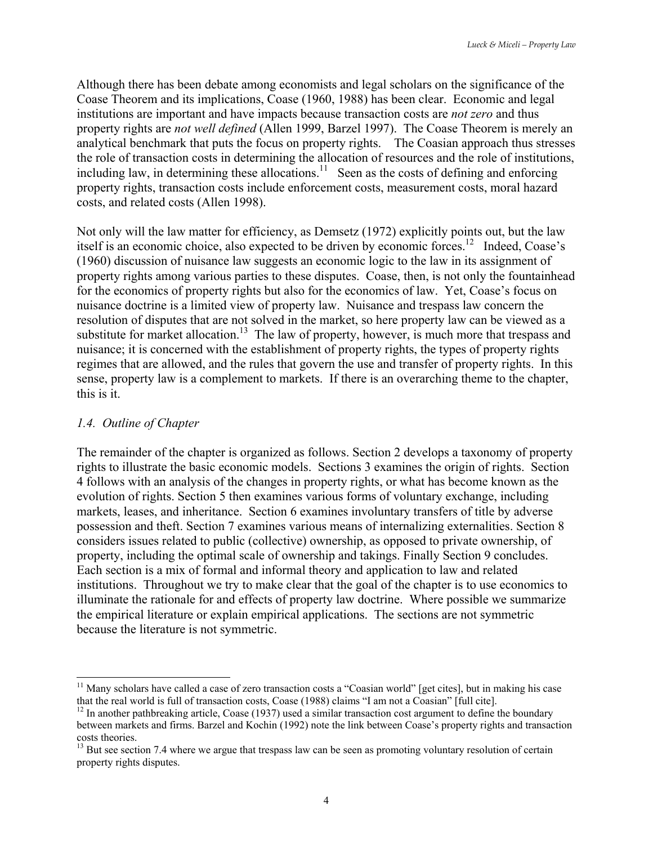Although there has been debate among economists and legal scholars on the significance of the Coase Theorem and its implications, Coase (1960, 1988) has been clear. Economic and legal institutions are important and have impacts because transaction costs are *not zero* and thus property rights are *not well defined* (Allen 1999, Barzel 1997). The Coase Theorem is merely an analytical benchmark that puts the focus on property rights. The Coasian approach thus stresses the role of transaction costs in determining the allocation of resources and the role of institutions, including law, in determining these allocations.<sup>11</sup> Seen as the costs of defining and enforcing property rights, transaction costs include enforcement costs, measurement costs, moral hazard costs, and related costs (Allen 1998).

Not only will the law matter for efficiency, as Demsetz (1972) explicitly points out, but the law itself is an economic choice, also expected to be driven by economic forces.<sup>12</sup> Indeed, Coase's (1960) discussion of nuisance law suggests an economic logic to the law in its assignment of property rights among various parties to these disputes. Coase, then, is not only the fountainhead for the economics of property rights but also for the economics of law. Yet, Coase's focus on nuisance doctrine is a limited view of property law. Nuisance and trespass law concern the resolution of disputes that are not solved in the market, so here property law can be viewed as a substitute for market allocation.<sup>13</sup> The law of property, however, is much more that trespass and nuisance; it is concerned with the establishment of property rights, the types of property rights regimes that are allowed, and the rules that govern the use and transfer of property rights. In this sense, property law is a complement to markets. If there is an overarching theme to the chapter, this is it.

## *1.4. Outline of Chapter*

 $\overline{\phantom{a}}$ 

The remainder of the chapter is organized as follows. Section 2 develops a taxonomy of property rights to illustrate the basic economic models. Sections 3 examines the origin of rights. Section 4 follows with an analysis of the changes in property rights, or what has become known as the evolution of rights. Section 5 then examines various forms of voluntary exchange, including markets, leases, and inheritance. Section 6 examines involuntary transfers of title by adverse possession and theft. Section 7 examines various means of internalizing externalities. Section 8 considers issues related to public (collective) ownership, as opposed to private ownership, of property, including the optimal scale of ownership and takings. Finally Section 9 concludes. Each section is a mix of formal and informal theory and application to law and related institutions. Throughout we try to make clear that the goal of the chapter is to use economics to illuminate the rationale for and effects of property law doctrine. Where possible we summarize the empirical literature or explain empirical applications. The sections are not symmetric because the literature is not symmetric.

 $11$  Many scholars have called a case of zero transaction costs a "Coasian world" [get cites], but in making his case that the real world is full of transaction costs, Coase (1988) claims "I am not a Coasian" [full cite].<br><sup>12</sup> In another pathbreaking article, Coase (1937) used a similar transaction cost argument to define the boundary

between markets and firms. Barzel and Kochin (1992) note the link between Coase's property rights and transaction costs theories.

<sup>&</sup>lt;sup>13</sup> But see section 7.4 where we argue that trespass law can be seen as promoting voluntary resolution of certain property rights disputes.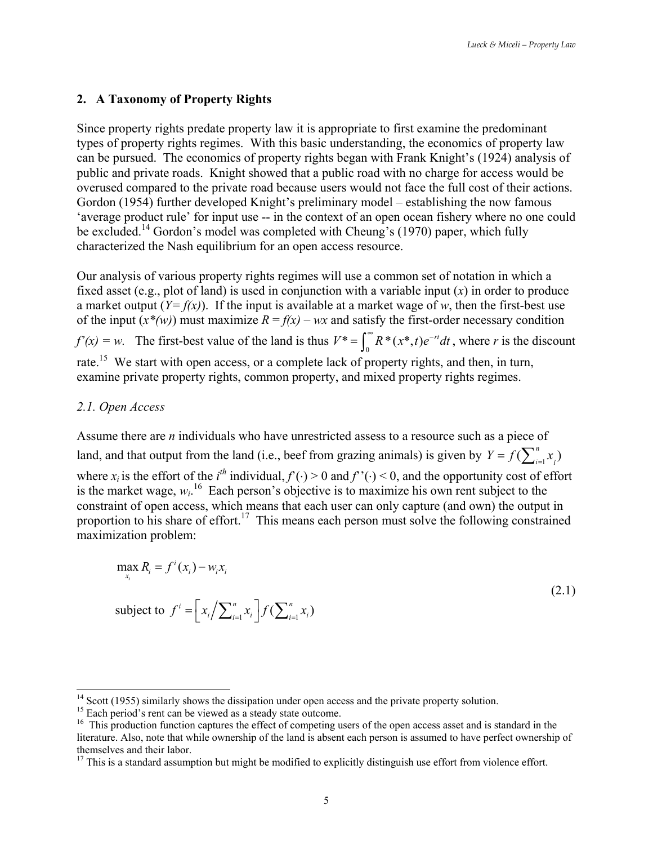## **2. A Taxonomy of Property Rights**

Since property rights predate property law it is appropriate to first examine the predominant types of property rights regimes. With this basic understanding, the economics of property law can be pursued. The economics of property rights began with Frank Knight's (1924) analysis of public and private roads. Knight showed that a public road with no charge for access would be overused compared to the private road because users would not face the full cost of their actions. Gordon (1954) further developed Knight's preliminary model – establishing the now famous 'average product rule' for input use -- in the context of an open ocean fishery where no one could be excluded.<sup>14</sup> Gordon's model was completed with Cheung's (1970) paper, which fully characterized the Nash equilibrium for an open access resource.

Our analysis of various property rights regimes will use a common set of notation in which a fixed asset (e.g., plot of land) is used in conjunction with a variable input  $(x)$  in order to produce a market output  $(Y = f(x))$ . If the input is available at a market wage of *w*, then the first-best use of the input  $(x^*(w))$  must maximize  $R = f(x) - wx$  and satisfy the first-order necessary condition  $f'(x) = w$ . The first-best value of the land is thus  $V^* = \int_0^\infty R^*(x^*, t) e^{-rt} dt$ , where *r* is the discount rate.<sup>15</sup> We start with open access, or a complete lack of property rights, and then, in turn, examine private property rights, common property, and mixed property rights regimes.

## *2.1. Open Access*

Assume there are *n* individuals who have unrestricted assess to a resource such as a piece of land, and that output from the land (i.e., beef from grazing animals) is given by  $Y = f(\sum_{i=1}^{n} x_i)$ where  $x_i$  is the effort of the  $i^{th}$  individual,  $f'(\cdot) > 0$  and  $f'(\cdot) < 0$ , and the opportunity cost of effort is the market wage,  $w_i$ <sup>16</sup> Each person's objective is to maximize his own rent subject to the constraint of open access, which means that each user can only capture (and own) the output in proportion to his share of effort.<sup>17</sup> This means each person must solve the following constrained maximization problem:

$$
\max_{x_i} R_i = f^i(x_i) - w_i x_i
$$
  
subject to 
$$
f^i = \left[ x_i / \sum_{i=1}^n x_i \right] f(\sum_{i=1}^n x_i)
$$
 (2.1)

 $14$  Scott (1955) similarly shows the dissipation under open access and the private property solution.

<sup>&</sup>lt;sup>15</sup> Each period's rent can be viewed as a steady state outcome.<br><sup>16</sup> This production function captures the effect of competing users of the open access asset and is standard in the literature. Also, note that while ownership of the land is absent each person is assumed to have perfect ownership of themselves and their labor.

 $17$  This is a standard assumption but might be modified to explicitly distinguish use effort from violence effort.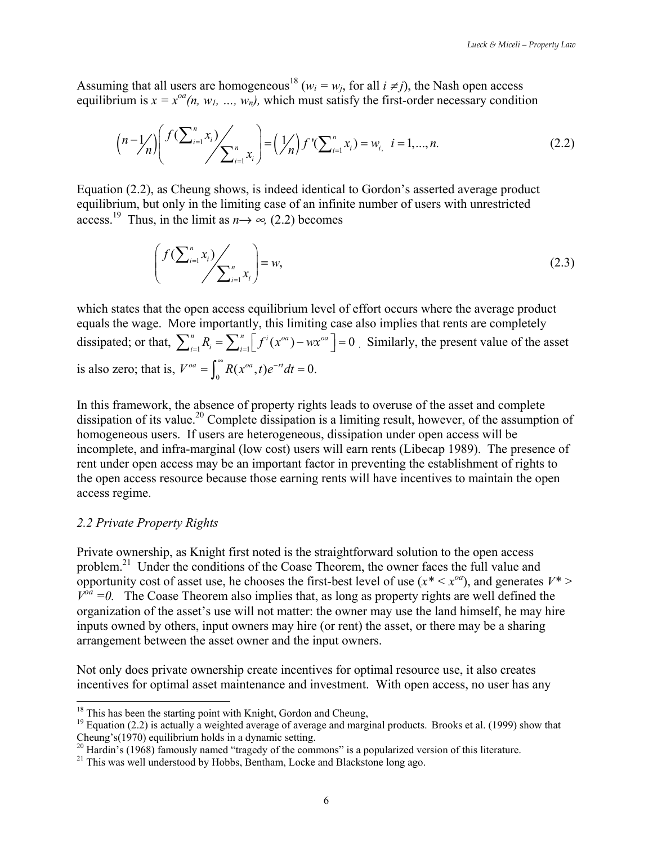Assuming that all users are homogeneous<sup>18</sup> ( $w_i = w_j$ , for all  $i \neq j$ ), the Nash open access equilibrium is  $x = x^{oa}(n, w_1, ..., w_n)$ , which must satisfy the first-order necessary condition

$$
\left(n - 1/n\right) \left( \int \left(\sum_{i=1}^{n} x_i\right)_{\sum_{i=1}^{n} x_i} \right) = \left(\frac{1}{n}\right) f'(\sum_{i=1}^{n} x_i) = w_{i, i} = 1, ..., n. \tag{2.2}
$$

Equation (2.2), as Cheung shows, is indeed identical to Gordon's asserted average product equilibrium, but only in the limiting case of an infinite number of users with unrestricted access.<sup>19</sup> Thus, in the limit as  $n \rightarrow \infty$ , (2.2) becomes

$$
\left(f\left(\sum_{i=1}^{n}x_{i}\right)\right)_{i=1}x_{i}\right)=w,
$$
\n(2.3)

which states that the open access equilibrium level of effort occurs where the average product equals the wage. More importantly, this limiting case also implies that rents are completely dissipated; or that,  $\sum_{i=1}^{n} R_i = \sum_{i=1}^{n} \left[ f'(x^{oa}) - wx^{oa} \right] = 0$ . Similarly, the present value of the asset is also zero; that is,  $V^{oa} = \int_{0}^{\infty} R(x^{oa}, t) e^{-rt} dt = 0$ .

In this framework, the absence of property rights leads to overuse of the asset and complete dissipation of its value.<sup>20</sup> Complete dissipation is a limiting result, however, of the assumption of homogeneous users. If users are heterogeneous, dissipation under open access will be incomplete, and infra-marginal (low cost) users will earn rents (Libecap 1989). The presence of rent under open access may be an important factor in preventing the establishment of rights to the open access resource because those earning rents will have incentives to maintain the open access regime.

#### *2.2 Private Property Rights*

 $\overline{\phantom{a}}$ 

Private ownership, as Knight first noted is the straightforward solution to the open access problem.<sup>21</sup> Under the conditions of the Coase Theorem, the owner faces the full value and opportunity cost of asset use, he chooses the first-best level of use  $(x^* \le x^{oa})$ , and generates  $V^*$  $V^{oa} = 0$ . The Coase Theorem also implies that, as long as property rights are well defined the organization of the asset's use will not matter: the owner may use the land himself, he may hire inputs owned by others, input owners may hire (or rent) the asset, or there may be a sharing arrangement between the asset owner and the input owners.

Not only does private ownership create incentives for optimal resource use, it also creates incentives for optimal asset maintenance and investment. With open access, no user has any

 $18$  This has been the starting point with Knight, Gordon and Cheung,

 $19$  Equation (2.2) is actually a weighted average of average and marginal products. Brooks et al. (1999) show that Cheung's(1970) equilibrium holds in a dynamic setting.

<sup>&</sup>lt;sup>20</sup> Hardin's (1968) famously named "tragedy of the commons" is a popularized version of this literature.<br><sup>21</sup> This was well understood by Hobbs, Bentham, Locke and Blackstone long ago.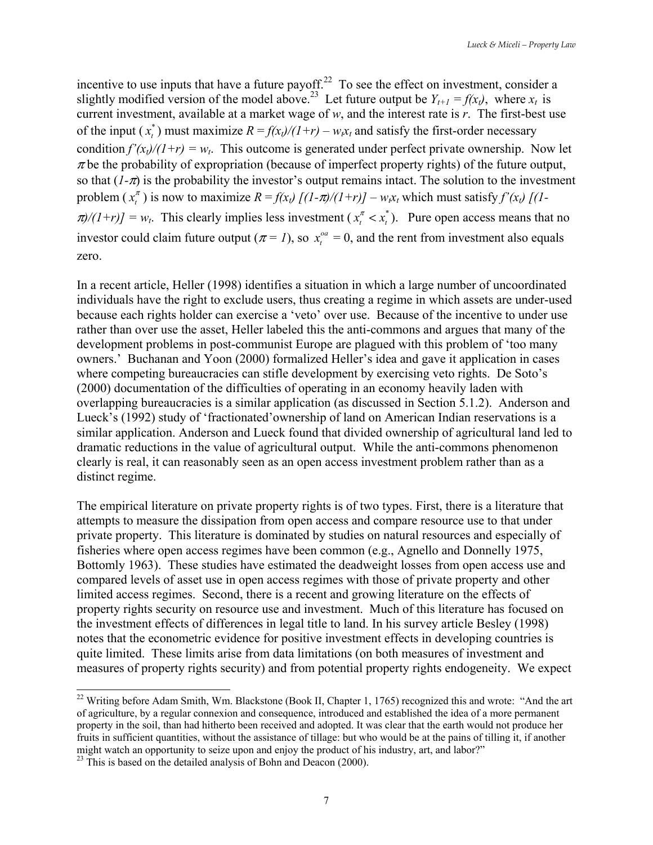incentive to use inputs that have a future payoff.<sup>22</sup> To see the effect on investment, consider a slightly modified version of the model above.<sup>23</sup> Let future output be  $Y_{t+1} = f(x_t)$ , where  $x_t$  is current investment, available at a market wage of *w*, and the interest rate is *r*. The first-best use of the input  $(x_i^*)$  must maximize  $R = f(x_i)/(1+r) - w_i x_i$  and satisfy the first-order necessary condition  $f'(x_t)/(1+r) = w_t$ . This outcome is generated under perfect private ownership. Now let  $\pi$  be the probability of expropriation (because of imperfect property rights) of the future output, so that  $(1-\pi)$  is the probability the investor's output remains intact. The solution to the investment problem  $(x_t^{\pi})$  is now to maximize  $R = f(x_t) [1-\pi/(1+r)] - w_t x_t$  which must satisfy  $f'(x_t) [1-\pi]$  $\pi$ / $(1+r)$ ] =  $w_t$ . This clearly implies less investment ( $x_t^{\pi} < x_t^*$ ). Pure open access means that no investor could claim future output ( $\pi = I$ ), so  $x_t^{oa} = 0$ , and the rent from investment also equals zero.

In a recent article, Heller (1998) identifies a situation in which a large number of uncoordinated individuals have the right to exclude users, thus creating a regime in which assets are under-used because each rights holder can exercise a 'veto' over use. Because of the incentive to under use rather than over use the asset, Heller labeled this the anti-commons and argues that many of the development problems in post-communist Europe are plagued with this problem of 'too many owners.' Buchanan and Yoon (2000) formalized Heller's idea and gave it application in cases where competing bureaucracies can stifle development by exercising veto rights. De Soto's (2000) documentation of the difficulties of operating in an economy heavily laden with overlapping bureaucracies is a similar application (as discussed in Section 5.1.2). Anderson and Lueck's (1992) study of 'fractionated'ownership of land on American Indian reservations is a similar application. Anderson and Lueck found that divided ownership of agricultural land led to dramatic reductions in the value of agricultural output. While the anti-commons phenomenon clearly is real, it can reasonably seen as an open access investment problem rather than as a distinct regime.

The empirical literature on private property rights is of two types. First, there is a literature that attempts to measure the dissipation from open access and compare resource use to that under private property. This literature is dominated by studies on natural resources and especially of fisheries where open access regimes have been common (e.g., Agnello and Donnelly 1975, Bottomly 1963). These studies have estimated the deadweight losses from open access use and compared levels of asset use in open access regimes with those of private property and other limited access regimes. Second, there is a recent and growing literature on the effects of property rights security on resource use and investment. Much of this literature has focused on the investment effects of differences in legal title to land. In his survey article Besley (1998) notes that the econometric evidence for positive investment effects in developing countries is quite limited. These limits arise from data limitations (on both measures of investment and measures of property rights security) and from potential property rights endogeneity. We expect

l

 $22$  Writing before Adam Smith, Wm. Blackstone (Book II, Chapter 1, 1765) recognized this and wrote: "And the art of agriculture, by a regular connexion and consequence, introduced and established the idea of a more permanent property in the soil, than had hitherto been received and adopted. It was clear that the earth would not produce her fruits in sufficient quantities, without the assistance of tillage: but who would be at the pains of tilling it, if another might watch an opportunity to seize upon and enjoy the product of his industry, art, and labor?"

 $23$  This is based on the detailed analysis of Bohn and Deacon (2000).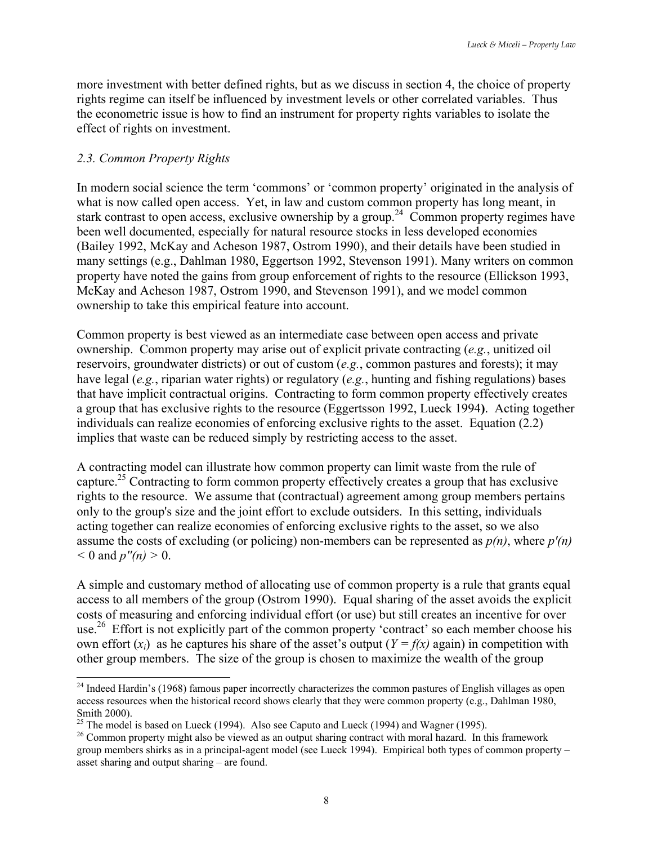more investment with better defined rights, but as we discuss in section 4, the choice of property rights regime can itself be influenced by investment levels or other correlated variables. Thus the econometric issue is how to find an instrument for property rights variables to isolate the effect of rights on investment.

#### *2.3. Common Property Rights*

 $\overline{\phantom{a}}$ 

In modern social science the term 'commons' or 'common property' originated in the analysis of what is now called open access. Yet, in law and custom common property has long meant, in stark contrast to open access, exclusive ownership by a group.<sup>24</sup> Common property regimes have been well documented, especially for natural resource stocks in less developed economies (Bailey 1992, McKay and Acheson 1987, Ostrom 1990), and their details have been studied in many settings (e.g., Dahlman 1980, Eggertson 1992, Stevenson 1991). Many writers on common property have noted the gains from group enforcement of rights to the resource (Ellickson 1993, McKay and Acheson 1987, Ostrom 1990, and Stevenson 1991), and we model common ownership to take this empirical feature into account.

Common property is best viewed as an intermediate case between open access and private ownership. Common property may arise out of explicit private contracting (*e.g.*, unitized oil reservoirs, groundwater districts) or out of custom (*e.g.*, common pastures and forests); it may have legal (*e.g.*, riparian water rights) or regulatory (*e.g.*, hunting and fishing regulations) bases that have implicit contractual origins. Contracting to form common property effectively creates a group that has exclusive rights to the resource (Eggertsson 1992, Lueck 1994**)**. Acting together individuals can realize economies of enforcing exclusive rights to the asset. Equation (2.2) implies that waste can be reduced simply by restricting access to the asset.

A contracting model can illustrate how common property can limit waste from the rule of capture.<sup>25</sup> Contracting to form common property effectively creates a group that has exclusive rights to the resource. We assume that (contractual) agreement among group members pertains only to the group's size and the joint effort to exclude outsiders. In this setting, individuals acting together can realize economies of enforcing exclusive rights to the asset, so we also assume the costs of excluding (or policing) non-members can be represented as *p(n)*, where *p'(n)*  $< 0$  and  $p''(n) > 0$ .

A simple and customary method of allocating use of common property is a rule that grants equal access to all members of the group (Ostrom 1990). Equal sharing of the asset avoids the explicit costs of measuring and enforcing individual effort (or use) but still creates an incentive for over use.<sup>26</sup> Effort is not explicitly part of the common property 'contract' so each member choose his own effort  $(x_i)$  as he captures his share of the asset's output  $(Y = f(x))$  again) in competition with other group members. The size of the group is chosen to maximize the wealth of the group

 $^{24}$  Indeed Hardin's (1968) famous paper incorrectly characterizes the common pastures of English villages as open access resources when the historical record shows clearly that they were common property (e.g., Dahlman 1980, Smith 2000).

<sup>&</sup>lt;sup>25</sup> The model is based on Lueck (1994). Also see Caputo and Lueck (1994) and Wagner (1995).

<sup>&</sup>lt;sup>26</sup> Common property might also be viewed as an output sharing contract with moral hazard. In this framework group members shirks as in a principal-agent model (see Lueck 1994). Empirical both types of common property – asset sharing and output sharing – are found.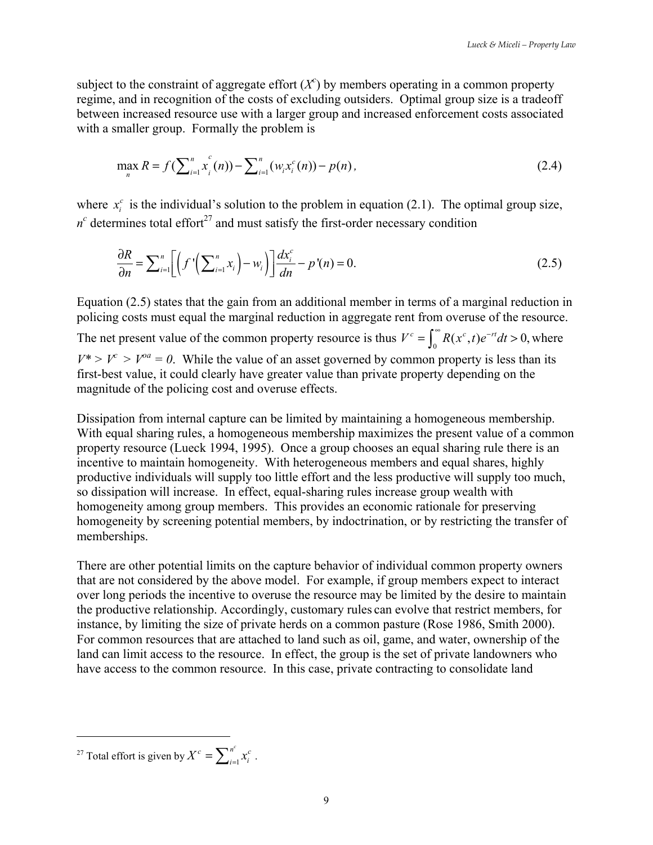subject to the constraint of aggregate effort  $(X<sup>c</sup>)$  by members operating in a common property regime, and in recognition of the costs of excluding outsiders. Optimal group size is a tradeoff between increased resource use with a larger group and increased enforcement costs associated with a smaller group. Formally the problem is

$$
\max_{n} R = f\left(\sum_{i=1}^{n} x_i^{c}(n)\right) - \sum_{i=1}^{n} (w_i x_i^{c}(n)) - p(n),
$$
\n(2.4)

where  $x_i^c$  is the individual's solution to the problem in equation (2.1). The optimal group size,  $n<sup>c</sup>$  determines total effort<sup>27</sup> and must satisfy the first-order necessary condition

$$
\frac{\partial R}{\partial n} = \sum_{i=1}^{n} \left[ \left( f' \left( \sum_{i=1}^{n} x_i \right) - w_i \right) \right] \frac{dx_i^c}{dn} - p'(n) = 0. \tag{2.5}
$$

Equation (2.5) states that the gain from an additional member in terms of a marginal reduction in policing costs must equal the marginal reduction in aggregate rent from overuse of the resource. The net present value of the common property resource is thus  $V^c = \int_{0}^{\infty} R(x^c, t) e^{-rt} dt > 0$ , where  $V^* > V^c > V^{oa} = 0$ . While the value of an asset governed by common property is less than its

first-best value, it could clearly have greater value than private property depending on the magnitude of the policing cost and overuse effects.

Dissipation from internal capture can be limited by maintaining a homogeneous membership. With equal sharing rules, a homogeneous membership maximizes the present value of a common property resource (Lueck 1994, 1995). Once a group chooses an equal sharing rule there is an incentive to maintain homogeneity. With heterogeneous members and equal shares, highly productive individuals will supply too little effort and the less productive will supply too much, so dissipation will increase. In effect, equal-sharing rules increase group wealth with homogeneity among group members. This provides an economic rationale for preserving homogeneity by screening potential members, by indoctrination, or by restricting the transfer of memberships.

There are other potential limits on the capture behavior of individual common property owners that are not considered by the above model. For example, if group members expect to interact over long periods the incentive to overuse the resource may be limited by the desire to maintain the productive relationship. Accordingly, customary rules can evolve that restrict members, for instance, by limiting the size of private herds on a common pasture (Rose 1986, Smith 2000). For common resources that are attached to land such as oil, game, and water, ownership of the land can limit access to the resource. In effect, the group is the set of private landowners who have access to the common resource. In this case, private contracting to consolidate land

<sup>&</sup>lt;sup>27</sup> Total effort is given by  $X^c = \sum_{i=1}^{n^c} x_i^c$ .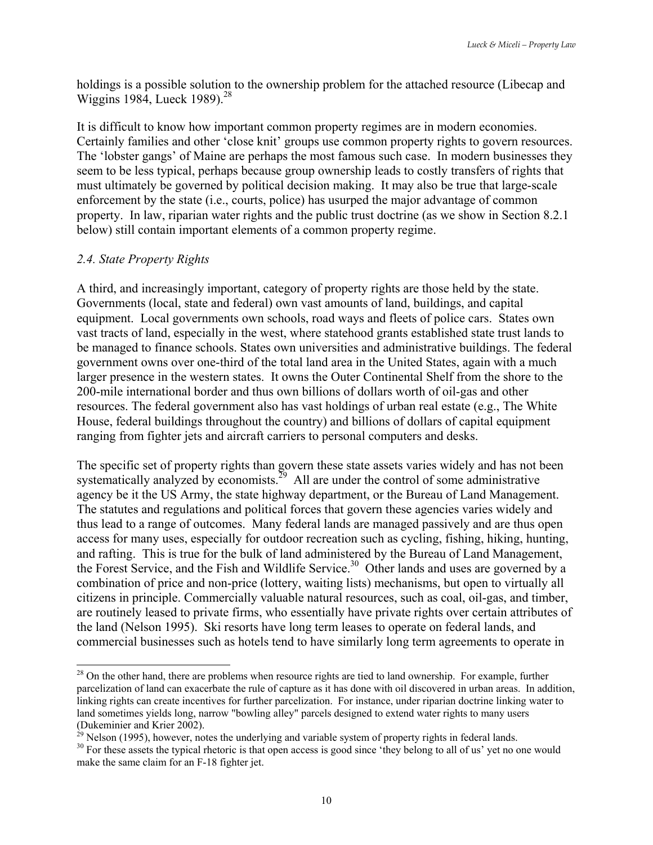holdings is a possible solution to the ownership problem for the attached resource (Libecap and Wiggins 1984, Lueck 1989).<sup>28</sup>

It is difficult to know how important common property regimes are in modern economies. Certainly families and other 'close knit' groups use common property rights to govern resources. The 'lobster gangs' of Maine are perhaps the most famous such case. In modern businesses they seem to be less typical, perhaps because group ownership leads to costly transfers of rights that must ultimately be governed by political decision making. It may also be true that large-scale enforcement by the state (i.e., courts, police) has usurped the major advantage of common property. In law, riparian water rights and the public trust doctrine (as we show in Section 8.2.1 below) still contain important elements of a common property regime.

#### *2.4. State Property Rights*

 $\overline{\phantom{a}}$ 

A third, and increasingly important, category of property rights are those held by the state. Governments (local, state and federal) own vast amounts of land, buildings, and capital equipment. Local governments own schools, road ways and fleets of police cars. States own vast tracts of land, especially in the west, where statehood grants established state trust lands to be managed to finance schools. States own universities and administrative buildings. The federal government owns over one-third of the total land area in the United States, again with a much larger presence in the western states. It owns the Outer Continental Shelf from the shore to the 200-mile international border and thus own billions of dollars worth of oil-gas and other resources. The federal government also has vast holdings of urban real estate (e.g., The White House, federal buildings throughout the country) and billions of dollars of capital equipment ranging from fighter jets and aircraft carriers to personal computers and desks.

The specific set of property rights than govern these state assets varies widely and has not been systematically analyzed by economists.<sup>29</sup> All are under the control of some administrative agency be it the US Army, the state highway department, or the Bureau of Land Management. The statutes and regulations and political forces that govern these agencies varies widely and thus lead to a range of outcomes. Many federal lands are managed passively and are thus open access for many uses, especially for outdoor recreation such as cycling, fishing, hiking, hunting, and rafting. This is true for the bulk of land administered by the Bureau of Land Management, the Forest Service, and the Fish and Wildlife Service.<sup>30</sup> Other lands and uses are governed by a combination of price and non-price (lottery, waiting lists) mechanisms, but open to virtually all citizens in principle. Commercially valuable natural resources, such as coal, oil-gas, and timber, are routinely leased to private firms, who essentially have private rights over certain attributes of the land (Nelson 1995). Ski resorts have long term leases to operate on federal lands, and commercial businesses such as hotels tend to have similarly long term agreements to operate in

<sup>&</sup>lt;sup>28</sup> On the other hand, there are problems when resource rights are tied to land ownership. For example, further parcelization of land can exacerbate the rule of capture as it has done with oil discovered in urban areas. In addition, linking rights can create incentives for further parcelization. For instance, under riparian doctrine linking water to land sometimes yields long, narrow "bowling alley" parcels designed to extend water rights to many users (Dukeminier and Krier 2002).

 $^{29}$  Nelson (1995), however, notes the underlying and variable system of property rights in federal lands.

 $30$  For these assets the typical rhetoric is that open access is good since 'they belong to all of us' yet no one would make the same claim for an F-18 fighter jet.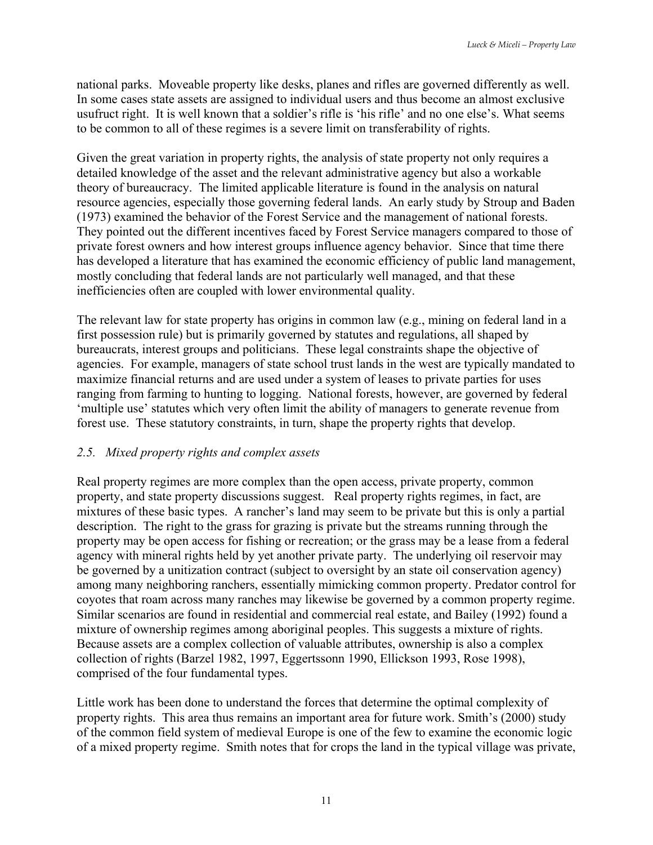national parks. Moveable property like desks, planes and rifles are governed differently as well. In some cases state assets are assigned to individual users and thus become an almost exclusive usufruct right. It is well known that a soldier's rifle is 'his rifle' and no one else's. What seems to be common to all of these regimes is a severe limit on transferability of rights.

Given the great variation in property rights, the analysis of state property not only requires a detailed knowledge of the asset and the relevant administrative agency but also a workable theory of bureaucracy. The limited applicable literature is found in the analysis on natural resource agencies, especially those governing federal lands. An early study by Stroup and Baden (1973) examined the behavior of the Forest Service and the management of national forests. They pointed out the different incentives faced by Forest Service managers compared to those of private forest owners and how interest groups influence agency behavior. Since that time there has developed a literature that has examined the economic efficiency of public land management, mostly concluding that federal lands are not particularly well managed, and that these inefficiencies often are coupled with lower environmental quality.

The relevant law for state property has origins in common law (e.g., mining on federal land in a first possession rule) but is primarily governed by statutes and regulations, all shaped by bureaucrats, interest groups and politicians. These legal constraints shape the objective of agencies. For example, managers of state school trust lands in the west are typically mandated to maximize financial returns and are used under a system of leases to private parties for uses ranging from farming to hunting to logging. National forests, however, are governed by federal 'multiple use' statutes which very often limit the ability of managers to generate revenue from forest use. These statutory constraints, in turn, shape the property rights that develop.

## *2.5. Mixed property rights and complex assets*

Real property regimes are more complex than the open access, private property, common property, and state property discussions suggest.Real property rights regimes, in fact, are mixtures of these basic types. A rancher's land may seem to be private but this is only a partial description. The right to the grass for grazing is private but the streams running through the property may be open access for fishing or recreation; or the grass may be a lease from a federal agency with mineral rights held by yet another private party. The underlying oil reservoir may be governed by a unitization contract (subject to oversight by an state oil conservation agency) among many neighboring ranchers, essentially mimicking common property. Predator control for coyotes that roam across many ranches may likewise be governed by a common property regime. Similar scenarios are found in residential and commercial real estate, and Bailey (1992) found a mixture of ownership regimes among aboriginal peoples. This suggests a mixture of rights. Because assets are a complex collection of valuable attributes, ownership is also a complex collection of rights (Barzel 1982, 1997, Eggertssonn 1990, Ellickson 1993, Rose 1998), comprised of the four fundamental types.

Little work has been done to understand the forces that determine the optimal complexity of property rights. This area thus remains an important area for future work. Smith's (2000) study of the common field system of medieval Europe is one of the few to examine the economic logic of a mixed property regime. Smith notes that for crops the land in the typical village was private,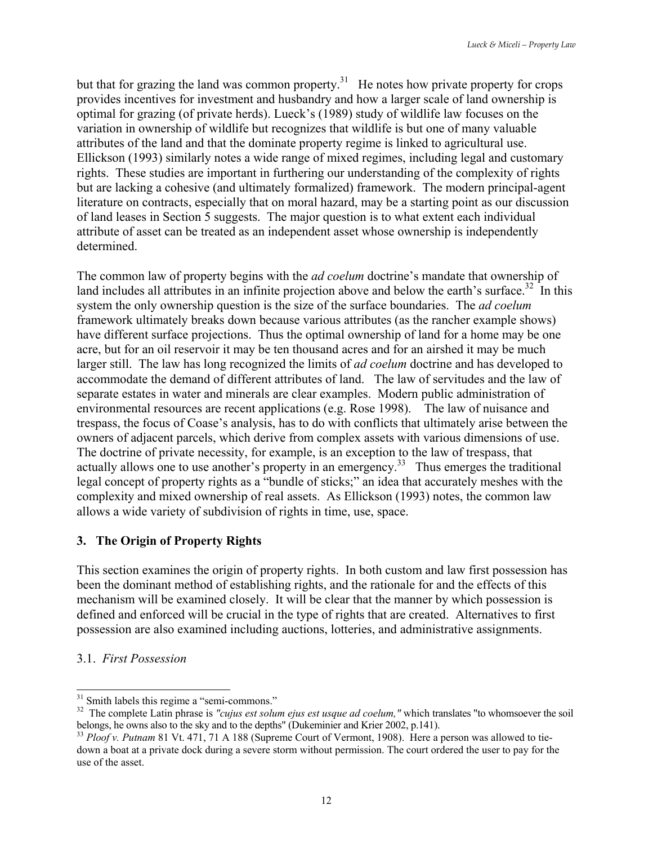but that for grazing the land was common property.<sup>31</sup> He notes how private property for crops provides incentives for investment and husbandry and how a larger scale of land ownership is optimal for grazing (of private herds). Lueck's (1989) study of wildlife law focuses on the variation in ownership of wildlife but recognizes that wildlife is but one of many valuable attributes of the land and that the dominate property regime is linked to agricultural use. Ellickson (1993) similarly notes a wide range of mixed regimes, including legal and customary rights. These studies are important in furthering our understanding of the complexity of rights but are lacking a cohesive (and ultimately formalized) framework. The modern principal-agent literature on contracts, especially that on moral hazard, may be a starting point as our discussion of land leases in Section 5 suggests. The major question is to what extent each individual attribute of asset can be treated as an independent asset whose ownership is independently determined.

The common law of property begins with the *ad coelum* doctrine's mandate that ownership of land includes all attributes in an infinite projection above and below the earth's surface.<sup>32</sup> In this system the only ownership question is the size of the surface boundaries. The *ad coelum* framework ultimately breaks down because various attributes (as the rancher example shows) have different surface projections. Thus the optimal ownership of land for a home may be one acre, but for an oil reservoir it may be ten thousand acres and for an airshed it may be much larger still. The law has long recognized the limits of *ad coelum* doctrine and has developed to accommodate the demand of different attributes of land. The law of servitudes and the law of separate estates in water and minerals are clear examples. Modern public administration of environmental resources are recent applications (e.g. Rose 1998). The law of nuisance and trespass, the focus of Coase's analysis, has to do with conflicts that ultimately arise between the owners of adjacent parcels, which derive from complex assets with various dimensions of use. The doctrine of private necessity, for example, is an exception to the law of trespass, that actually allows one to use another's property in an emergency.<sup>33</sup> Thus emerges the traditional legal concept of property rights as a "bundle of sticks;" an idea that accurately meshes with the complexity and mixed ownership of real assets. As Ellickson (1993) notes, the common law allows a wide variety of subdivision of rights in time, use, space.

## **3. The Origin of Property Rights**

This section examines the origin of property rights. In both custom and law first possession has been the dominant method of establishing rights, and the rationale for and the effects of this mechanism will be examined closely. It will be clear that the manner by which possession is defined and enforced will be crucial in the type of rights that are created. Alternatives to first possession are also examined including auctions, lotteries, and administrative assignments.

## 3.1. *First Possession*

l <sup>31</sup> Smith labels this regime a "semi-commons."

<sup>&</sup>lt;sup>32</sup> The complete Latin phrase is *"cujus est solum ejus est usque ad coelum*," which translates "to whomsoever the soil belongs, he owns also to the sky and to the depths" (Dukeminier and Krier 2002, p.141).

<sup>&</sup>lt;sup>33</sup> Ploof v. Putnam 81 Vt. 471, 71 A 188 (Supreme Court of Vermont, 1908). Here a person was allowed to tiedown a boat at a private dock during a severe storm without permission. The court ordered the user to pay for the use of the asset.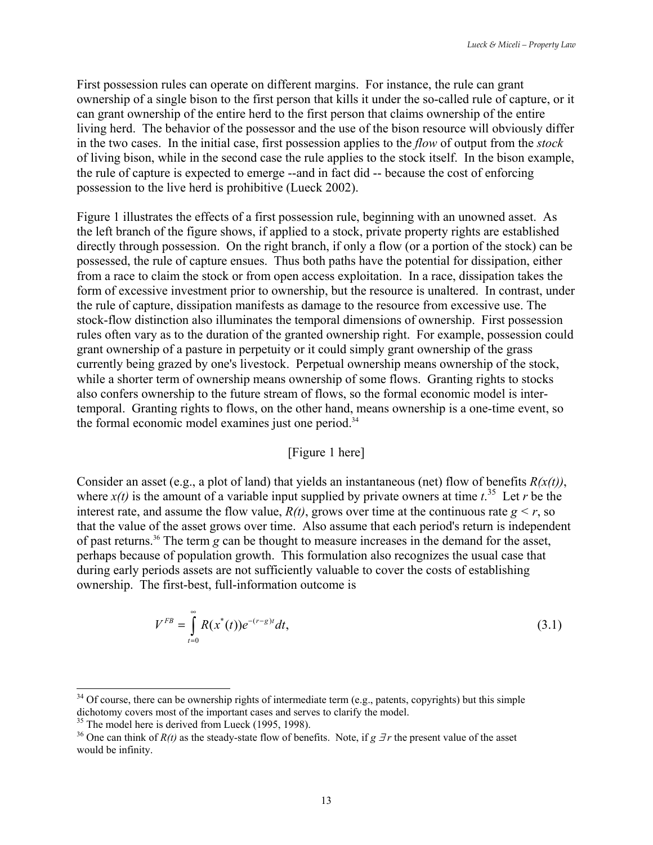First possession rules can operate on different margins. For instance, the rule can grant ownership of a single bison to the first person that kills it under the so-called rule of capture, or it can grant ownership of the entire herd to the first person that claims ownership of the entire living herd. The behavior of the possessor and the use of the bison resource will obviously differ in the two cases. In the initial case, first possession applies to the *flow* of output from the *stock* of living bison, while in the second case the rule applies to the stock itself. In the bison example, the rule of capture is expected to emerge --and in fact did -- because the cost of enforcing possession to the live herd is prohibitive (Lueck 2002).

Figure 1 illustrates the effects of a first possession rule, beginning with an unowned asset. As the left branch of the figure shows, if applied to a stock, private property rights are established directly through possession. On the right branch, if only a flow (or a portion of the stock) can be possessed, the rule of capture ensues. Thus both paths have the potential for dissipation, either from a race to claim the stock or from open access exploitation. In a race, dissipation takes the form of excessive investment prior to ownership, but the resource is unaltered. In contrast, under the rule of capture, dissipation manifests as damage to the resource from excessive use. The stock-flow distinction also illuminates the temporal dimensions of ownership. First possession rules often vary as to the duration of the granted ownership right. For example, possession could grant ownership of a pasture in perpetuity or it could simply grant ownership of the grass currently being grazed by one's livestock. Perpetual ownership means ownership of the stock, while a shorter term of ownership means ownership of some flows. Granting rights to stocks also confers ownership to the future stream of flows, so the formal economic model is intertemporal. Granting rights to flows, on the other hand, means ownership is a one-time event, so the formal economic model examines just one period.<sup>34</sup>

#### [Figure 1 here]

Consider an asset (e.g., a plot of land) that yields an instantaneous (net) flow of benefits *R(x(t))*, where  $x(t)$  is the amount of a variable input supplied by private owners at time  $t^{35}$ . Let *r* be the interest rate, and assume the flow value,  $R(t)$ , grows over time at the continuous rate  $g \le r$ , so that the value of the asset grows over time. Also assume that each period's return is independent of past returns.36 The term *g* can be thought to measure increases in the demand for the asset, perhaps because of population growth. This formulation also recognizes the usual case that during early periods assets are not sufficiently valuable to cover the costs of establishing ownership. The first-best, full-information outcome is

$$
V^{FB} = \int_{t=0}^{\infty} R(x^*(t)) e^{-(r-g)t} dt,
$$
\n(3.1)

 $34$  Of course, there can be ownership rights of intermediate term (e.g., patents, copyrights) but this simple dichotomy covers most of the important cases and serves to clarify the model.

 $\frac{35}{35}$  The model here is derived from Lueck (1995, 1998).

<sup>&</sup>lt;sup>36</sup> One can think of *R(t)* as the steady-state flow of benefits. Note, if  $g \exists r$  the present value of the asset would be infinity.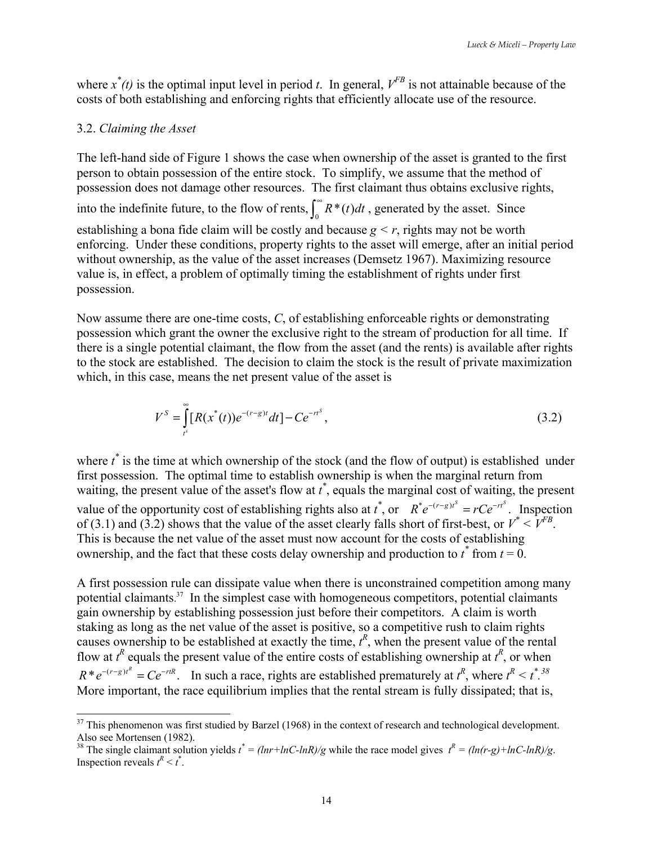where  $x^*(t)$  is the optimal input level in period *t*. In general,  $V^{FB}$  is not attainable because of the costs of both establishing and enforcing rights that efficiently allocate use of the resource.

#### 3.2. *Claiming the Asset*

 $\overline{\phantom{a}}$ 

The left-hand side of Figure 1 shows the case when ownership of the asset is granted to the first person to obtain possession of the entire stock. To simplify, we assume that the method of possession does not damage other resources. The first claimant thus obtains exclusive rights,

into the indefinite future, to the flow of rents,  $\int_0^{\infty} R^*(t) dt$ , generated by the asset. Since

establishing a bona fide claim will be costly and because  $g \le r$ , rights may not be worth enforcing. Under these conditions, property rights to the asset will emerge, after an initial period without ownership, as the value of the asset increases (Demsetz 1967). Maximizing resource value is, in effect, a problem of optimally timing the establishment of rights under first possession.

Now assume there are one-time costs, *C*, of establishing enforceable rights or demonstrating possession which grant the owner the exclusive right to the stream of production for all time. If there is a single potential claimant, the flow from the asset (and the rents) is available after rights to the stock are established. The decision to claim the stock is the result of private maximization which, in this case, means the net present value of the asset is

$$
V^{S} = \int_{t^{S}}^{\infty} [R(x^{*}(t))e^{-(r-g)t}dt] - Ce^{-rt^{S}}, \qquad (3.2)
$$

where  $t^*$  is the time at which ownership of the stock (and the flow of output) is established under first possession. The optimal time to establish ownership is when the marginal return from waiting, the present value of the asset's flow at  $t^*$ , equals the marginal cost of waiting, the present value of the opportunity cost of establishing rights also at  $t^*$ , or  $R^*e^{-(r-g)t^s} = rCe^{-rt^s}$ . Inspection of (3.1) and (3.2) shows that the value of the asset clearly falls short of first-best, or  $V^* < V^{FB}$ . This is because the net value of the asset must now account for the costs of establishing ownership, and the fact that these costs delay ownership and production to  $t^*$  from  $t = 0$ .

A first possession rule can dissipate value when there is unconstrained competition among many potential claimants.<sup>37</sup> In the simplest case with homogeneous competitors, potential claimants gain ownership by establishing possession just before their competitors. A claim is worth staking as long as the net value of the asset is positive, so a competitive rush to claim rights causes ownership to be established at exactly the time,  $t^R$ , when the present value of the rental flow at  $t^R$  equals the present value of the entire costs of establishing ownership at  $t^R$ , or when  $R^* e^{-(r-g)t^R} = Ce^{-rtR}$ . In such a race, rights are established prematurely at  $t^R$ , where  $t^R < t^*$ .<sup>38</sup> More important, the race equilibrium implies that the rental stream is fully dissipated; that is,

 $37$  This phenomenon was first studied by Barzel (1968) in the context of research and technological development. Also see Mortensen (1982).

<sup>&</sup>lt;sup>38</sup> The single claimant solution yields  $t^* = (lnr + lnC - lnR)/g$  while the race model gives  $t^R = (ln(r-g) + lnC - lnR)/g$ . Inspection reveals  $t^R < t^*$ .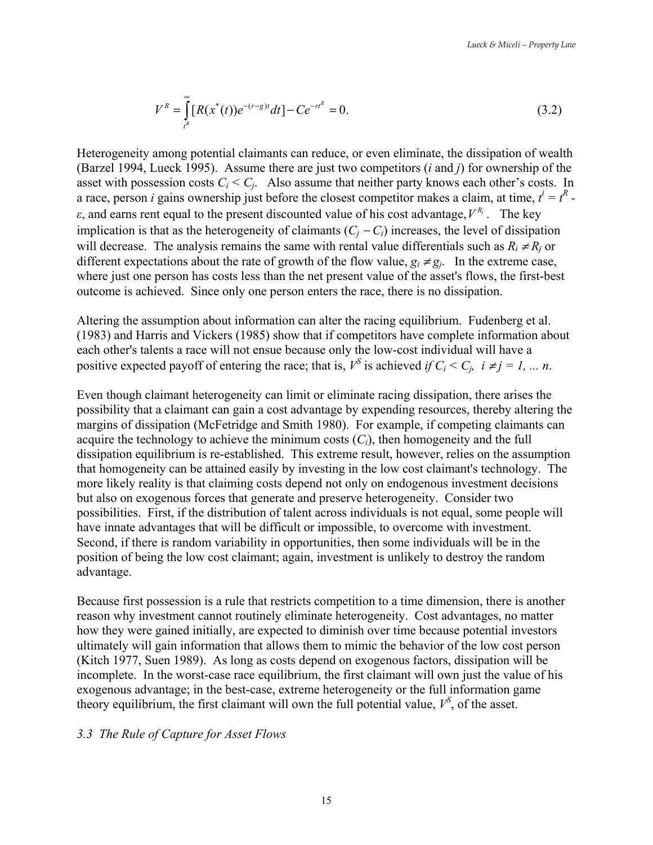$$
V^R = \int_{t^R}^{\infty} [R(x^*(t))e^{-(r-g)t}dt] - Ce^{-rt^R} = 0.
$$
 (3.2)

Heterogeneity among potential claimants can reduce, or even eliminate, the dissipation of wealth (Barzel 1994, Lueck 1995). Assume there are just two competitors (*i* and *j*) for ownership of the asset with possession costs  $C_i < C_j$ . Also assume that neither party knows each other's costs. In a race, person *i* gains ownership just before the closest competitor makes a claim, at time,  $t^i = t^R$ . *ε*, and earns rent equal to the present discounted value of his cost advantage,  $V^{R_i}$ . The key implication is that as the heterogeneity of claimants  $(C_i - C_i)$  increases, the level of dissipation will decrease. The analysis remains the same with rental value differentials such as  $R_i \neq R_j$  or different expectations about the rate of growth of the flow value,  $g_i \neq g_j$ . In the extreme case, where just one person has costs less than the net present value of the asset's flows, the first-best outcome is achieved. Since only one person enters the race, there is no dissipation.

Altering the assumption about information can alter the racing equilibrium. Fudenberg et al. (1983) and Harris and Vickers (1985) show that if competitors have complete information about each other's talents a race will not ensue because only the low-cost individual will have a positive expected payoff of entering the race; that is,  $V^S$  is achieved *if*  $C_i < C_j$ ,  $i \neq j = 1, ..., n$ .

Even though claimant heterogeneity can limit or eliminate racing dissipation, there arises the possibility that a claimant can gain a cost advantage by expending resources, thereby altering the margins of dissipation (McFetridge and Smith 1980). For example, if competing claimants can acquire the technology to achieve the minimum costs  $(C_i)$ , then homogeneity and the full dissipation equilibrium is re-established. This extreme result, however, relies on the assumption that homogeneity can be attained easily by investing in the low cost claimant's technology. The more likely reality is that claiming costs depend not only on endogenous investment decisions but also on exogenous forces that generate and preserve heterogeneity. Consider two possibilities. First, if the distribution of talent across individuals is not equal, some people will have innate advantages that will be difficult or impossible, to overcome with investment. Second, if there is random variability in opportunities, then some individuals will be in the position of being the low cost claimant; again, investment is unlikely to destroy the random advantage.

Because first possession is a rule that restricts competition to a time dimension, there is another reason why investment cannot routinely eliminate heterogeneity. Cost advantages, no matter how they were gained initially, are expected to diminish over time because potential investors ultimately will gain information that allows them to mimic the behavior of the low cost person (Kitch 1977, Suen 1989). As long as costs depend on exogenous factors, dissipation will be incomplete. In the worst-case race equilibrium, the first claimant will own just the value of his exogenous advantage; in the best-case, extreme heterogeneity or the full information game theory equilibrium, the first claimant will own the full potential value,  $V^{\mathcal{S}}$ , of the asset.

## *3.3 The Rule of Capture for Asset Flows*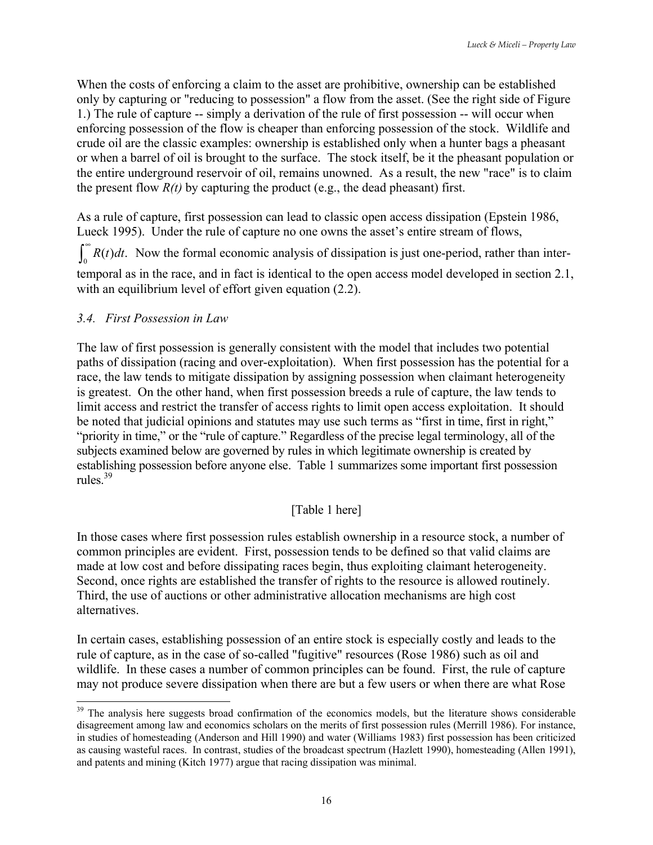When the costs of enforcing a claim to the asset are prohibitive, ownership can be established only by capturing or "reducing to possession" a flow from the asset. (See the right side of Figure 1.) The rule of capture -- simply a derivation of the rule of first possession -- will occur when enforcing possession of the flow is cheaper than enforcing possession of the stock. Wildlife and crude oil are the classic examples: ownership is established only when a hunter bags a pheasant or when a barrel of oil is brought to the surface. The stock itself, be it the pheasant population or the entire underground reservoir of oil, remains unowned. As a result, the new "race" is to claim the present flow  $R(t)$  by capturing the product (e.g., the dead pheasant) first.

As a rule of capture, first possession can lead to classic open access dissipation (Epstein 1986, Lueck 1995). Under the rule of capture no one owns the asset's entire stream of flows,

 $\int_0^{\infty} R(t) dt$ . Now the formal economic analysis of dissipation is just one-period, rather than inter-

temporal as in the race, and in fact is identical to the open access model developed in section 2.1, with an equilibrium level of effort given equation (2.2).

## *3.4. First Possession in Law*

 $\overline{\phantom{a}}$ 

The law of first possession is generally consistent with the model that includes two potential paths of dissipation (racing and over-exploitation). When first possession has the potential for a race, the law tends to mitigate dissipation by assigning possession when claimant heterogeneity is greatest. On the other hand, when first possession breeds a rule of capture, the law tends to limit access and restrict the transfer of access rights to limit open access exploitation. It should be noted that judicial opinions and statutes may use such terms as "first in time, first in right," "priority in time," or the "rule of capture." Regardless of the precise legal terminology, all of the subjects examined below are governed by rules in which legitimate ownership is created by establishing possession before anyone else. Table 1 summarizes some important first possession rules.39

## [Table 1 here]

In those cases where first possession rules establish ownership in a resource stock, a number of common principles are evident. First, possession tends to be defined so that valid claims are made at low cost and before dissipating races begin, thus exploiting claimant heterogeneity. Second, once rights are established the transfer of rights to the resource is allowed routinely. Third, the use of auctions or other administrative allocation mechanisms are high cost alternatives.

In certain cases, establishing possession of an entire stock is especially costly and leads to the rule of capture, as in the case of so-called "fugitive" resources (Rose 1986) such as oil and wildlife. In these cases a number of common principles can be found. First, the rule of capture may not produce severe dissipation when there are but a few users or when there are what Rose

<sup>&</sup>lt;sup>39</sup> The analysis here suggests broad confirmation of the economics models, but the literature shows considerable disagreement among law and economics scholars on the merits of first possession rules (Merrill 1986). For instance, in studies of homesteading (Anderson and Hill 1990) and water (Williams 1983) first possession has been criticized as causing wasteful races. In contrast, studies of the broadcast spectrum (Hazlett 1990), homesteading (Allen 1991), and patents and mining (Kitch 1977) argue that racing dissipation was minimal.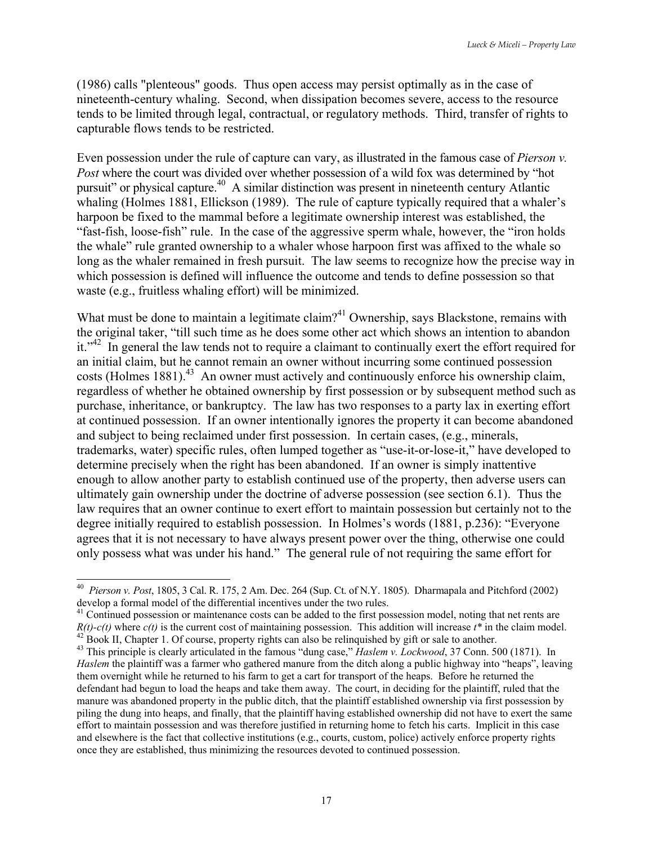(1986) calls "plenteous" goods. Thus open access may persist optimally as in the case of nineteenth-century whaling. Second, when dissipation becomes severe, access to the resource tends to be limited through legal, contractual, or regulatory methods. Third, transfer of rights to capturable flows tends to be restricted.

Even possession under the rule of capture can vary, as illustrated in the famous case of *Pierson v. Post* where the court was divided over whether possession of a wild fox was determined by "hot pursuit" or physical capture.<sup>40</sup> A similar distinction was present in nineteenth century Atlantic whaling (Holmes 1881, Ellickson (1989). The rule of capture typically required that a whaler's harpoon be fixed to the mammal before a legitimate ownership interest was established, the "fast-fish, loose-fish" rule. In the case of the aggressive sperm whale, however, the "iron holds the whale" rule granted ownership to a whaler whose harpoon first was affixed to the whale so long as the whaler remained in fresh pursuit. The law seems to recognize how the precise way in which possession is defined will influence the outcome and tends to define possession so that waste (e.g., fruitless whaling effort) will be minimized.

What must be done to maintain a legitimate claim?<sup>41</sup> Ownership, says Blackstone, remains with the original taker, "till such time as he does some other act which shows an intention to abandon it."<sup>42</sup> In general the law tends not to require a claimant to continually exert the effort required for an initial claim, but he cannot remain an owner without incurring some continued possession costs (Holmes 1881).<sup>43</sup> An owner must actively and continuously enforce his ownership claim, regardless of whether he obtained ownership by first possession or by subsequent method such as purchase, inheritance, or bankruptcy. The law has two responses to a party lax in exerting effort at continued possession. If an owner intentionally ignores the property it can become abandoned and subject to being reclaimed under first possession. In certain cases, (e.g., minerals, trademarks, water) specific rules, often lumped together as "use-it-or-lose-it," have developed to determine precisely when the right has been abandoned. If an owner is simply inattentive enough to allow another party to establish continued use of the property, then adverse users can ultimately gain ownership under the doctrine of adverse possession (see section 6.1). Thus the law requires that an owner continue to exert effort to maintain possession but certainly not to the degree initially required to establish possession. In Holmes's words (1881, p.236): "Everyone agrees that it is not necessary to have always present power over the thing, otherwise one could only possess what was under his hand." The general rule of not requiring the same effort for

<sup>40</sup> *Pierson v. Post*, 1805, 3 Cal. R. 175, 2 Am. Dec. 264 (Sup. Ct. of N.Y. 1805). Dharmapala and Pitchford (2002) develop a formal model of the differential incentives under the two rules.

<sup>&</sup>lt;sup>41</sup> Continued possession or maintenance costs can be added to the first possession model, noting that net rents are  $R(t)-c(t)$  where  $c(t)$  is the current cost of maintaining possession. This addition will increase  $t^*$  in the claim model.<br><sup>42</sup> Book II, Chapter 1. Of course, property rights can also be relinquished by gift or sale to ano

<sup>&</sup>lt;sup>43</sup> This principle is clearly articulated in the famous "dung case," *Haslem v. Lockwood*, 37 Conn. 500 (1871). In *Haslem* the plaintiff was a farmer who gathered manure from the ditch along a public highway into "heaps", leaving them overnight while he returned to his farm to get a cart for transport of the heaps. Before he returned the defendant had begun to load the heaps and take them away. The court, in deciding for the plaintiff, ruled that the manure was abandoned property in the public ditch, that the plaintiff established ownership via first possession by piling the dung into heaps, and finally, that the plaintiff having established ownership did not have to exert the same effort to maintain possession and was therefore justified in returning home to fetch his carts. Implicit in this case and elsewhere is the fact that collective institutions (e.g., courts, custom, police) actively enforce property rights once they are established, thus minimizing the resources devoted to continued possession.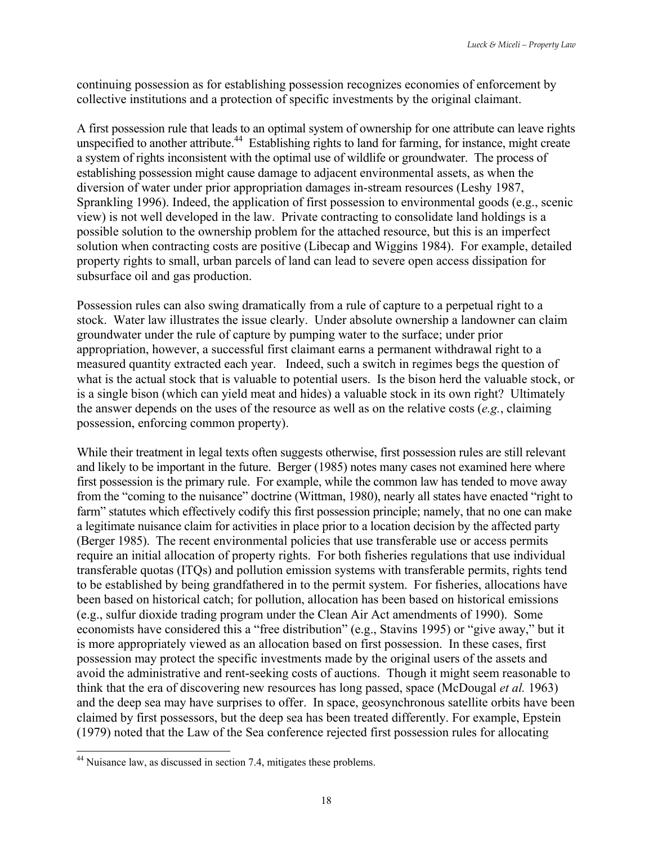continuing possession as for establishing possession recognizes economies of enforcement by collective institutions and a protection of specific investments by the original claimant.

A first possession rule that leads to an optimal system of ownership for one attribute can leave rights unspecified to another attribute.<sup>44</sup> Establishing rights to land for farming, for instance, might create a system of rights inconsistent with the optimal use of wildlife or groundwater. The process of establishing possession might cause damage to adjacent environmental assets, as when the diversion of water under prior appropriation damages in-stream resources (Leshy 1987, Sprankling 1996). Indeed, the application of first possession to environmental goods (e.g., scenic view) is not well developed in the law. Private contracting to consolidate land holdings is a possible solution to the ownership problem for the attached resource, but this is an imperfect solution when contracting costs are positive (Libecap and Wiggins 1984). For example, detailed property rights to small, urban parcels of land can lead to severe open access dissipation for subsurface oil and gas production.

Possession rules can also swing dramatically from a rule of capture to a perpetual right to a stock. Water law illustrates the issue clearly. Under absolute ownership a landowner can claim groundwater under the rule of capture by pumping water to the surface; under prior appropriation, however, a successful first claimant earns a permanent withdrawal right to a measured quantity extracted each year. Indeed, such a switch in regimes begs the question of what is the actual stock that is valuable to potential users. Is the bison herd the valuable stock, or is a single bison (which can yield meat and hides) a valuable stock in its own right? Ultimately the answer depends on the uses of the resource as well as on the relative costs (*e.g.*, claiming possession, enforcing common property).

While their treatment in legal texts often suggests otherwise, first possession rules are still relevant and likely to be important in the future. Berger (1985) notes many cases not examined here where first possession is the primary rule. For example, while the common law has tended to move away from the "coming to the nuisance" doctrine (Wittman, 1980), nearly all states have enacted "right to farm" statutes which effectively codify this first possession principle; namely, that no one can make a legitimate nuisance claim for activities in place prior to a location decision by the affected party (Berger 1985). The recent environmental policies that use transferable use or access permits require an initial allocation of property rights. For both fisheries regulations that use individual transferable quotas (ITQs) and pollution emission systems with transferable permits, rights tend to be established by being grandfathered in to the permit system. For fisheries, allocations have been based on historical catch; for pollution, allocation has been based on historical emissions (e.g., sulfur dioxide trading program under the Clean Air Act amendments of 1990). Some economists have considered this a "free distribution" (e.g., Stavins 1995) or "give away," but it is more appropriately viewed as an allocation based on first possession. In these cases, first possession may protect the specific investments made by the original users of the assets and avoid the administrative and rent-seeking costs of auctions. Though it might seem reasonable to think that the era of discovering new resources has long passed, space (McDougal *et al.* 1963) and the deep sea may have surprises to offer. In space, geosynchronous satellite orbits have been claimed by first possessors, but the deep sea has been treated differently. For example, Epstein (1979) noted that the Law of the Sea conference rejected first possession rules for allocating

<sup>44</sup> Nuisance law, as discussed in section 7.4, mitigates these problems.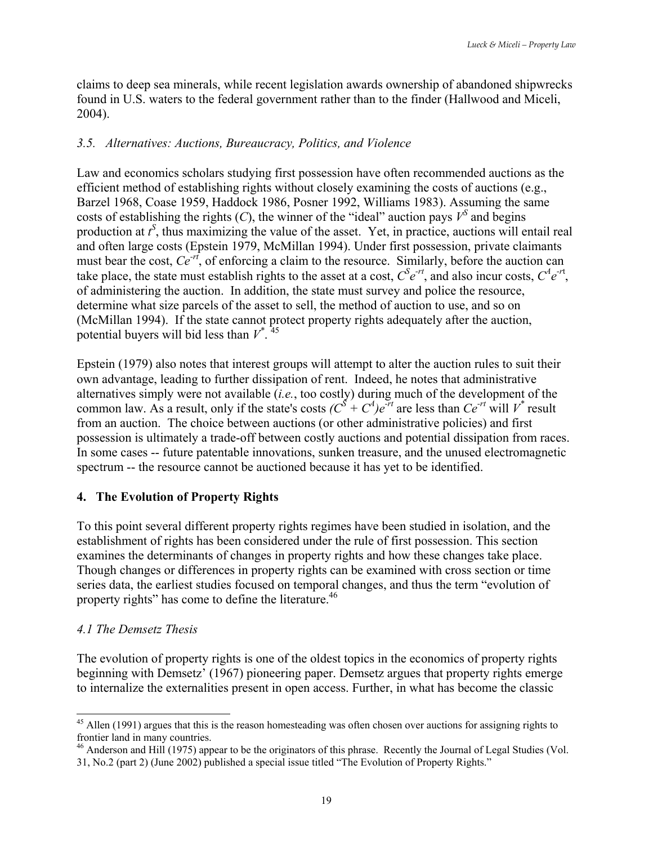claims to deep sea minerals, while recent legislation awards ownership of abandoned shipwrecks found in U.S. waters to the federal government rather than to the finder (Hallwood and Miceli, 2004).

## *3.5. Alternatives: Auctions, Bureaucracy, Politics, and Violence*

Law and economics scholars studying first possession have often recommended auctions as the efficient method of establishing rights without closely examining the costs of auctions (e.g., Barzel 1968, Coase 1959, Haddock 1986, Posner 1992, Williams 1983). Assuming the same costs of establishing the rights  $(C)$ , the winner of the "ideal" auction pays  $V^S$  and begins production at  $t^S$ , thus maximizing the value of the asset. Yet, in practice, auctions will entail real and often large costs (Epstein 1979, McMillan 1994). Under first possession, private claimants must bear the cost, *Ce-rt*, of enforcing a claim to the resource. Similarly, before the auction can take place, the state must establish rights to the asset at a cost,  $C^s e^{-rt}$ , and also incur costs,  $C^4 e^{-rt}$ , of administering the auction. In addition, the state must survey and police the resource, determine what size parcels of the asset to sell, the method of auction to use, and so on (McMillan 1994). If the state cannot protect property rights adequately after the auction, potential buyers will bid less than  $V^*$ .<sup>45</sup>

Epstein (1979) also notes that interest groups will attempt to alter the auction rules to suit their own advantage, leading to further dissipation of rent. Indeed, he notes that administrative alternatives simply were not available (*i.e.*, too costly) during much of the development of the common law. As a result, only if the state's costs  $(C^S + C^A)e^{-rt}$  are less than  $Ce^{-rt}$  will  $V^*$  result from an auction. The choice between auctions (or other administrative policies) and first possession is ultimately a trade-off between costly auctions and potential dissipation from races. In some cases -- future patentable innovations, sunken treasure, and the unused electromagnetic spectrum -- the resource cannot be auctioned because it has yet to be identified.

## **4. The Evolution of Property Rights**

To this point several different property rights regimes have been studied in isolation, and the establishment of rights has been considered under the rule of first possession. This section examines the determinants of changes in property rights and how these changes take place. Though changes or differences in property rights can be examined with cross section or time series data, the earliest studies focused on temporal changes, and thus the term "evolution of property rights" has come to define the literature.<sup>46</sup>

## *4.1 The Demsetz Thesis*

 $\overline{\phantom{a}}$ 

The evolution of property rights is one of the oldest topics in the economics of property rights beginning with Demsetz' (1967) pioneering paper. Demsetz argues that property rights emerge to internalize the externalities present in open access. Further, in what has become the classic

 $45$  Allen (1991) argues that this is the reason homesteading was often chosen over auctions for assigning rights to frontier land in many countries.

<sup>&</sup>lt;sup>46</sup> Anderson and Hill (1975) appear to be the originators of this phrase. Recently the Journal of Legal Studies (Vol. 31, No.2 (part 2) (June 2002) published a special issue titled "The Evolution of Property Rights."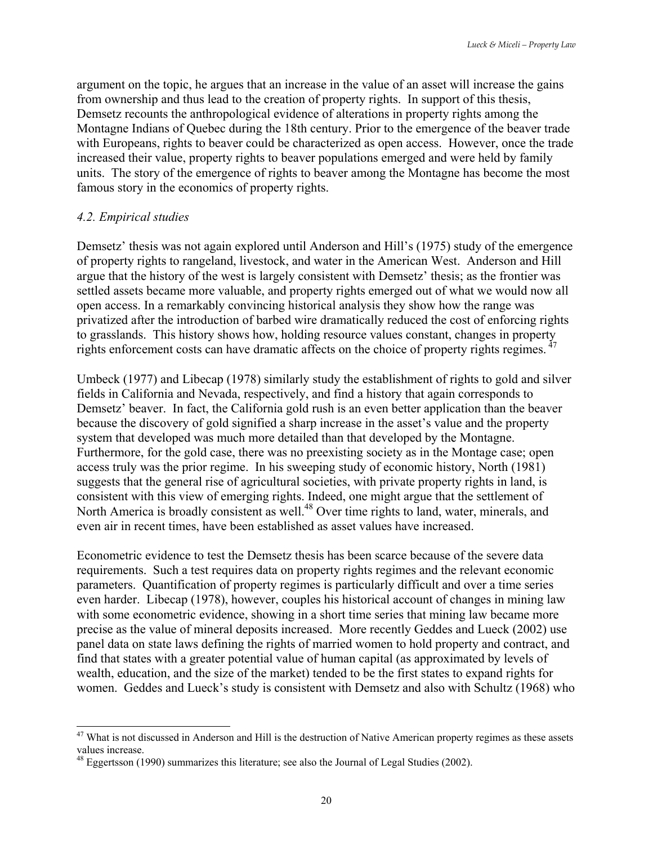argument on the topic, he argues that an increase in the value of an asset will increase the gains from ownership and thus lead to the creation of property rights. In support of this thesis, Demsetz recounts the anthropological evidence of alterations in property rights among the Montagne Indians of Quebec during the 18th century. Prior to the emergence of the beaver trade with Europeans, rights to beaver could be characterized as open access. However, once the trade increased their value, property rights to beaver populations emerged and were held by family units. The story of the emergence of rights to beaver among the Montagne has become the most famous story in the economics of property rights.

#### *4.2. Empirical studies*

l

Demsetz' thesis was not again explored until Anderson and Hill's (1975) study of the emergence of property rights to rangeland, livestock, and water in the American West. Anderson and Hill argue that the history of the west is largely consistent with Demsetz' thesis; as the frontier was settled assets became more valuable, and property rights emerged out of what we would now all open access. In a remarkably convincing historical analysis they show how the range was privatized after the introduction of barbed wire dramatically reduced the cost of enforcing rights to grasslands. This history shows how, holding resource values constant, changes in property rights enforcement costs can have dramatic affects on the choice of property rights regimes. <sup>47</sup>

Umbeck (1977) and Libecap (1978) similarly study the establishment of rights to gold and silver fields in California and Nevada, respectively, and find a history that again corresponds to Demsetz' beaver. In fact, the California gold rush is an even better application than the beaver because the discovery of gold signified a sharp increase in the asset's value and the property system that developed was much more detailed than that developed by the Montagne. Furthermore, for the gold case, there was no preexisting society as in the Montage case; open access truly was the prior regime. In his sweeping study of economic history, North (1981) suggests that the general rise of agricultural societies, with private property rights in land, is consistent with this view of emerging rights. Indeed, one might argue that the settlement of North America is broadly consistent as well.<sup>48</sup> Over time rights to land, water, minerals, and even air in recent times, have been established as asset values have increased.

Econometric evidence to test the Demsetz thesis has been scarce because of the severe data requirements. Such a test requires data on property rights regimes and the relevant economic parameters. Quantification of property regimes is particularly difficult and over a time series even harder. Libecap (1978), however, couples his historical account of changes in mining law with some econometric evidence, showing in a short time series that mining law became more precise as the value of mineral deposits increased. More recently Geddes and Lueck (2002) use panel data on state laws defining the rights of married women to hold property and contract, and find that states with a greater potential value of human capital (as approximated by levels of wealth, education, and the size of the market) tended to be the first states to expand rights for women. Geddes and Lueck's study is consistent with Demsetz and also with Schultz (1968) who

<sup>&</sup>lt;sup>47</sup> What is not discussed in Anderson and Hill is the destruction of Native American property regimes as these assets values increase.

 $^{48}$  Eggertsson (1990) summarizes this literature; see also the Journal of Legal Studies (2002).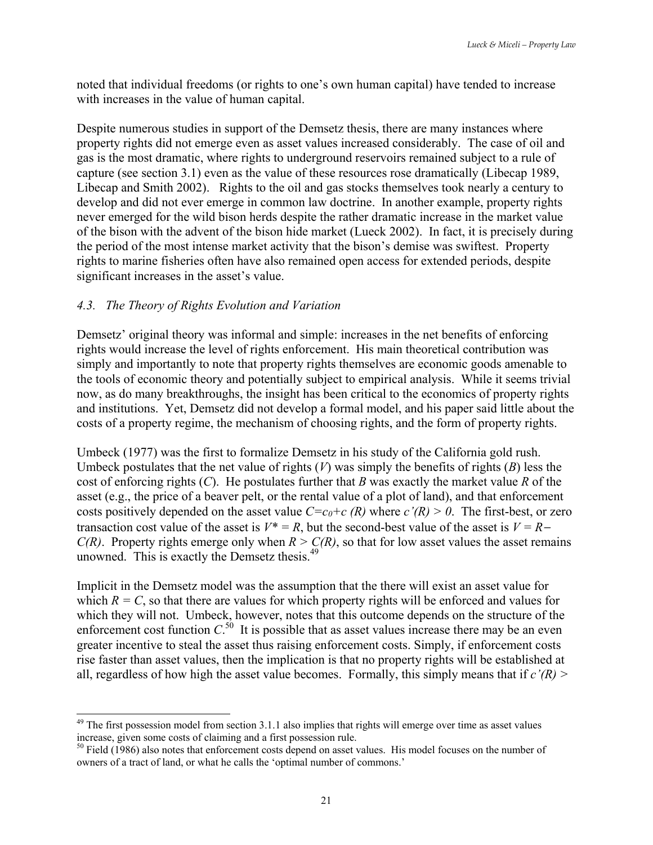noted that individual freedoms (or rights to one's own human capital) have tended to increase with increases in the value of human capital.

Despite numerous studies in support of the Demsetz thesis, there are many instances where property rights did not emerge even as asset values increased considerably. The case of oil and gas is the most dramatic, where rights to underground reservoirs remained subject to a rule of capture (see section 3.1) even as the value of these resources rose dramatically (Libecap 1989, Libecap and Smith 2002). Rights to the oil and gas stocks themselves took nearly a century to develop and did not ever emerge in common law doctrine. In another example, property rights never emerged for the wild bison herds despite the rather dramatic increase in the market value of the bison with the advent of the bison hide market (Lueck 2002). In fact, it is precisely during the period of the most intense market activity that the bison's demise was swiftest. Property rights to marine fisheries often have also remained open access for extended periods, despite significant increases in the asset's value.

## *4.3. The Theory of Rights Evolution and Variation*

 $\overline{\phantom{a}}$ 

Demsetz' original theory was informal and simple: increases in the net benefits of enforcing rights would increase the level of rights enforcement. His main theoretical contribution was simply and importantly to note that property rights themselves are economic goods amenable to the tools of economic theory and potentially subject to empirical analysis. While it seems trivial now, as do many breakthroughs, the insight has been critical to the economics of property rights and institutions. Yet, Demsetz did not develop a formal model, and his paper said little about the costs of a property regime, the mechanism of choosing rights, and the form of property rights.

Umbeck (1977) was the first to formalize Demsetz in his study of the California gold rush. Umbeck postulates that the net value of rights (*V*) was simply the benefits of rights (*B*) less the cost of enforcing rights (*C*). He postulates further that *B* was exactly the market value *R* of the asset (e.g., the price of a beaver pelt, or the rental value of a plot of land), and that enforcement costs positively depended on the asset value  $C=c_0+c(R)$  where  $c'(R) > 0$ . The first-best, or zero transaction cost value of the asset is  $V^* = R$ , but the second-best value of the asset is  $V = R-$ *C(R)*. Property rights emerge only when  $R > C(R)$ , so that for low asset values the asset remains unowned. This is exactly the Demsetz thesis.<sup>49</sup>

Implicit in the Demsetz model was the assumption that the there will exist an asset value for which  $R = C$ , so that there are values for which property rights will be enforced and values for which they will not. Umbeck, however, notes that this outcome depends on the structure of the enforcement cost function  $C^{50}$ . It is possible that as asset values increase there may be an even greater incentive to steal the asset thus raising enforcement costs. Simply, if enforcement costs rise faster than asset values, then the implication is that no property rights will be established at all, regardless of how high the asset value becomes. Formally, this simply means that if *c'(R) >*

 $49$  The first possession model from section 3.1.1 also implies that rights will emerge over time as asset values increase, given some costs of claiming and a first possession rule.<br><sup>50</sup> Field (1986) also notes that enforcement costs depend on asset values. His model focuses on the number of

owners of a tract of land, or what he calls the 'optimal number of commons.'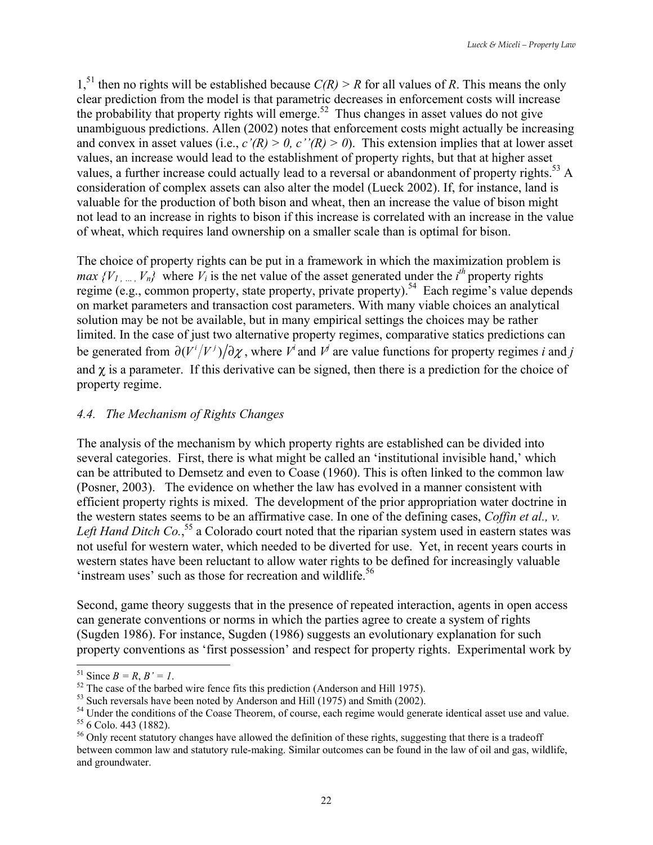1,<sup>51</sup> then no rights will be established because  $C(R) > R$  for all values of R. This means the only clear prediction from the model is that parametric decreases in enforcement costs will increase the probability that property rights will emerge.<sup>52</sup> Thus changes in asset values do not give unambiguous predictions. Allen (2002) notes that enforcement costs might actually be increasing and convex in asset values (i.e.,  $c'(R) > 0$ ,  $c''(R) > 0$ ). This extension implies that at lower asset values, an increase would lead to the establishment of property rights, but that at higher asset values, a further increase could actually lead to a reversal or abandonment of property rights.<sup>53</sup> A consideration of complex assets can also alter the model (Lueck 2002). If, for instance, land is valuable for the production of both bison and wheat, then an increase the value of bison might not lead to an increase in rights to bison if this increase is correlated with an increase in the value of wheat, which requires land ownership on a smaller scale than is optimal for bison.

The choice of property rights can be put in a framework in which the maximization problem is *max*  $\{V_1, ..., V_n\}$  where  $V_i$  is the net value of the asset generated under the *i*<sup>th</sup> property rights regime (e.g., common property, state property, private property).<sup>54</sup> Each regime's value depends on market parameters and transaction cost parameters. With many viable choices an analytical solution may be not be available, but in many empirical settings the choices may be rather limited. In the case of just two alternative property regimes, comparative statics predictions can be generated from  $\partial (V^i / V^j) / \partial \chi$ , where  $V^i$  and  $V^j$  are value functions for property regimes *i* and *j* and  $\chi$  is a parameter. If this derivative can be signed, then there is a prediction for the choice of property regime.

## *4.4. The Mechanism of Rights Changes*

The analysis of the mechanism by which property rights are established can be divided into several categories. First, there is what might be called an 'institutional invisible hand,' which can be attributed to Demsetz and even to Coase (1960). This is often linked to the common law (Posner, 2003). The evidence on whether the law has evolved in a manner consistent with efficient property rights is mixed. The development of the prior appropriation water doctrine in the western states seems to be an affirmative case. In one of the defining cases, *Coffin et al., v.* Left Hand Ditch Co.,<sup>55</sup> a Colorado court noted that the riparian system used in eastern states was not useful for western water, which needed to be diverted for use. Yet, in recent years courts in western states have been reluctant to allow water rights to be defined for increasingly valuable 'instream uses' such as those for recreation and wildlife.<sup>56</sup>

Second, game theory suggests that in the presence of repeated interaction, agents in open access can generate conventions or norms in which the parties agree to create a system of rights (Sugden 1986). For instance, Sugden (1986) suggests an evolutionary explanation for such property conventions as 'first possession' and respect for property rights. Experimental work by

<sup>&</sup>lt;sup>51</sup> Since  $B = R, B' = I$ .

<sup>&</sup>lt;sup>52</sup> The case of the barbed wire fence fits this prediction (Anderson and Hill 1975).<br><sup>53</sup> Such reversals have been noted by Anderson and Hill (1975) and Smith (2002).

 $54$  Under the conditions of the Coase Theorem, of course, each regime would generate identical asset use and value.  $55$  6 Colo. 443 (1882).

<sup>&</sup>lt;sup>56</sup> Only recent statutory changes have allowed the definition of these rights, suggesting that there is a tradeoff between common law and statutory rule-making. Similar outcomes can be found in the law of oil and gas, wildlife, and groundwater.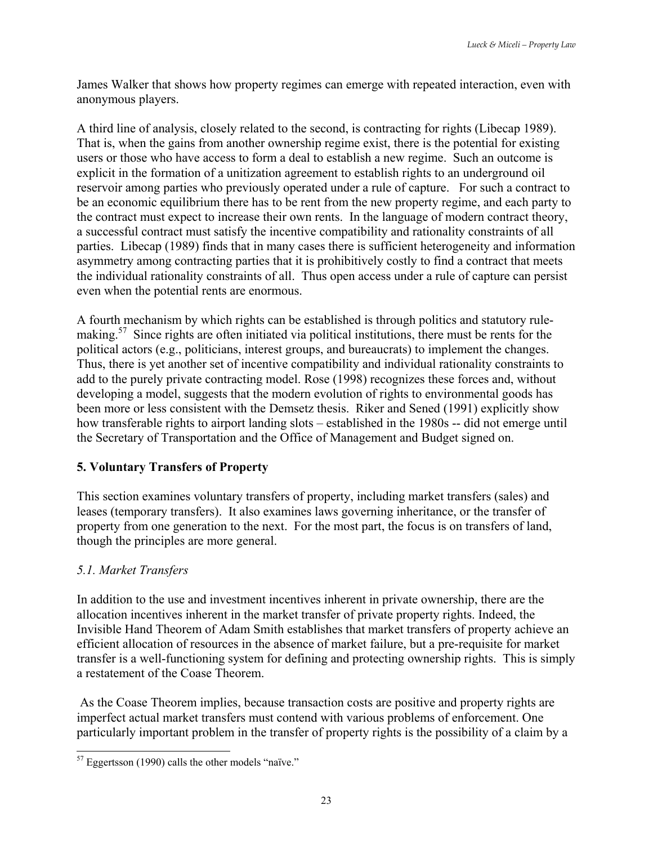James Walker that shows how property regimes can emerge with repeated interaction, even with anonymous players.

A third line of analysis, closely related to the second, is contracting for rights (Libecap 1989). That is, when the gains from another ownership regime exist, there is the potential for existing users or those who have access to form a deal to establish a new regime. Such an outcome is explicit in the formation of a unitization agreement to establish rights to an underground oil reservoir among parties who previously operated under a rule of capture. For such a contract to be an economic equilibrium there has to be rent from the new property regime, and each party to the contract must expect to increase their own rents. In the language of modern contract theory, a successful contract must satisfy the incentive compatibility and rationality constraints of all parties. Libecap (1989) finds that in many cases there is sufficient heterogeneity and information asymmetry among contracting parties that it is prohibitively costly to find a contract that meets the individual rationality constraints of all. Thus open access under a rule of capture can persist even when the potential rents are enormous.

A fourth mechanism by which rights can be established is through politics and statutory rulemaking.<sup>57</sup> Since rights are often initiated via political institutions, there must be rents for the political actors (e.g., politicians, interest groups, and bureaucrats) to implement the changes. Thus, there is yet another set of incentive compatibility and individual rationality constraints to add to the purely private contracting model. Rose (1998) recognizes these forces and, without developing a model, suggests that the modern evolution of rights to environmental goods has been more or less consistent with the Demsetz thesis. Riker and Sened (1991) explicitly show how transferable rights to airport landing slots – established in the 1980s -- did not emerge until the Secretary of Transportation and the Office of Management and Budget signed on.

## **5. Voluntary Transfers of Property**

This section examines voluntary transfers of property, including market transfers (sales) and leases (temporary transfers). It also examines laws governing inheritance, or the transfer of property from one generation to the next. For the most part, the focus is on transfers of land, though the principles are more general.

## *5.1. Market Transfers*

In addition to the use and investment incentives inherent in private ownership, there are the allocation incentives inherent in the market transfer of private property rights. Indeed, the Invisible Hand Theorem of Adam Smith establishes that market transfers of property achieve an efficient allocation of resources in the absence of market failure, but a pre-requisite for market transfer is a well-functioning system for defining and protecting ownership rights. This is simply a restatement of the Coase Theorem.

 As the Coase Theorem implies, because transaction costs are positive and property rights are imperfect actual market transfers must contend with various problems of enforcement. One particularly important problem in the transfer of property rights is the possibility of a claim by a

 $\overline{\phantom{a}}$  $57$  Eggertsson (1990) calls the other models "naïve."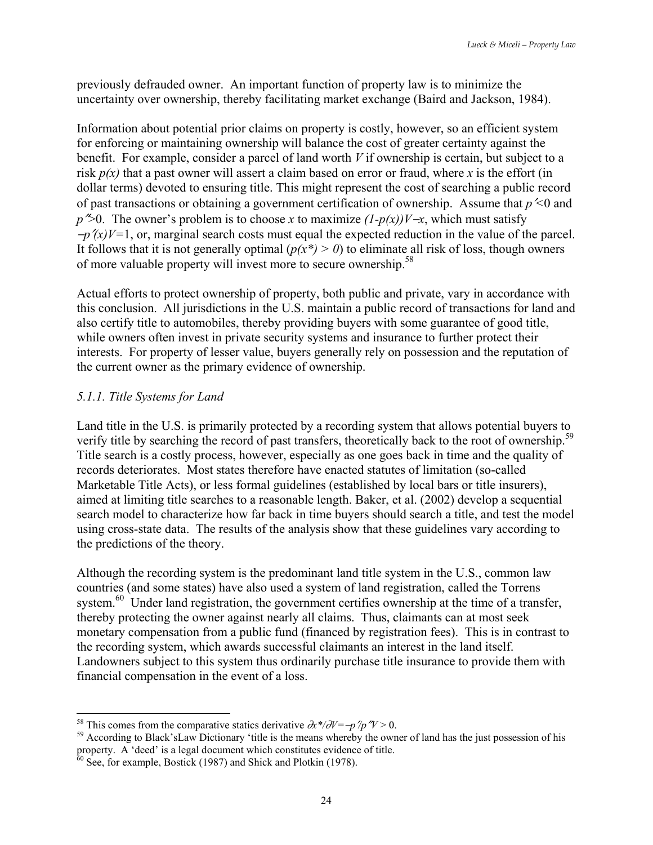previously defrauded owner. An important function of property law is to minimize the uncertainty over ownership, thereby facilitating market exchange (Baird and Jackson, 1984).

Information about potential prior claims on property is costly, however, so an efficient system for enforcing or maintaining ownership will balance the cost of greater certainty against the benefit. For example, consider a parcel of land worth *V* if ownership is certain, but subject to a risk *p(x)* that a past owner will assert a claim based on error or fraud, where *x* is the effort (in dollar terms) devoted to ensuring title. This might represent the cost of searching a public record of past transactions or obtaining a government certification of ownership. Assume that *p*′*<*0 and *p*<sup> $\textdegree$ </sup> $\textdegree$ 0. The owner's problem is to choose *x* to maximize *(1-p(x))V*−*x*, which must satisfy <sup>−</sup>*p*′*(x)V=*1, or, marginal search costs must equal the expected reduction in the value of the parcel. It follows that it is not generally optimal  $(p(x^*) > 0)$  to eliminate all risk of loss, though owners of more valuable property will invest more to secure ownership.<sup>58</sup>

Actual efforts to protect ownership of property, both public and private, vary in accordance with this conclusion. All jurisdictions in the U.S. maintain a public record of transactions for land and also certify title to automobiles, thereby providing buyers with some guarantee of good title, while owners often invest in private security systems and insurance to further protect their interests. For property of lesser value, buyers generally rely on possession and the reputation of the current owner as the primary evidence of ownership.

## *5.1.1. Title Systems for Land*

 $\overline{\phantom{a}}$ 

Land title in the U.S. is primarily protected by a recording system that allows potential buyers to verify title by searching the record of past transfers, theoretically back to the root of ownership.<sup>59</sup> Title search is a costly process, however, especially as one goes back in time and the quality of records deteriorates. Most states therefore have enacted statutes of limitation (so-called Marketable Title Acts), or less formal guidelines (established by local bars or title insurers), aimed at limiting title searches to a reasonable length. Baker, et al. (2002) develop a sequential search model to characterize how far back in time buyers should search a title, and test the model using cross-state data. The results of the analysis show that these guidelines vary according to the predictions of the theory.

Although the recording system is the predominant land title system in the U.S., common law countries (and some states) have also used a system of land registration, called the Torrens system.<sup>60</sup> Under land registration, the government certifies ownership at the time of a transfer, thereby protecting the owner against nearly all claims. Thus, claimants can at most seek monetary compensation from a public fund (financed by registration fees). This is in contrast to the recording system, which awards successful claimants an interest in the land itself. Landowners subject to this system thus ordinarily purchase title insurance to provide them with financial compensation in the event of a loss.

<sup>&</sup>lt;sup>58</sup> This comes from the comparative statics derivative  $\partial x^*/\partial V = -p'p''V > 0$ .<br><sup>59</sup> According to Black'sLaw Dictionary 'title is the means whereby the owner of land has the just possession of his property. A 'deed' is a legal document which constitutes evidence of title.

 $60$  See, for example, Bostick (1987) and Shick and Plotkin (1978).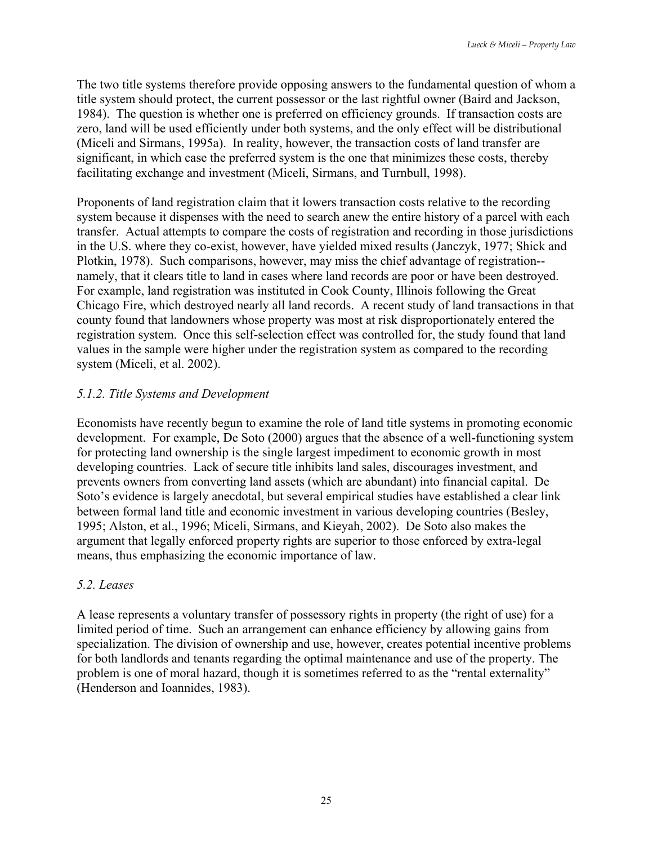The two title systems therefore provide opposing answers to the fundamental question of whom a title system should protect, the current possessor or the last rightful owner (Baird and Jackson, 1984). The question is whether one is preferred on efficiency grounds. If transaction costs are zero, land will be used efficiently under both systems, and the only effect will be distributional (Miceli and Sirmans, 1995a). In reality, however, the transaction costs of land transfer are significant, in which case the preferred system is the one that minimizes these costs, thereby facilitating exchange and investment (Miceli, Sirmans, and Turnbull, 1998).

Proponents of land registration claim that it lowers transaction costs relative to the recording system because it dispenses with the need to search anew the entire history of a parcel with each transfer. Actual attempts to compare the costs of registration and recording in those jurisdictions in the U.S. where they co-exist, however, have yielded mixed results (Janczyk, 1977; Shick and Plotkin, 1978). Such comparisons, however, may miss the chief advantage of registration- namely, that it clears title to land in cases where land records are poor or have been destroyed. For example, land registration was instituted in Cook County, Illinois following the Great Chicago Fire, which destroyed nearly all land records. A recent study of land transactions in that county found that landowners whose property was most at risk disproportionately entered the registration system. Once this self-selection effect was controlled for, the study found that land values in the sample were higher under the registration system as compared to the recording system (Miceli, et al. 2002).

## *5.1.2. Title Systems and Development*

Economists have recently begun to examine the role of land title systems in promoting economic development. For example, De Soto (2000) argues that the absence of a well-functioning system for protecting land ownership is the single largest impediment to economic growth in most developing countries. Lack of secure title inhibits land sales, discourages investment, and prevents owners from converting land assets (which are abundant) into financial capital. De Soto's evidence is largely anecdotal, but several empirical studies have established a clear link between formal land title and economic investment in various developing countries (Besley, 1995; Alston, et al., 1996; Miceli, Sirmans, and Kieyah, 2002). De Soto also makes the argument that legally enforced property rights are superior to those enforced by extra-legal means, thus emphasizing the economic importance of law.

## *5.2. Leases*

A lease represents a voluntary transfer of possessory rights in property (the right of use) for a limited period of time. Such an arrangement can enhance efficiency by allowing gains from specialization. The division of ownership and use, however, creates potential incentive problems for both landlords and tenants regarding the optimal maintenance and use of the property. The problem is one of moral hazard, though it is sometimes referred to as the "rental externality" (Henderson and Ioannides, 1983).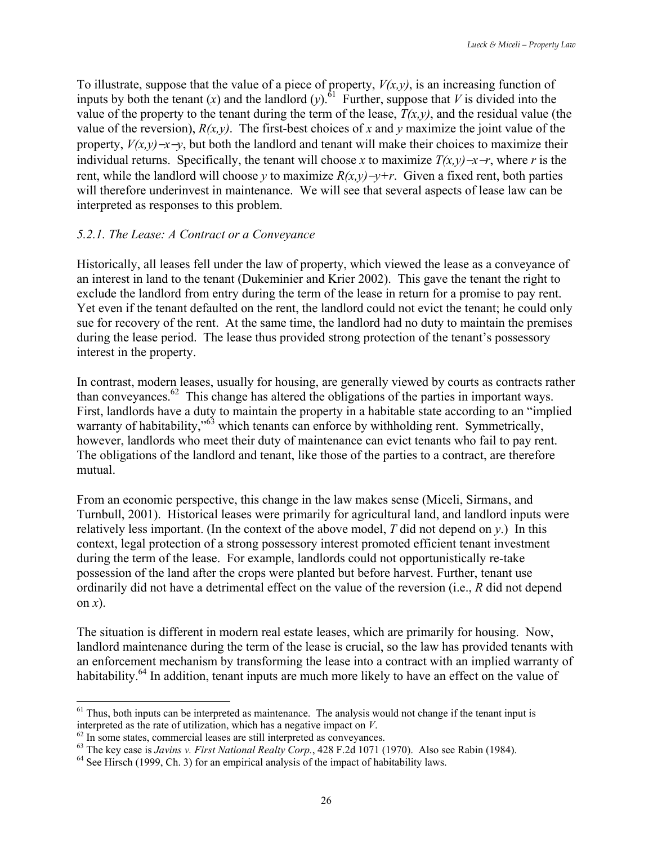To illustrate, suppose that the value of a piece of property,  $V(x, y)$ , is an increasing function of inputs by both the tenant  $(x)$  and the landlord  $(y)$ .<sup>61</sup> Further, suppose that *V* is divided into the value of the property to the tenant during the term of the lease,  $T(x, y)$ , and the residual value (the value of the reversion),  $R(x, y)$ . The first-best choices of x and y maximize the joint value of the property,  $V(x, y)$  –*x*−*y*, but both the landlord and tenant will make their choices to maximize their individual returns. Specifically, the tenant will choose *x* to maximize  $T(x,y)-x-r$ , where *r* is the rent, while the landlord will choose *y* to maximize  $R(x, y)$ −*y+r*. Given a fixed rent, both parties will therefore underinvest in maintenance. We will see that several aspects of lease law can be interpreted as responses to this problem.

## *5.2.1. The Lease: A Contract or a Conveyance*

Historically, all leases fell under the law of property, which viewed the lease as a conveyance of an interest in land to the tenant (Dukeminier and Krier 2002). This gave the tenant the right to exclude the landlord from entry during the term of the lease in return for a promise to pay rent. Yet even if the tenant defaulted on the rent, the landlord could not evict the tenant; he could only sue for recovery of the rent. At the same time, the landlord had no duty to maintain the premises during the lease period. The lease thus provided strong protection of the tenant's possessory interest in the property.

In contrast, modern leases, usually for housing, are generally viewed by courts as contracts rather than conveyances.62 This change has altered the obligations of the parties in important ways. First, landlords have a duty to maintain the property in a habitable state according to an "implied warranty of habitability,"<sup>63</sup> which tenants can enforce by withholding rent. Symmetrically, however, landlords who meet their duty of maintenance can evict tenants who fail to pay rent. The obligations of the landlord and tenant, like those of the parties to a contract, are therefore mutual.

From an economic perspective, this change in the law makes sense (Miceli, Sirmans, and Turnbull, 2001). Historical leases were primarily for agricultural land, and landlord inputs were relatively less important. (In the context of the above model, *T* did not depend on *y*.) In this context, legal protection of a strong possessory interest promoted efficient tenant investment during the term of the lease. For example, landlords could not opportunistically re-take possession of the land after the crops were planted but before harvest. Further, tenant use ordinarily did not have a detrimental effect on the value of the reversion (i.e., *R* did not depend on *x*).

The situation is different in modern real estate leases, which are primarily for housing. Now, landlord maintenance during the term of the lease is crucial, so the law has provided tenants with an enforcement mechanism by transforming the lease into a contract with an implied warranty of habitability.<sup>64</sup> In addition, tenant inputs are much more likely to have an effect on the value of

<sup>&</sup>lt;sup>61</sup> Thus, both inputs can be interpreted as maintenance. The analysis would not change if the tenant input is interpreted as the rate of utilization, which has a negative impact on  $V$ .

 $\frac{62}{10}$  In some states, commercial leases are still interpreted as conveyances.

<sup>&</sup>lt;sup>63</sup> The key case is *Javins v. First National Realty Corp.*, 428 F.2d 1071 (1970). Also see Rabin (1984). <sup>64</sup> See Hirsch (1999, Ch. 3) for an empirical analysis of the impact of habitability laws.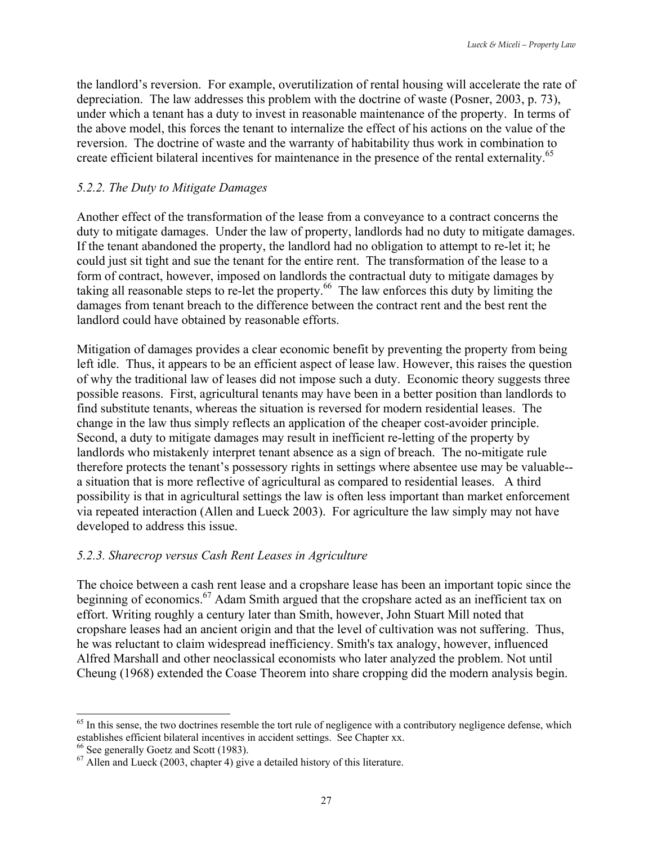the landlord's reversion. For example, overutilization of rental housing will accelerate the rate of depreciation. The law addresses this problem with the doctrine of waste (Posner, 2003, p. 73), under which a tenant has a duty to invest in reasonable maintenance of the property. In terms of the above model, this forces the tenant to internalize the effect of his actions on the value of the reversion. The doctrine of waste and the warranty of habitability thus work in combination to create efficient bilateral incentives for maintenance in the presence of the rental externality.<sup>65</sup>

## *5.2.2. The Duty to Mitigate Damages*

Another effect of the transformation of the lease from a conveyance to a contract concerns the duty to mitigate damages. Under the law of property, landlords had no duty to mitigate damages. If the tenant abandoned the property, the landlord had no obligation to attempt to re-let it; he could just sit tight and sue the tenant for the entire rent. The transformation of the lease to a form of contract, however, imposed on landlords the contractual duty to mitigate damages by taking all reasonable steps to re-let the property.<sup>66</sup> The law enforces this duty by limiting the damages from tenant breach to the difference between the contract rent and the best rent the landlord could have obtained by reasonable efforts.

Mitigation of damages provides a clear economic benefit by preventing the property from being left idle. Thus, it appears to be an efficient aspect of lease law. However, this raises the question of why the traditional law of leases did not impose such a duty. Economic theory suggests three possible reasons. First, agricultural tenants may have been in a better position than landlords to find substitute tenants, whereas the situation is reversed for modern residential leases. The change in the law thus simply reflects an application of the cheaper cost-avoider principle. Second, a duty to mitigate damages may result in inefficient re-letting of the property by landlords who mistakenly interpret tenant absence as a sign of breach. The no-mitigate rule therefore protects the tenant's possessory rights in settings where absentee use may be valuable- a situation that is more reflective of agricultural as compared to residential leases. A third possibility is that in agricultural settings the law is often less important than market enforcement via repeated interaction (Allen and Lueck 2003). For agriculture the law simply may not have developed to address this issue.

## *5.2.3. Sharecrop versus Cash Rent Leases in Agriculture*

The choice between a cash rent lease and a cropshare lease has been an important topic since the beginning of economics.<sup>67</sup> Adam Smith argued that the cropshare acted as an inefficient tax on effort. Writing roughly a century later than Smith, however, John Stuart Mill noted that cropshare leases had an ancient origin and that the level of cultivation was not suffering. Thus, he was reluctant to claim widespread inefficiency. Smith's tax analogy, however, influenced Alfred Marshall and other neoclassical economists who later analyzed the problem. Not until Cheung (1968) extended the Coase Theorem into share cropping did the modern analysis begin.

 $65$  In this sense, the two doctrines resemble the tort rule of negligence with a contributory negligence defense, which establishes efficient bilateral incentives in accident settings. See Chapter xx. <sup>66</sup> See generally Goetz and Scott (1983).

 $67$  Allen and Lueck (2003, chapter 4) give a detailed history of this literature.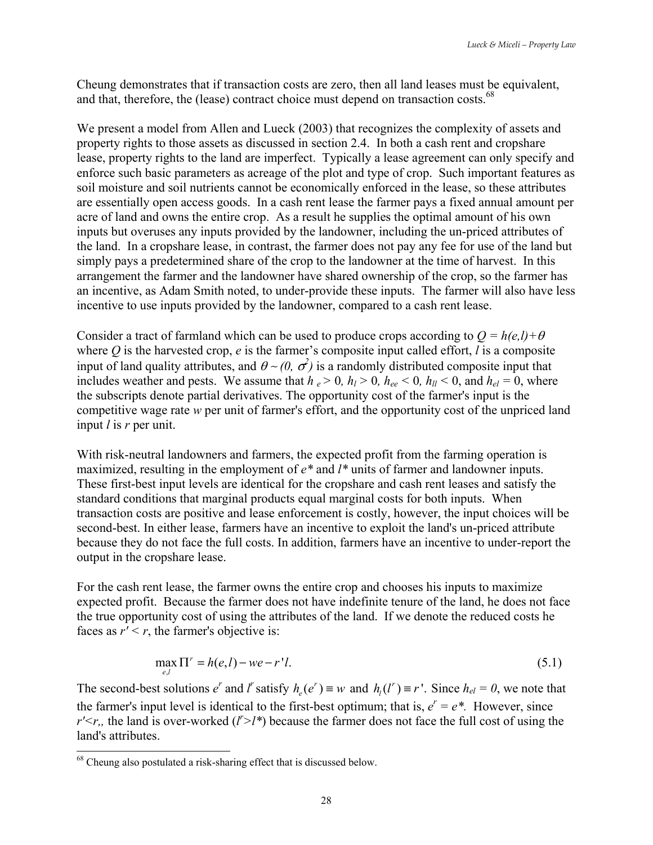Cheung demonstrates that if transaction costs are zero, then all land leases must be equivalent, and that, therefore, the (lease) contract choice must depend on transaction costs.<sup>68</sup>

We present a model from Allen and Lueck (2003) that recognizes the complexity of assets and property rights to those assets as discussed in section 2.4. In both a cash rent and cropshare lease, property rights to the land are imperfect. Typically a lease agreement can only specify and enforce such basic parameters as acreage of the plot and type of crop. Such important features as soil moisture and soil nutrients cannot be economically enforced in the lease, so these attributes are essentially open access goods. In a cash rent lease the farmer pays a fixed annual amount per acre of land and owns the entire crop. As a result he supplies the optimal amount of his own inputs but overuses any inputs provided by the landowner, including the un-priced attributes of the land. In a cropshare lease, in contrast, the farmer does not pay any fee for use of the land but simply pays a predetermined share of the crop to the landowner at the time of harvest. In this arrangement the farmer and the landowner have shared ownership of the crop, so the farmer has an incentive, as Adam Smith noted, to under-provide these inputs. The farmer will also have less incentive to use inputs provided by the landowner, compared to a cash rent lease.

Consider a tract of farmland which can be used to produce crops according to  $Q = h(e, l) + \theta$ where *Q* is the harvested crop, *e* is the farmer's composite input called effort, *l* is a composite input of land quality attributes, and  $\theta \sim (0, \sigma^2)$  is a randomly distributed composite input that includes weather and pests. We assume that  $h_e > 0$ ,  $h_l > 0$ ,  $h_{ee} < 0$ ,  $h_{ll} < 0$ , and  $h_{el} = 0$ , where the subscripts denote partial derivatives. The opportunity cost of the farmer's input is the competitive wage rate *w* per unit of farmer's effort, and the opportunity cost of the unpriced land input *l* is *r* per unit.

With risk-neutral landowners and farmers, the expected profit from the farming operation is maximized, resulting in the employment of *e\** and *l\** units of farmer and landowner inputs. These first-best input levels are identical for the cropshare and cash rent leases and satisfy the standard conditions that marginal products equal marginal costs for both inputs. When transaction costs are positive and lease enforcement is costly, however, the input choices will be second-best. In either lease, farmers have an incentive to exploit the land's un-priced attribute because they do not face the full costs. In addition, farmers have an incentive to under-report the output in the cropshare lease.

For the cash rent lease, the farmer owns the entire crop and chooses his inputs to maximize expected profit. Because the farmer does not have indefinite tenure of the land, he does not face the true opportunity cost of using the attributes of the land. If we denote the reduced costs he faces as  $r' < r$ , the farmer's objective is:

$$
\max_{e,l} \Pi^r = h(e,l) - we - r'l. \tag{5.1}
$$

The second-best solutions  $e^r$  and  $l^r$  satisfy  $h_e(e^r) \equiv w$  and  $h_l(l^r) \equiv r^l$ . Since  $h_{el} = 0$ , we note that the farmer's input level is identical to the first-best optimum; that is,  $e^r = e^*$ . However, since  $r' \leq r$ ,, the land is over-worked ( $l' > l^*$ ) because the farmer does not face the full cost of using the land's attributes.

<sup>68</sup> Cheung also postulated a risk-sharing effect that is discussed below.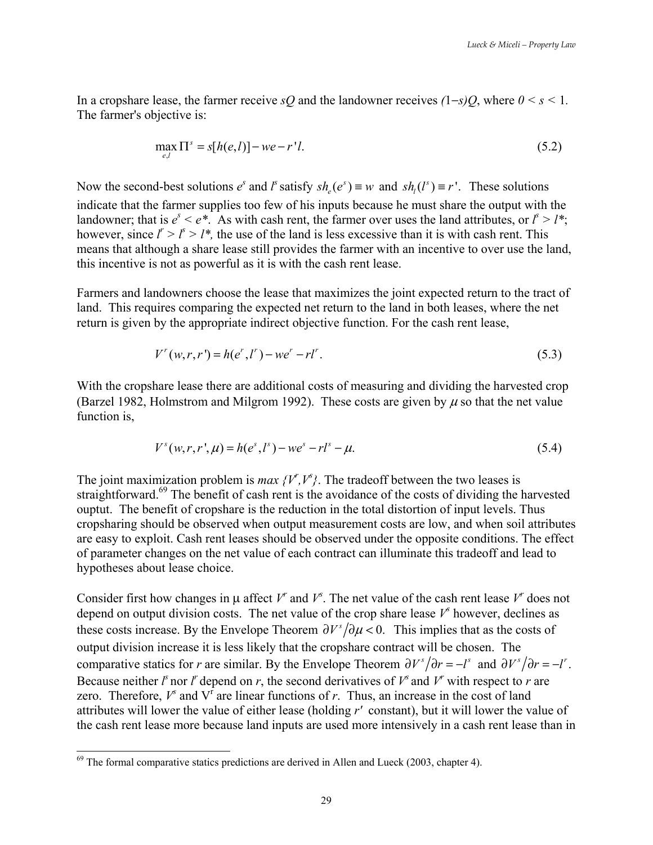In a cropshare lease, the farmer receive *sQ* and the landowner receives *(*1−*s)Q*, where *0 < s <* 1*.* The farmer's objective is:

$$
\max_{e,l} \Pi^s = s[h(e,l)] - we - r'l. \tag{5.2}
$$

Now the second-best solutions  $e^s$  and  $l^s$  satisfy  $sh_e(e^s) \equiv w$  and  $sh_l(l^s) \equiv r'$ . These solutions indicate that the farmer supplies too few of his inputs because he must share the output with the landowner; that is  $e^s < e^*$ . As with cash rent, the farmer over uses the land attributes, or  $l^s > l^*$ ; however, since  $l' > l^* > l^*$ , the use of the land is less excessive than it is with cash rent. This means that although a share lease still provides the farmer with an incentive to over use the land, this incentive is not as powerful as it is with the cash rent lease.

Farmers and landowners choose the lease that maximizes the joint expected return to the tract of land. This requires comparing the expected net return to the land in both leases, where the net return is given by the appropriate indirect objective function. For the cash rent lease,

$$
V^{r}(w,r,r') = h(e^{r},l^{r}) - we^{r} - rl^{r}.
$$
\n(5.3)

With the cropshare lease there are additional costs of measuring and dividing the harvested crop (Barzel 1982, Holmstrom and Milgrom 1992). These costs are given by  $\mu$  so that the net value function is,

$$
V^{s}(w,r,r',\mu) = h(e^{s},l^{s}) - we^{s} -rl^{s} - \mu.
$$
\n(5.4)

The joint maximization problem is *max*  $\{V^{\dagger}, V^{\dagger}\}$ . The tradeoff between the two leases is straightforward.<sup>69</sup> The benefit of cash rent is the avoidance of the costs of dividing the harvested ouptut. The benefit of cropshare is the reduction in the total distortion of input levels. Thus cropsharing should be observed when output measurement costs are low, and when soil attributes are easy to exploit. Cash rent leases should be observed under the opposite conditions. The effect of parameter changes on the net value of each contract can illuminate this tradeoff and lead to hypotheses about lease choice.

Consider first how changes in  $\mu$  affect  $V^r$  and  $V^s$ . The net value of the cash rent lease  $V^r$  does not depend on output division costs. The net value of the crop share lease  $V^s$  however, declines as these costs increase. By the Envelope Theorem  $\partial V^s / \partial \mu < 0$ . This implies that as the costs of output division increase it is less likely that the cropshare contract will be chosen. The comparative statics for *r* are similar. By the Envelope Theorem  $\partial V^s / \partial r = -l^s$  and  $\partial V^s / \partial r = -l^r$ . Because neither  $l^s$  nor  $l^r$  depend on  $r$ , the second derivatives of  $V^s$  and  $V^r$  with respect to  $r$  are zero. Therefore,  $V^s$  and  $V^r$  are linear functions of *r*. Thus, an increase in the cost of land attributes will lower the value of either lease (holding *r'* constant), but it will lower the value of the cash rent lease more because land inputs are used more intensively in a cash rent lease than in

 $^{69}$  The formal comparative statics predictions are derived in Allen and Lueck (2003, chapter 4).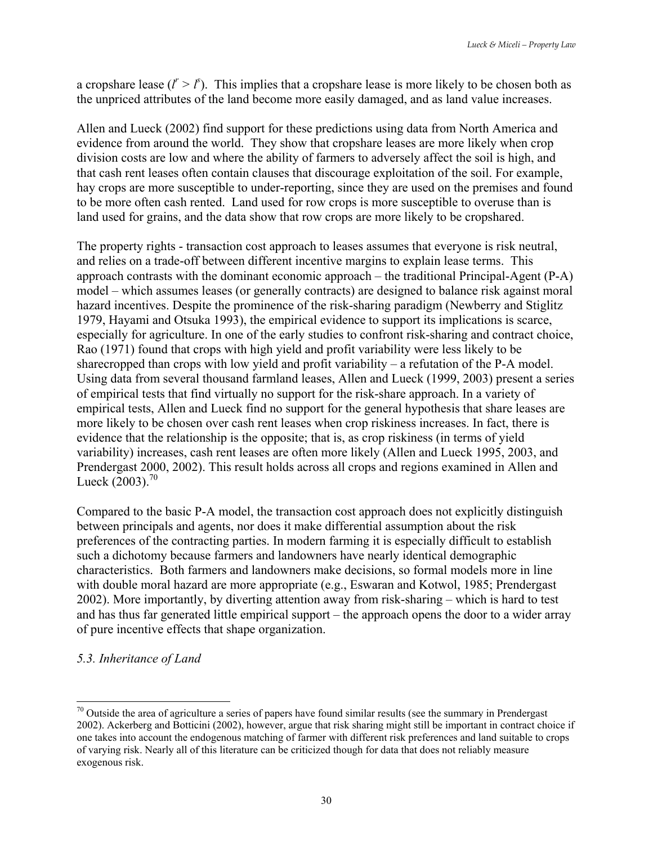a cropshare lease  $(l^r > l^s)$ . This implies that a cropshare lease is more likely to be chosen both as the unpriced attributes of the land become more easily damaged, and as land value increases.

Allen and Lueck (2002) find support for these predictions using data from North America and evidence from around the world. They show that cropshare leases are more likely when crop division costs are low and where the ability of farmers to adversely affect the soil is high, and that cash rent leases often contain clauses that discourage exploitation of the soil. For example, hay crops are more susceptible to under-reporting, since they are used on the premises and found to be more often cash rented. Land used for row crops is more susceptible to overuse than is land used for grains, and the data show that row crops are more likely to be cropshared.

The property rights - transaction cost approach to leases assumes that everyone is risk neutral, and relies on a trade-off between different incentive margins to explain lease terms. This approach contrasts with the dominant economic approach – the traditional Principal-Agent (P-A) model – which assumes leases (or generally contracts) are designed to balance risk against moral hazard incentives. Despite the prominence of the risk-sharing paradigm (Newberry and Stiglitz 1979, Hayami and Otsuka 1993), the empirical evidence to support its implications is scarce, especially for agriculture. In one of the early studies to confront risk-sharing and contract choice, Rao (1971) found that crops with high yield and profit variability were less likely to be sharecropped than crops with low yield and profit variability – a refutation of the P-A model. Using data from several thousand farmland leases, Allen and Lueck (1999, 2003) present a series of empirical tests that find virtually no support for the risk-share approach. In a variety of empirical tests, Allen and Lueck find no support for the general hypothesis that share leases are more likely to be chosen over cash rent leases when crop riskiness increases. In fact, there is evidence that the relationship is the opposite; that is, as crop riskiness (in terms of yield variability) increases, cash rent leases are often more likely (Allen and Lueck 1995, 2003, and Prendergast 2000, 2002). This result holds across all crops and regions examined in Allen and Lueck  $(2003)$ <sup>70</sup>

Compared to the basic P-A model, the transaction cost approach does not explicitly distinguish between principals and agents, nor does it make differential assumption about the risk preferences of the contracting parties. In modern farming it is especially difficult to establish such a dichotomy because farmers and landowners have nearly identical demographic characteristics. Both farmers and landowners make decisions, so formal models more in line with double moral hazard are more appropriate (e.g., Eswaran and Kotwol, 1985; Prendergast 2002). More importantly, by diverting attention away from risk-sharing – which is hard to test and has thus far generated little empirical support – the approach opens the door to a wider array of pure incentive effects that shape organization.

#### *5.3. Inheritance of Land*

 $70$  Outside the area of agriculture a series of papers have found similar results (see the summary in Prendergast 2002). Ackerberg and Botticini (2002), however, argue that risk sharing might still be important in contract choice if one takes into account the endogenous matching of farmer with different risk preferences and land suitable to crops of varying risk. Nearly all of this literature can be criticized though for data that does not reliably measure exogenous risk.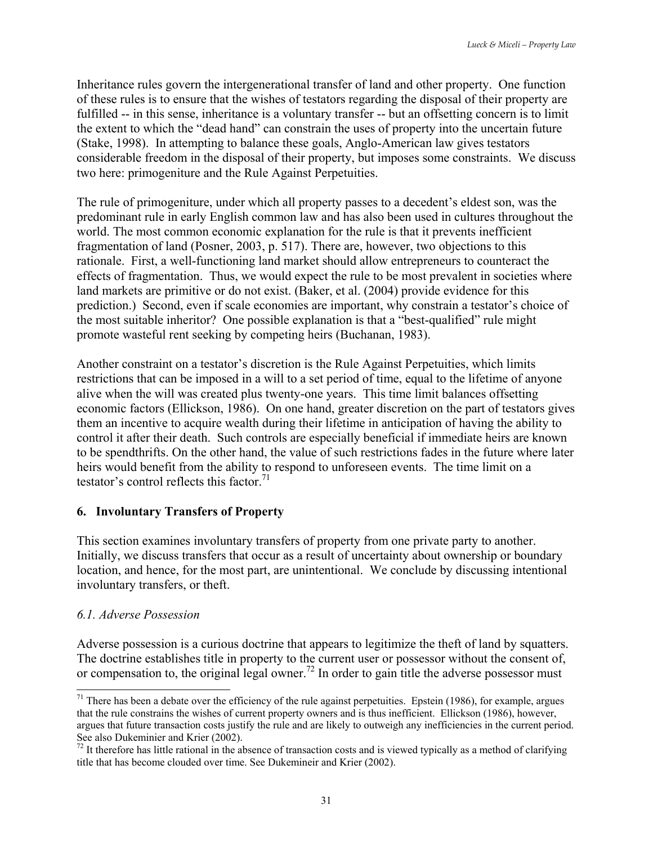Inheritance rules govern the intergenerational transfer of land and other property. One function of these rules is to ensure that the wishes of testators regarding the disposal of their property are fulfilled -- in this sense, inheritance is a voluntary transfer -- but an offsetting concern is to limit the extent to which the "dead hand" can constrain the uses of property into the uncertain future (Stake, 1998). In attempting to balance these goals, Anglo-American law gives testators considerable freedom in the disposal of their property, but imposes some constraints. We discuss two here: primogeniture and the Rule Against Perpetuities.

The rule of primogeniture, under which all property passes to a decedent's eldest son, was the predominant rule in early English common law and has also been used in cultures throughout the world. The most common economic explanation for the rule is that it prevents inefficient fragmentation of land (Posner, 2003, p. 517). There are, however, two objections to this rationale. First, a well-functioning land market should allow entrepreneurs to counteract the effects of fragmentation. Thus, we would expect the rule to be most prevalent in societies where land markets are primitive or do not exist. (Baker, et al. (2004) provide evidence for this prediction.) Second, even if scale economies are important, why constrain a testator's choice of the most suitable inheritor? One possible explanation is that a "best-qualified" rule might promote wasteful rent seeking by competing heirs (Buchanan, 1983).

Another constraint on a testator's discretion is the Rule Against Perpetuities, which limits restrictions that can be imposed in a will to a set period of time, equal to the lifetime of anyone alive when the will was created plus twenty-one years. This time limit balances offsetting economic factors (Ellickson, 1986). On one hand, greater discretion on the part of testators gives them an incentive to acquire wealth during their lifetime in anticipation of having the ability to control it after their death. Such controls are especially beneficial if immediate heirs are known to be spendthrifts. On the other hand, the value of such restrictions fades in the future where later heirs would benefit from the ability to respond to unforeseen events. The time limit on a testator's control reflects this factor. $71$ 

## **6. Involuntary Transfers of Property**

This section examines involuntary transfers of property from one private party to another. Initially, we discuss transfers that occur as a result of uncertainty about ownership or boundary location, and hence, for the most part, are unintentional. We conclude by discussing intentional involuntary transfers, or theft.

## *6.1. Adverse Possession*

Adverse possession is a curious doctrine that appears to legitimize the theft of land by squatters. The doctrine establishes title in property to the current user or possessor without the consent of, or compensation to, the original legal owner.<sup>72</sup> In order to gain title the adverse possessor must

l  $71$  There has been a debate over the efficiency of the rule against perpetuities. Epstein (1986), for example, argues that the rule constrains the wishes of current property owners and is thus inefficient. Ellickson (1986), however, argues that future transaction costs justify the rule and are likely to outweigh any inefficiencies in the current period. See also Dukeminier and Krier (2002).

 $72$  It therefore has little rational in the absence of transaction costs and is viewed typically as a method of clarifying title that has become clouded over time. See Dukemineir and Krier (2002).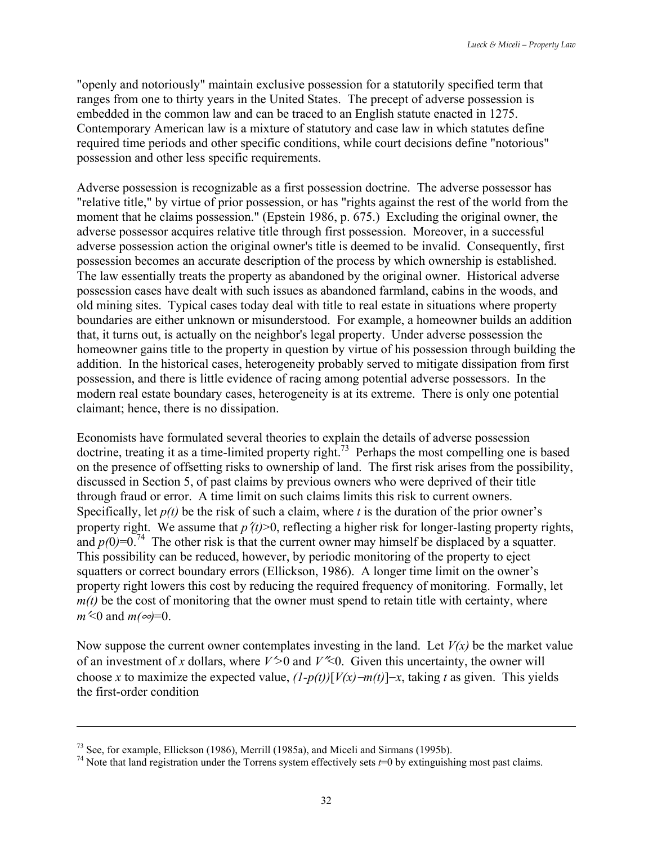"openly and notoriously" maintain exclusive possession for a statutorily specified term that ranges from one to thirty years in the United States. The precept of adverse possession is embedded in the common law and can be traced to an English statute enacted in 1275. Contemporary American law is a mixture of statutory and case law in which statutes define required time periods and other specific conditions, while court decisions define "notorious" possession and other less specific requirements.

Adverse possession is recognizable as a first possession doctrine. The adverse possessor has "relative title," by virtue of prior possession, or has "rights against the rest of the world from the moment that he claims possession." (Epstein 1986, p. 675.) Excluding the original owner, the adverse possessor acquires relative title through first possession. Moreover, in a successful adverse possession action the original owner's title is deemed to be invalid. Consequently, first possession becomes an accurate description of the process by which ownership is established. The law essentially treats the property as abandoned by the original owner. Historical adverse possession cases have dealt with such issues as abandoned farmland, cabins in the woods, and old mining sites. Typical cases today deal with title to real estate in situations where property boundaries are either unknown or misunderstood. For example, a homeowner builds an addition that, it turns out, is actually on the neighbor's legal property. Under adverse possession the homeowner gains title to the property in question by virtue of his possession through building the addition. In the historical cases, heterogeneity probably served to mitigate dissipation from first possession, and there is little evidence of racing among potential adverse possessors. In the modern real estate boundary cases, heterogeneity is at its extreme. There is only one potential claimant; hence, there is no dissipation.

Economists have formulated several theories to explain the details of adverse possession doctrine, treating it as a time-limited property right.73 Perhaps the most compelling one is based on the presence of offsetting risks to ownership of land. The first risk arises from the possibility, discussed in Section 5, of past claims by previous owners who were deprived of their title through fraud or error. A time limit on such claims limits this risk to current owners. Specifically, let *p(t)* be the risk of such a claim, where *t* is the duration of the prior owner's property right. We assume that  $p'(t)$  >0, reflecting a higher risk for longer-lasting property rights, and  $p(0)=0$ .<sup>74</sup> The other risk is that the current owner may himself be displaced by a squatter. This possibility can be reduced, however, by periodic monitoring of the property to eject squatters or correct boundary errors (Ellickson, 1986). A longer time limit on the owner's property right lowers this cost by reducing the required frequency of monitoring. Formally, let  $m(t)$  be the cost of monitoring that the owner must spend to retain title with certainty, where *m*<sup> $<0$  and *m*(∞*)*=0.</sup>

Now suppose the current owner contemplates investing in the land. Let  $V(x)$  be the market value of an investment of *x* dollars, where *V*′*>*0 and *V*″<0. Given this uncertainty, the owner will choose *x* to maximize the expected value,  $(I-p(t))[V(x)-m(t)]-x$ , taking *t* as given. This yields the first-order condition

l

<sup>&</sup>lt;sup>73</sup> See, for example, Ellickson (1986), Merrill (1985a), and Miceli and Sirmans (1995b).<br><sup>74</sup> Note that land registration under the Torrens system effectively sets *t*=0 by extinguishing most past claims.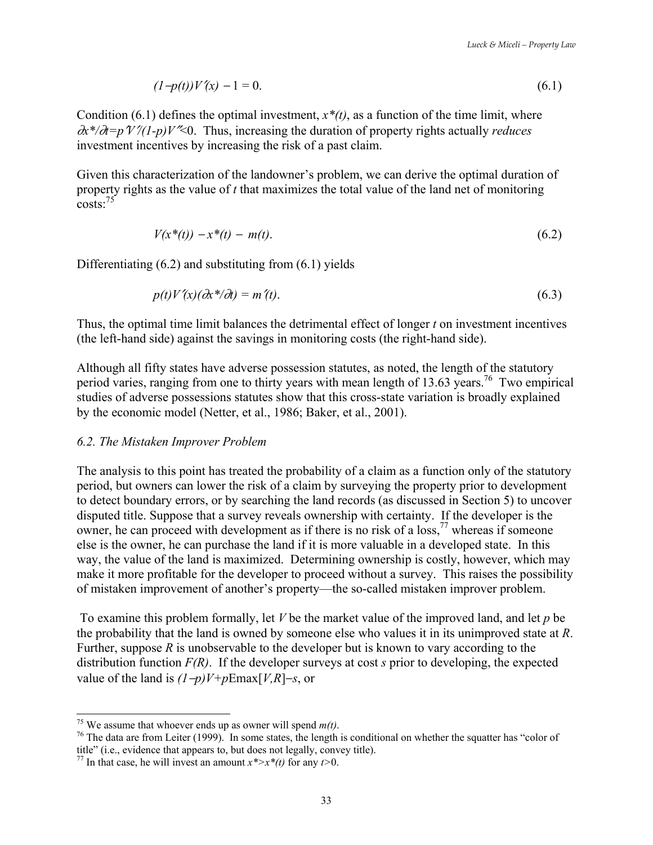$$
(1 - p(t))V'(x) - 1 = 0.
$$
\n(6.1)

Condition (6.1) defines the optimal investment,  $x^*(t)$ , as a function of the time limit, where ∂*x\*/*∂*t=p*′*V*′*/(1-p)V*″<0. Thus, increasing the duration of property rights actually *reduces* investment incentives by increasing the risk of a past claim.

Given this characterization of the landowner's problem, we can derive the optimal duration of property rights as the value of *t* that maximizes the total value of the land net of monitoring  $\text{costs}$ <sup>75</sup>

$$
V(x^*(t)) - x^*(t) - m(t). \tag{6.2}
$$

Differentiating (6.2) and substituting from (6.1) yields

$$
p(t)V'(x)(\partial x^* / \partial t) = m'(t). \tag{6.3}
$$

Thus, the optimal time limit balances the detrimental effect of longer *t* on investment incentives (the left-hand side) against the savings in monitoring costs (the right-hand side).

Although all fifty states have adverse possession statutes, as noted, the length of the statutory period varies, ranging from one to thirty years with mean length of 13.63 years.<sup>76</sup> Two empirical studies of adverse possessions statutes show that this cross-state variation is broadly explained by the economic model (Netter, et al., 1986; Baker, et al., 2001).

#### *6.2. The Mistaken Improver Problem*

The analysis to this point has treated the probability of a claim as a function only of the statutory period, but owners can lower the risk of a claim by surveying the property prior to development to detect boundary errors, or by searching the land records (as discussed in Section 5) to uncover disputed title. Suppose that a survey reveals ownership with certainty. If the developer is the owner, he can proceed with development as if there is no risk of a  $\cos^{-7}$  whereas if someone else is the owner, he can purchase the land if it is more valuable in a developed state. In this way, the value of the land is maximized. Determining ownership is costly, however, which may make it more profitable for the developer to proceed without a survey. This raises the possibility of mistaken improvement of another's property—the so-called mistaken improver problem.

 To examine this problem formally, let *V* be the market value of the improved land, and let *p* be the probability that the land is owned by someone else who values it in its unimproved state at *R*. Further, suppose *R* is unobservable to the developer but is known to vary according to the distribution function *F(R)*. If the developer surveys at cost *s* prior to developing, the expected value of the land is *(1*−*p)V+p*Emax[*V,R*]−*s*, or

<sup>&</sup>lt;sup>75</sup> We assume that whoever ends up as owner will spend  $m(t)$ .

<sup>&</sup>lt;sup>76</sup> The data are from Leiter (1999). In some states, the length is conditional on whether the squatter has "color of title" (i.e., evidence that appears to, but does not legally, convey title).

<sup>&</sup>lt;sup>77</sup> In that case, he will invest an amount  $x^* > x^*(t)$  for any  $t > 0$ .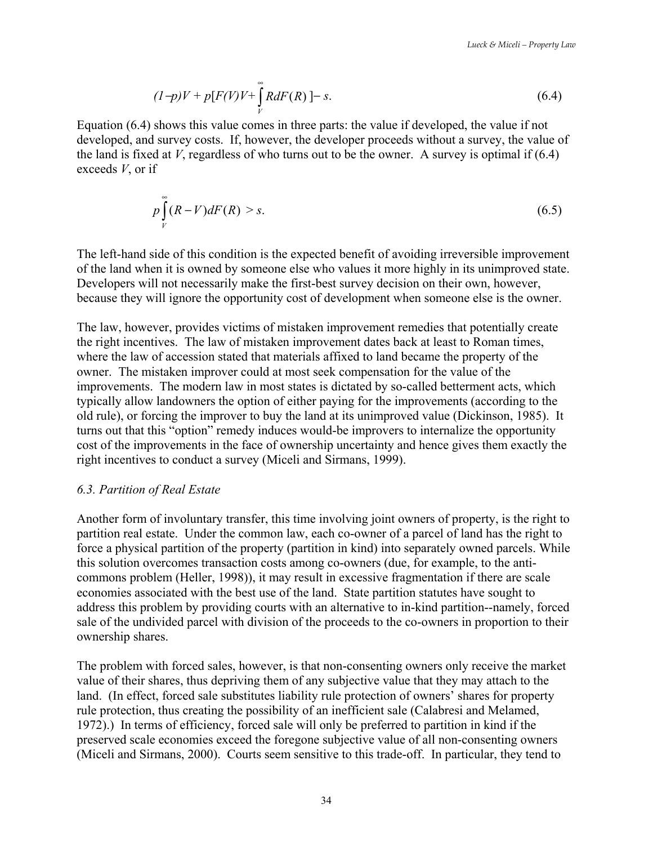$$
(1-p)V + p[F(V)V + \int_{V}^{\infty} R dF(R)] - s.
$$
 (6.4)

Equation (6.4) shows this value comes in three parts: the value if developed, the value if not developed, and survey costs. If, however, the developer proceeds without a survey, the value of the land is fixed at *V*, regardless of who turns out to be the owner. A survey is optimal if  $(6.4)$ exceeds *V*, or if

$$
p\int\limits_V^{\infty} (R-V)dF(R) > s. \tag{6.5}
$$

The left-hand side of this condition is the expected benefit of avoiding irreversible improvement of the land when it is owned by someone else who values it more highly in its unimproved state. Developers will not necessarily make the first-best survey decision on their own, however, because they will ignore the opportunity cost of development when someone else is the owner.

The law, however, provides victims of mistaken improvement remedies that potentially create the right incentives. The law of mistaken improvement dates back at least to Roman times, where the law of accession stated that materials affixed to land became the property of the owner. The mistaken improver could at most seek compensation for the value of the improvements. The modern law in most states is dictated by so-called betterment acts, which typically allow landowners the option of either paying for the improvements (according to the old rule), or forcing the improver to buy the land at its unimproved value (Dickinson, 1985). It turns out that this "option" remedy induces would-be improvers to internalize the opportunity cost of the improvements in the face of ownership uncertainty and hence gives them exactly the right incentives to conduct a survey (Miceli and Sirmans, 1999).

#### *6.3. Partition of Real Estate*

Another form of involuntary transfer, this time involving joint owners of property, is the right to partition real estate. Under the common law, each co-owner of a parcel of land has the right to force a physical partition of the property (partition in kind) into separately owned parcels. While this solution overcomes transaction costs among co-owners (due, for example, to the anticommons problem (Heller, 1998)), it may result in excessive fragmentation if there are scale economies associated with the best use of the land. State partition statutes have sought to address this problem by providing courts with an alternative to in-kind partition--namely, forced sale of the undivided parcel with division of the proceeds to the co-owners in proportion to their ownership shares.

The problem with forced sales, however, is that non-consenting owners only receive the market value of their shares, thus depriving them of any subjective value that they may attach to the land. (In effect, forced sale substitutes liability rule protection of owners' shares for property rule protection, thus creating the possibility of an inefficient sale (Calabresi and Melamed, 1972).) In terms of efficiency, forced sale will only be preferred to partition in kind if the preserved scale economies exceed the foregone subjective value of all non-consenting owners (Miceli and Sirmans, 2000). Courts seem sensitive to this trade-off. In particular, they tend to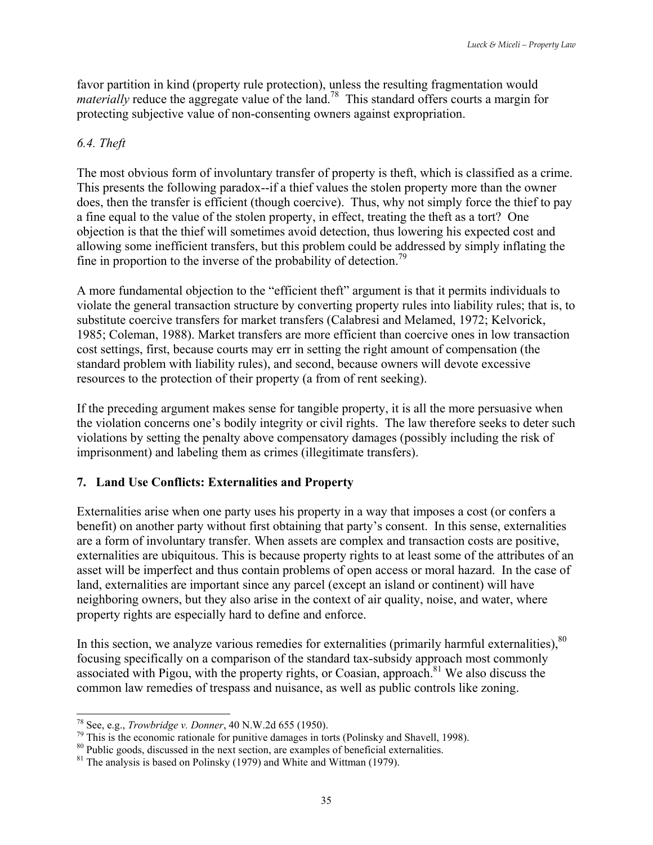favor partition in kind (property rule protection), unless the resulting fragmentation would *materially* reduce the aggregate value of the land.<sup>78</sup> This standard offers courts a margin for protecting subjective value of non-consenting owners against expropriation.

#### *6.4. Theft*

The most obvious form of involuntary transfer of property is theft, which is classified as a crime. This presents the following paradox--if a thief values the stolen property more than the owner does, then the transfer is efficient (though coercive). Thus, why not simply force the thief to pay a fine equal to the value of the stolen property, in effect, treating the theft as a tort? One objection is that the thief will sometimes avoid detection, thus lowering his expected cost and allowing some inefficient transfers, but this problem could be addressed by simply inflating the fine in proportion to the inverse of the probability of detection.<sup>79</sup>

A more fundamental objection to the "efficient theft" argument is that it permits individuals to violate the general transaction structure by converting property rules into liability rules; that is, to substitute coercive transfers for market transfers (Calabresi and Melamed, 1972; Kelvorick, 1985; Coleman, 1988). Market transfers are more efficient than coercive ones in low transaction cost settings, first, because courts may err in setting the right amount of compensation (the standard problem with liability rules), and second, because owners will devote excessive resources to the protection of their property (a from of rent seeking).

If the preceding argument makes sense for tangible property, it is all the more persuasive when the violation concerns one's bodily integrity or civil rights. The law therefore seeks to deter such violations by setting the penalty above compensatory damages (possibly including the risk of imprisonment) and labeling them as crimes (illegitimate transfers).

## **7. Land Use Conflicts: Externalities and Property**

Externalities arise when one party uses his property in a way that imposes a cost (or confers a benefit) on another party without first obtaining that party's consent. In this sense, externalities are a form of involuntary transfer. When assets are complex and transaction costs are positive, externalities are ubiquitous. This is because property rights to at least some of the attributes of an asset will be imperfect and thus contain problems of open access or moral hazard. In the case of land, externalities are important since any parcel (except an island or continent) will have neighboring owners, but they also arise in the context of air quality, noise, and water, where property rights are especially hard to define and enforce.

In this section, we analyze various remedies for externalities (primarily harmful externalities),  $80$ focusing specifically on a comparison of the standard tax-subsidy approach most commonly associated with Pigou, with the property rights, or Coasian, approach.<sup>81</sup> We also discuss the common law remedies of trespass and nuisance, as well as public controls like zoning.

<sup>&</sup>lt;sup>78</sup> See, e.g., *Trowbridge v. Donner*, 40 N.W.2d 655 (1950).

<sup>&</sup>lt;sup>79</sup> This is the economic rationale for punitive damages in torts (Polinsky and Shavell, 1998).

<sup>&</sup>lt;sup>80</sup> Public goods, discussed in the next section, are examples of beneficial externalities.

 $81$  The analysis is based on Polinsky (1979) and White and Wittman (1979).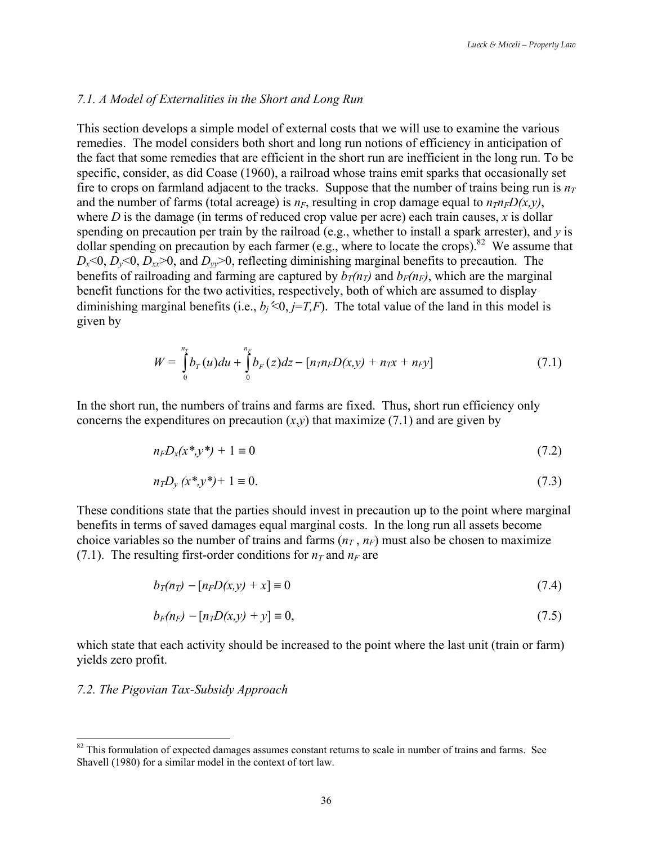#### *7.1. A Model of Externalities in the Short and Long Run*

This section develops a simple model of external costs that we will use to examine the various remedies. The model considers both short and long run notions of efficiency in anticipation of the fact that some remedies that are efficient in the short run are inefficient in the long run. To be specific, consider, as did Coase (1960), a railroad whose trains emit sparks that occasionally set fire to crops on farmland adjacent to the tracks. Suppose that the number of trains being run is  $n<sub>T</sub>$ and the number of farms (total acreage) is  $n_F$ , resulting in crop damage equal to  $n_Tn_FD(x,y)$ , where  $D$  is the damage (in terms of reduced crop value per acre) each train causes,  $x$  is dollar spending on precaution per train by the railroad (e.g., whether to install a spark arrester), and *y* is dollar spending on precaution by each farmer (e.g., where to locate the crops).<sup>82</sup> We assume that  $D_x<0$ ,  $D_v<0$ ,  $D_{xx}>0$ , and  $D_{yy}>0$ , reflecting diminishing marginal benefits to precaution. The benefits of railroading and farming are captured by  $b_T(n_T)$  and  $b_F(n_F)$ , which are the marginal benefit functions for the two activities, respectively, both of which are assumed to display diminishing marginal benefits (i.e.,  $b_i \le 0$ ,  $j = T, F$ ). The total value of the land in this model is given by

$$
W = \int_{0}^{n_T} b_T(u) du + \int_{0}^{n_F} b_F(z) dz - [n_T n_F D(x, y) + n_T x + n_F y]
$$
(7.1)

In the short run, the numbers of trains and farms are fixed. Thus, short run efficiency only concerns the expenditures on precaution  $(x,y)$  that maximize (7.1) and are given by

$$
n_F D_x(x^*, y^*) + 1 \equiv 0 \tag{7.2}
$$

$$
n_T D_y (x^* y^*) + 1 \equiv 0. \tag{7.3}
$$

These conditions state that the parties should invest in precaution up to the point where marginal benefits in terms of saved damages equal marginal costs. In the long run all assets become choice variables so the number of trains and farms  $(n_T, n_F)$  must also be chosen to maximize (7.1). The resulting first-order conditions for  $n<sub>T</sub>$  and  $n<sub>F</sub>$  are

$$
b_T(n_T) - [n_F D(x, y) + x] \equiv 0 \tag{7.4}
$$

$$
b_F(n_F) - [n_T D(x, y) + y] \equiv 0,
$$
\n(7.5)

which state that each activity should be increased to the point where the last unit (train or farm) yields zero profit.

#### *7.2. The Pigovian Tax-Subsidy Approach*

 $82$  This formulation of expected damages assumes constant returns to scale in number of trains and farms. See Shavell (1980) for a similar model in the context of tort law.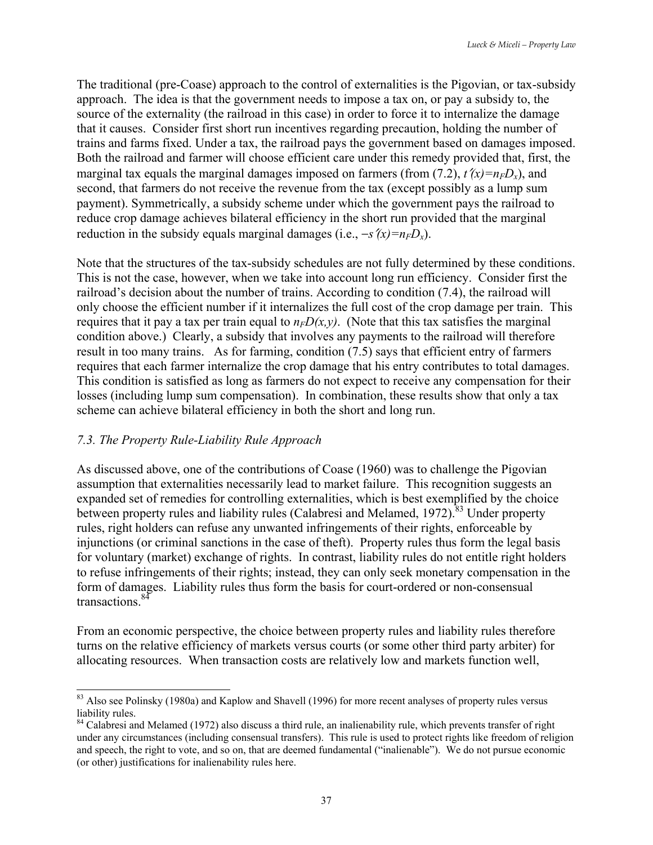The traditional (pre-Coase) approach to the control of externalities is the Pigovian, or tax-subsidy approach. The idea is that the government needs to impose a tax on, or pay a subsidy to, the source of the externality (the railroad in this case) in order to force it to internalize the damage that it causes. Consider first short run incentives regarding precaution, holding the number of trains and farms fixed. Under a tax, the railroad pays the government based on damages imposed. Both the railroad and farmer will choose efficient care under this remedy provided that, first, the marginal tax equals the marginal damages imposed on farmers (from (7.2),  $t'(\mathbf{x})=n_FD_x$ ), and second, that farmers do not receive the revenue from the tax (except possibly as a lump sum payment). Symmetrically, a subsidy scheme under which the government pays the railroad to reduce crop damage achieves bilateral efficiency in the short run provided that the marginal reduction in the subsidy equals marginal damages (i.e.,  $-s'(x)=n<sub>F</sub>D<sub>x</sub>$ ).

Note that the structures of the tax-subsidy schedules are not fully determined by these conditions. This is not the case, however, when we take into account long run efficiency. Consider first the railroad's decision about the number of trains. According to condition (7.4), the railroad will only choose the efficient number if it internalizes the full cost of the crop damage per train. This requires that it pay a tax per train equal to  $n_FD(x, y)$ . (Note that this tax satisfies the marginal condition above.) Clearly, a subsidy that involves any payments to the railroad will therefore result in too many trains. As for farming, condition (7.5) says that efficient entry of farmers requires that each farmer internalize the crop damage that his entry contributes to total damages. This condition is satisfied as long as farmers do not expect to receive any compensation for their losses (including lump sum compensation). In combination, these results show that only a tax scheme can achieve bilateral efficiency in both the short and long run.

## *7.3. The Property Rule-Liability Rule Approach*

As discussed above, one of the contributions of Coase (1960) was to challenge the Pigovian assumption that externalities necessarily lead to market failure. This recognition suggests an expanded set of remedies for controlling externalities, which is best exemplified by the choice between property rules and liability rules (Calabresi and Melamed,  $1972$ ).<sup>83</sup> Under property rules, right holders can refuse any unwanted infringements of their rights, enforceable by injunctions (or criminal sanctions in the case of theft). Property rules thus form the legal basis for voluntary (market) exchange of rights. In contrast, liability rules do not entitle right holders to refuse infringements of their rights; instead, they can only seek monetary compensation in the form of damages. Liability rules thus form the basis for court-ordered or non-consensual transactions.<sup>84</sup>

From an economic perspective, the choice between property rules and liability rules therefore turns on the relative efficiency of markets versus courts (or some other third party arbiter) for allocating resources. When transaction costs are relatively low and markets function well,

l <sup>83</sup> Also see Polinsky (1980a) and Kaplow and Shavell (1996) for more recent analyses of property rules versus liability rules.

 $84$  Calabresi and Melamed (1972) also discuss a third rule, an inalienability rule, which prevents transfer of right under any circumstances (including consensual transfers). This rule is used to protect rights like freedom of religion and speech, the right to vote, and so on, that are deemed fundamental ("inalienable"). We do not pursue economic (or other) justifications for inalienability rules here.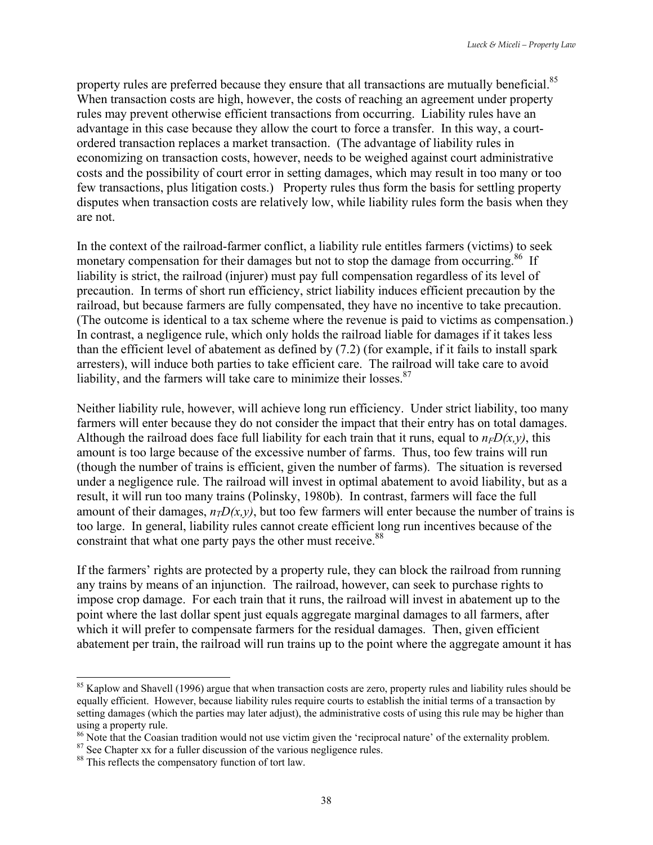property rules are preferred because they ensure that all transactions are mutually beneficial.<sup>85</sup> When transaction costs are high, however, the costs of reaching an agreement under property rules may prevent otherwise efficient transactions from occurring. Liability rules have an advantage in this case because they allow the court to force a transfer. In this way, a courtordered transaction replaces a market transaction. (The advantage of liability rules in economizing on transaction costs, however, needs to be weighed against court administrative costs and the possibility of court error in setting damages, which may result in too many or too few transactions, plus litigation costs.) Property rules thus form the basis for settling property disputes when transaction costs are relatively low, while liability rules form the basis when they are not.

In the context of the railroad-farmer conflict, a liability rule entitles farmers (victims) to seek monetary compensation for their damages but not to stop the damage from occurring.<sup>86</sup> If liability is strict, the railroad (injurer) must pay full compensation regardless of its level of precaution. In terms of short run efficiency, strict liability induces efficient precaution by the railroad, but because farmers are fully compensated, they have no incentive to take precaution. (The outcome is identical to a tax scheme where the revenue is paid to victims as compensation.) In contrast, a negligence rule, which only holds the railroad liable for damages if it takes less than the efficient level of abatement as defined by (7.2) (for example, if it fails to install spark arresters), will induce both parties to take efficient care. The railroad will take care to avoid liability, and the farmers will take care to minimize their losses. $87$ 

Neither liability rule, however, will achieve long run efficiency. Under strict liability, too many farmers will enter because they do not consider the impact that their entry has on total damages. Although the railroad does face full liability for each train that it runs, equal to  $n_F D(x, y)$ , this amount is too large because of the excessive number of farms. Thus, too few trains will run (though the number of trains is efficient, given the number of farms). The situation is reversed under a negligence rule. The railroad will invest in optimal abatement to avoid liability, but as a result, it will run too many trains (Polinsky, 1980b). In contrast, farmers will face the full amount of their damages,  $n<sub>T</sub>D(x,y)$ , but too few farmers will enter because the number of trains is too large. In general, liability rules cannot create efficient long run incentives because of the constraint that what one party pays the other must receive.<sup>88</sup>

If the farmers' rights are protected by a property rule, they can block the railroad from running any trains by means of an injunction. The railroad, however, can seek to purchase rights to impose crop damage. For each train that it runs, the railroad will invest in abatement up to the point where the last dollar spent just equals aggregate marginal damages to all farmers, after which it will prefer to compensate farmers for the residual damages. Then, given efficient abatement per train, the railroad will run trains up to the point where the aggregate amount it has

<sup>&</sup>lt;sup>85</sup> Kaplow and Shavell (1996) argue that when transaction costs are zero, property rules and liability rules should be equally efficient. However, because liability rules require courts to establish the initial terms of a transaction by setting damages (which the parties may later adjust), the administrative costs of using this rule may be higher than using a property rule.

<sup>&</sup>lt;sup>86</sup> Note that the Coasian tradition would not use victim given the 'reciprocal nature' of the externality problem.

 $87$  See Chapter xx for a fuller discussion of the various negligence rules.  $88$  This reflects the compensatory function of tort law.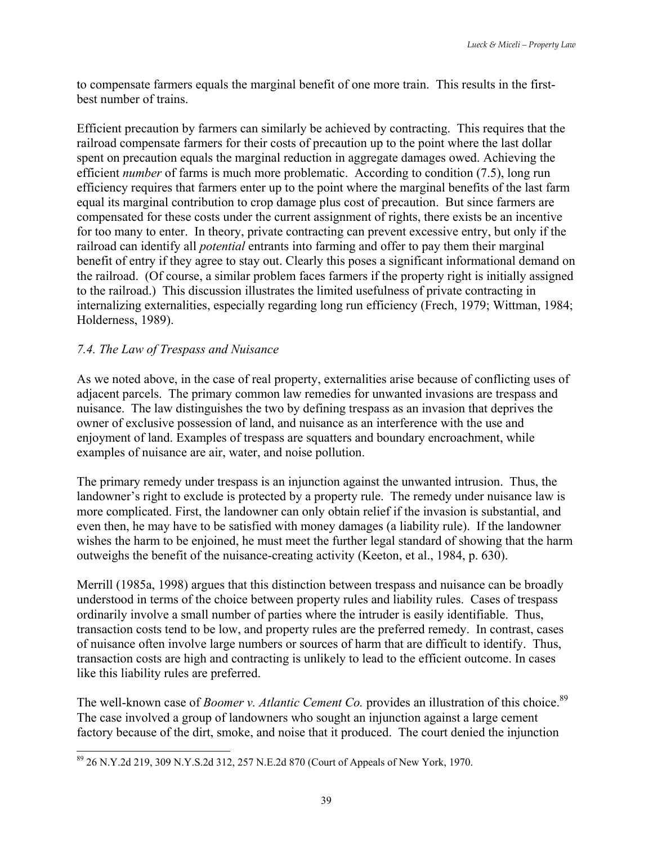to compensate farmers equals the marginal benefit of one more train. This results in the firstbest number of trains.

Efficient precaution by farmers can similarly be achieved by contracting. This requires that the railroad compensate farmers for their costs of precaution up to the point where the last dollar spent on precaution equals the marginal reduction in aggregate damages owed. Achieving the efficient *number* of farms is much more problematic. According to condition (7.5), long run efficiency requires that farmers enter up to the point where the marginal benefits of the last farm equal its marginal contribution to crop damage plus cost of precaution. But since farmers are compensated for these costs under the current assignment of rights, there exists be an incentive for too many to enter. In theory, private contracting can prevent excessive entry, but only if the railroad can identify all *potential* entrants into farming and offer to pay them their marginal benefit of entry if they agree to stay out. Clearly this poses a significant informational demand on the railroad. (Of course, a similar problem faces farmers if the property right is initially assigned to the railroad.) This discussion illustrates the limited usefulness of private contracting in internalizing externalities, especially regarding long run efficiency (Frech, 1979; Wittman, 1984; Holderness, 1989).

## *7.4. The Law of Trespass and Nuisance*

As we noted above, in the case of real property, externalities arise because of conflicting uses of adjacent parcels. The primary common law remedies for unwanted invasions are trespass and nuisance. The law distinguishes the two by defining trespass as an invasion that deprives the owner of exclusive possession of land, and nuisance as an interference with the use and enjoyment of land. Examples of trespass are squatters and boundary encroachment, while examples of nuisance are air, water, and noise pollution.

The primary remedy under trespass is an injunction against the unwanted intrusion. Thus, the landowner's right to exclude is protected by a property rule. The remedy under nuisance law is more complicated. First, the landowner can only obtain relief if the invasion is substantial, and even then, he may have to be satisfied with money damages (a liability rule). If the landowner wishes the harm to be enjoined, he must meet the further legal standard of showing that the harm outweighs the benefit of the nuisance-creating activity (Keeton, et al., 1984, p. 630).

Merrill (1985a, 1998) argues that this distinction between trespass and nuisance can be broadly understood in terms of the choice between property rules and liability rules. Cases of trespass ordinarily involve a small number of parties where the intruder is easily identifiable. Thus, transaction costs tend to be low, and property rules are the preferred remedy. In contrast, cases of nuisance often involve large numbers or sources of harm that are difficult to identify. Thus, transaction costs are high and contracting is unlikely to lead to the efficient outcome. In cases like this liability rules are preferred.

The well-known case of *Boomer v. Atlantic Cement Co.* provides an illustration of this choice.<sup>89</sup> The case involved a group of landowners who sought an injunction against a large cement factory because of the dirt, smoke, and noise that it produced. The court denied the injunction

 $\overline{\phantom{a}}$ 89 26 N.Y.2d 219, 309 N.Y.S.2d 312, 257 N.E.2d 870 (Court of Appeals of New York, 1970.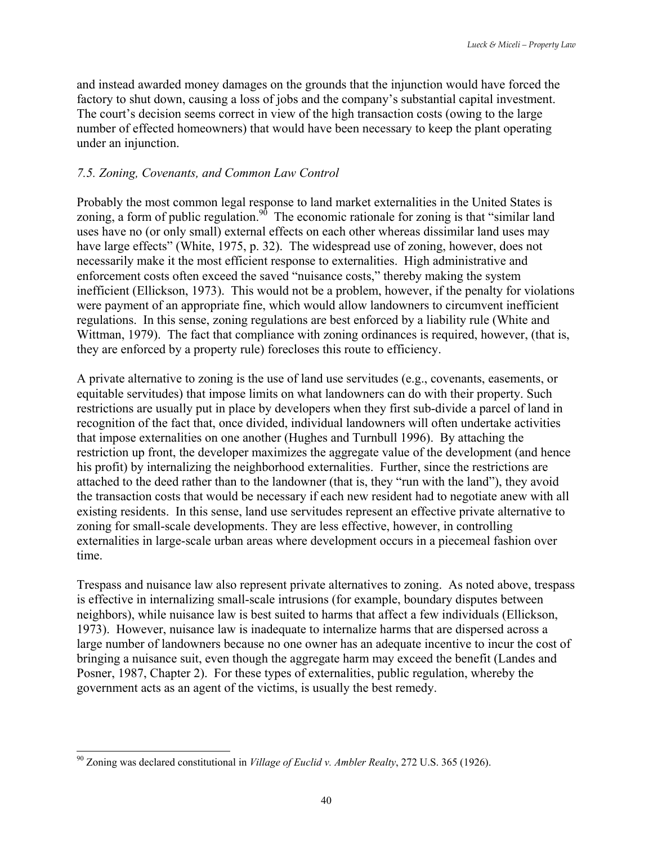and instead awarded money damages on the grounds that the injunction would have forced the factory to shut down, causing a loss of jobs and the company's substantial capital investment. The court's decision seems correct in view of the high transaction costs (owing to the large number of effected homeowners) that would have been necessary to keep the plant operating under an injunction.

## *7.5. Zoning, Covenants, and Common Law Control*

Probably the most common legal response to land market externalities in the United States is zoning, a form of public regulation.<sup>90</sup> The economic rationale for zoning is that "similar land" uses have no (or only small) external effects on each other whereas dissimilar land uses may have large effects" (White, 1975, p. 32). The widespread use of zoning, however, does not necessarily make it the most efficient response to externalities. High administrative and enforcement costs often exceed the saved "nuisance costs," thereby making the system inefficient (Ellickson, 1973). This would not be a problem, however, if the penalty for violations were payment of an appropriate fine, which would allow landowners to circumvent inefficient regulations. In this sense, zoning regulations are best enforced by a liability rule (White and Wittman, 1979). The fact that compliance with zoning ordinances is required, however, (that is, they are enforced by a property rule) forecloses this route to efficiency.

A private alternative to zoning is the use of land use servitudes (e.g., covenants, easements, or equitable servitudes) that impose limits on what landowners can do with their property. Such restrictions are usually put in place by developers when they first sub-divide a parcel of land in recognition of the fact that, once divided, individual landowners will often undertake activities that impose externalities on one another (Hughes and Turnbull 1996). By attaching the restriction up front, the developer maximizes the aggregate value of the development (and hence his profit) by internalizing the neighborhood externalities. Further, since the restrictions are attached to the deed rather than to the landowner (that is, they "run with the land"), they avoid the transaction costs that would be necessary if each new resident had to negotiate anew with all existing residents. In this sense, land use servitudes represent an effective private alternative to zoning for small-scale developments. They are less effective, however, in controlling externalities in large-scale urban areas where development occurs in a piecemeal fashion over time.

Trespass and nuisance law also represent private alternatives to zoning. As noted above, trespass is effective in internalizing small-scale intrusions (for example, boundary disputes between neighbors), while nuisance law is best suited to harms that affect a few individuals (Ellickson, 1973). However, nuisance law is inadequate to internalize harms that are dispersed across a large number of landowners because no one owner has an adequate incentive to incur the cost of bringing a nuisance suit, even though the aggregate harm may exceed the benefit (Landes and Posner, 1987, Chapter 2). For these types of externalities, public regulation, whereby the government acts as an agent of the victims, is usually the best remedy.

 $\overline{\phantom{a}}$ 90 Zoning was declared constitutional in *Village of Euclid v. Ambler Realty*, 272 U.S. 365 (1926).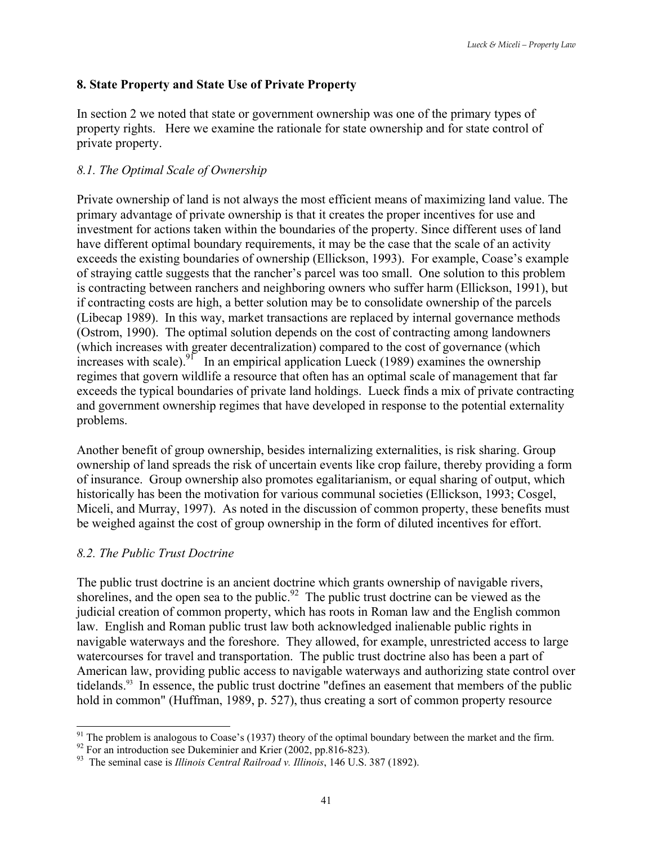## **8. State Property and State Use of Private Property**

In section 2 we noted that state or government ownership was one of the primary types of property rights. Here we examine the rationale for state ownership and for state control of private property.

#### *8.1. The Optimal Scale of Ownership*

Private ownership of land is not always the most efficient means of maximizing land value. The primary advantage of private ownership is that it creates the proper incentives for use and investment for actions taken within the boundaries of the property. Since different uses of land have different optimal boundary requirements, it may be the case that the scale of an activity exceeds the existing boundaries of ownership (Ellickson, 1993). For example, Coase's example of straying cattle suggests that the rancher's parcel was too small. One solution to this problem is contracting between ranchers and neighboring owners who suffer harm (Ellickson, 1991), but if contracting costs are high, a better solution may be to consolidate ownership of the parcels (Libecap 1989). In this way, market transactions are replaced by internal governance methods (Ostrom, 1990). The optimal solution depends on the cost of contracting among landowners (which increases with greater decentralization) compared to the cost of governance (which increases with scale).<sup>91</sup> In an empirical application Lueck (1989) examines the ownership regimes that govern wildlife a resource that often has an optimal scale of management that far exceeds the typical boundaries of private land holdings. Lueck finds a mix of private contracting and government ownership regimes that have developed in response to the potential externality problems.

Another benefit of group ownership, besides internalizing externalities, is risk sharing. Group ownership of land spreads the risk of uncertain events like crop failure, thereby providing a form of insurance. Group ownership also promotes egalitarianism, or equal sharing of output, which historically has been the motivation for various communal societies (Ellickson, 1993; Cosgel, Miceli, and Murray, 1997). As noted in the discussion of common property, these benefits must be weighed against the cost of group ownership in the form of diluted incentives for effort.

#### *8.2. The Public Trust Doctrine*

The public trust doctrine is an ancient doctrine which grants ownership of navigable rivers, shorelines, and the open sea to the public.<sup>92</sup> The public trust doctrine can be viewed as the judicial creation of common property, which has roots in Roman law and the English common law. English and Roman public trust law both acknowledged inalienable public rights in navigable waterways and the foreshore. They allowed, for example, unrestricted access to large watercourses for travel and transportation. The public trust doctrine also has been a part of American law, providing public access to navigable waterways and authorizing state control over tidelands.<sup>93</sup> In essence, the public trust doctrine "defines an easement that members of the public hold in common" (Huffman, 1989, p. 527), thus creating a sort of common property resource

l <sup>91</sup> The problem is analogous to Coase's (1937) theory of the optimal boundary between the market and the firm.

 $92$  For an introduction see Dukeminier and Krier (2002, pp.816-823).

<sup>93</sup> The seminal case is *Illinois Central Railroad v. Illinois*, 146 U.S. 387 (1892).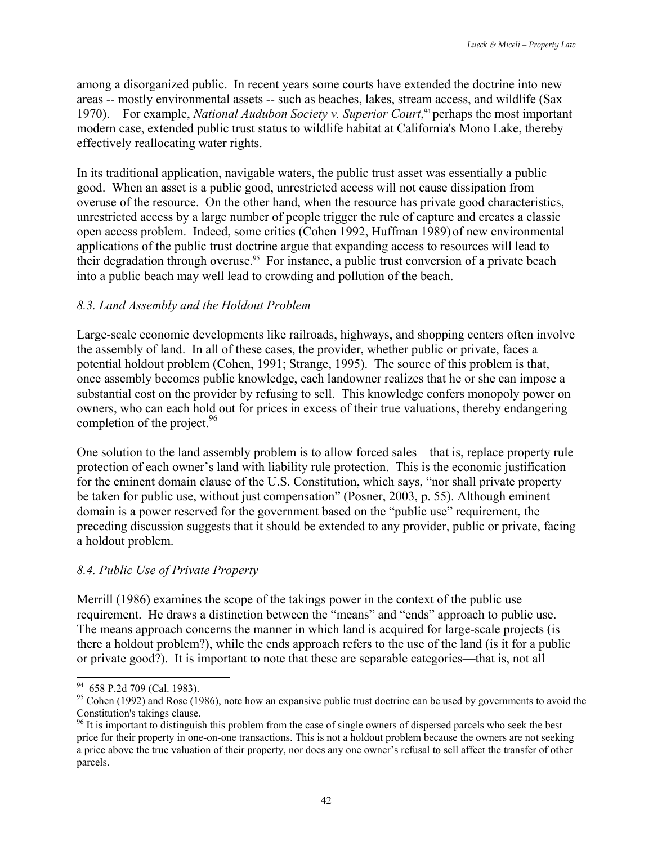among a disorganized public. In recent years some courts have extended the doctrine into new areas -- mostly environmental assets -- such as beaches, lakes, stream access, and wildlife (Sax 1970). For example, *National Audubon Society v. Superior Court*,<sup>94</sup> perhaps the most important modern case, extended public trust status to wildlife habitat at California's Mono Lake, thereby effectively reallocating water rights.

In its traditional application, navigable waters, the public trust asset was essentially a public good. When an asset is a public good, unrestricted access will not cause dissipation from overuse of the resource. On the other hand, when the resource has private good characteristics, unrestricted access by a large number of people trigger the rule of capture and creates a classic open access problem. Indeed, some critics (Cohen 1992, Huffman 1989) of new environmental applications of the public trust doctrine argue that expanding access to resources will lead to their degradation through overuse.<sup>95</sup> For instance, a public trust conversion of a private beach into a public beach may well lead to crowding and pollution of the beach.

#### *8.3. Land Assembly and the Holdout Problem*

Large-scale economic developments like railroads, highways, and shopping centers often involve the assembly of land. In all of these cases, the provider, whether public or private, faces a potential holdout problem (Cohen, 1991; Strange, 1995). The source of this problem is that, once assembly becomes public knowledge, each landowner realizes that he or she can impose a substantial cost on the provider by refusing to sell. This knowledge confers monopoly power on owners, who can each hold out for prices in excess of their true valuations, thereby endangering completion of the project. $96$ 

One solution to the land assembly problem is to allow forced sales—that is, replace property rule protection of each owner's land with liability rule protection. This is the economic justification for the eminent domain clause of the U.S. Constitution, which says, "nor shall private property be taken for public use, without just compensation" (Posner, 2003, p. 55). Although eminent domain is a power reserved for the government based on the "public use" requirement, the preceding discussion suggests that it should be extended to any provider, public or private, facing a holdout problem.

#### *8.4. Public Use of Private Property*

Merrill (1986) examines the scope of the takings power in the context of the public use requirement. He draws a distinction between the "means" and "ends" approach to public use. The means approach concerns the manner in which land is acquired for large-scale projects (is there a holdout problem?), while the ends approach refers to the use of the land (is it for a public or private good?). It is important to note that these are separable categories—that is, not all

<sup>&</sup>lt;sup>94</sup> 658 P.2d 709 (Cal. 1983).

 $95$  Cohen (1992) and Rose (1986), note how an expansive public trust doctrine can be used by governments to avoid the Constitution's takings clause.

 $96$  It is important to distinguish this problem from the case of single owners of dispersed parcels who seek the best price for their property in one-on-one transactions. This is not a holdout problem because the owners are not seeking a price above the true valuation of their property, nor does any one owner's refusal to sell affect the transfer of other parcels.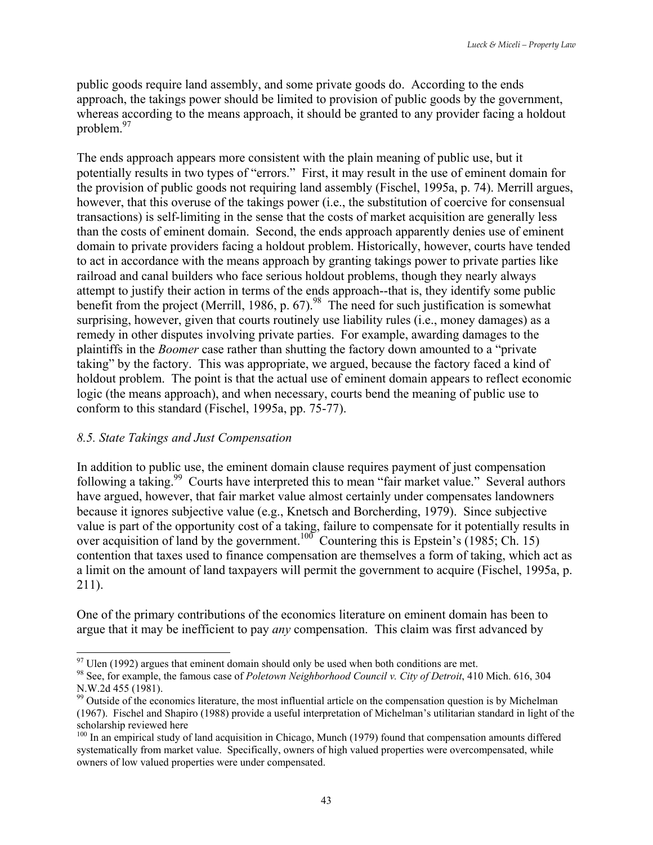public goods require land assembly, and some private goods do. According to the ends approach, the takings power should be limited to provision of public goods by the government, whereas according to the means approach, it should be granted to any provider facing a holdout problem.<sup>97</sup>

The ends approach appears more consistent with the plain meaning of public use, but it potentially results in two types of "errors." First, it may result in the use of eminent domain for the provision of public goods not requiring land assembly (Fischel, 1995a, p. 74). Merrill argues, however, that this overuse of the takings power (i.e., the substitution of coercive for consensual transactions) is self-limiting in the sense that the costs of market acquisition are generally less than the costs of eminent domain. Second, the ends approach apparently denies use of eminent domain to private providers facing a holdout problem. Historically, however, courts have tended to act in accordance with the means approach by granting takings power to private parties like railroad and canal builders who face serious holdout problems, though they nearly always attempt to justify their action in terms of the ends approach--that is, they identify some public benefit from the project (Merrill, 1986, p. 67).<sup>98</sup> The need for such justification is somewhat surprising, however, given that courts routinely use liability rules (i.e., money damages) as a remedy in other disputes involving private parties. For example, awarding damages to the plaintiffs in the *Boomer* case rather than shutting the factory down amounted to a "private taking" by the factory. This was appropriate, we argued, because the factory faced a kind of holdout problem. The point is that the actual use of eminent domain appears to reflect economic logic (the means approach), and when necessary, courts bend the meaning of public use to conform to this standard (Fischel, 1995a, pp. 75-77).

#### *8.5. State Takings and Just Compensation*

In addition to public use, the eminent domain clause requires payment of just compensation following a taking.<sup>99</sup> Courts have interpreted this to mean "fair market value." Several authors have argued, however, that fair market value almost certainly under compensates landowners because it ignores subjective value (e.g., Knetsch and Borcherding, 1979). Since subjective value is part of the opportunity cost of a taking, failure to compensate for it potentially results in over acquisition of land by the government.<sup>100</sup> Countering this is Epstein's (1985; Ch. 15) contention that taxes used to finance compensation are themselves a form of taking, which act as a limit on the amount of land taxpayers will permit the government to acquire (Fischel, 1995a, p. 211).

One of the primary contributions of the economics literature on eminent domain has been to argue that it may be inefficient to pay *any* compensation. This claim was first advanced by

 $97$  Ulen (1992) argues that eminent domain should only be used when both conditions are met.

<sup>&</sup>lt;sup>98</sup> See, for example, the famous case of *Poletown Neighborhood Council v. City of Detroit*, 410 Mich. 616, 304 N.W.2d 455 (1981).

<sup>&</sup>lt;sup>99</sup> Outside of the economics literature, the most influential article on the compensation question is by Michelman (1967). Fischel and Shapiro (1988) provide a useful interpretation of Michelman's utilitarian standard in light of the scholarship reviewed here

<sup>&</sup>lt;sup>100</sup> In an empirical study of land acquisition in Chicago, Munch (1979) found that compensation amounts differed systematically from market value. Specifically, owners of high valued properties were overcompensated, while owners of low valued properties were under compensated.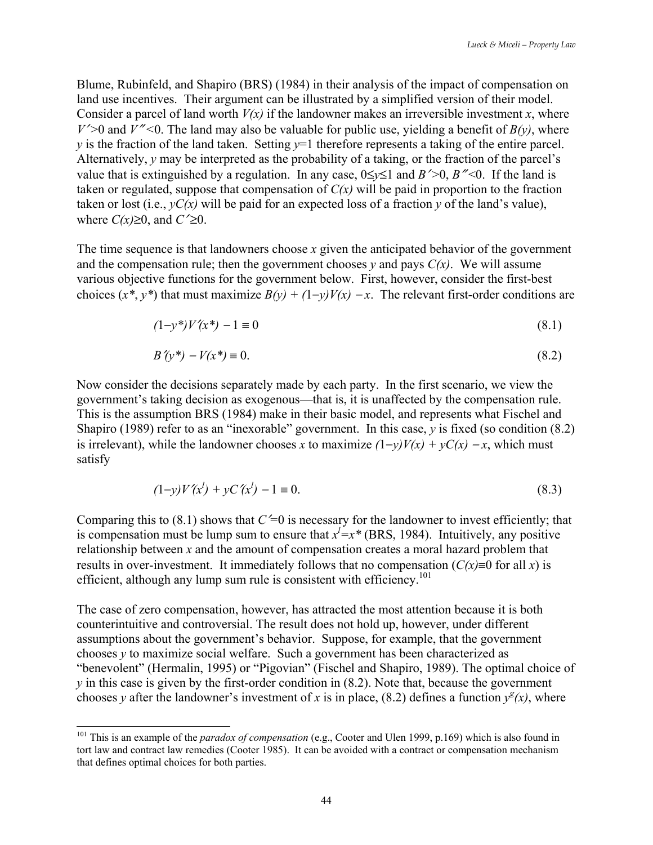Blume, Rubinfeld, and Shapiro (BRS) (1984) in their analysis of the impact of compensation on land use incentives. Their argument can be illustrated by a simplified version of their model. Consider a parcel of land worth  $V(x)$  if the landowner makes an irreversible investment *x*, where  $V' > 0$  and  $V'' < 0$ . The land may also be valuable for public use, yielding a benefit of  $B(v)$ , where *y* is the fraction of the land taken. Setting  $y=1$  therefore represents a taking of the entire parcel. Alternatively, *y* may be interpreted as the probability of a taking, or the fraction of the parcel's value that is extinguished by a regulation. In any case,  $0 \le y \le 1$  and  $B' > 0$ ,  $B'' < 0$ . If the land is taken or regulated, suppose that compensation of *C(x)* will be paid in proportion to the fraction taken or lost (i.e.,  $yC(x)$  will be paid for an expected loss of a fraction *y* of the land's value), where  $C(x) \geq 0$ , and  $C' \geq 0$ .

The time sequence is that landowners choose *x* given the anticipated behavior of the government and the compensation rule; then the government chooses  $y$  and pays  $C(x)$ . We will assume various objective functions for the government below. First, however, consider the first-best choices  $(x^*, y^*)$  that must maximize  $B(y) + (1-y)V(x) - x$ . The relevant first-order conditions are

$$
(1-y^*)V'(x^*) - 1 \equiv 0 \tag{8.1}
$$

$$
B'(y^*) - V(x^*) \equiv 0. \tag{8.2}
$$

Now consider the decisions separately made by each party. In the first scenario, we view the government's taking decision as exogenous—that is, it is unaffected by the compensation rule. This is the assumption BRS (1984) make in their basic model, and represents what Fischel and Shapiro (1989) refer to as an "inexorable" government. In this case, *y* is fixed (so condition (8.2) is irrelevant), while the landowner chooses *x* to maximize  $(1-y)V(x) + yC(x) - x$ , which must satisfy

$$
(1-y)V'(x^{l}) + yC'(x^{l}) - 1 \equiv 0.
$$
\n(8.3)

Comparing this to (8.1) shows that *C*′*=*0 is necessary for the landowner to invest efficiently; that is compensation must be lump sum to ensure that  $x^l = x^*$  (BRS, 1984). Intuitively, any positive relationship between *x* and the amount of compensation creates a moral hazard problem that results in over-investment. It immediately follows that no compensation  $(C(x)=0$  for all x) is efficient, although any lump sum rule is consistent with efficiency.<sup>101</sup>

The case of zero compensation, however, has attracted the most attention because it is both counterintuitive and controversial. The result does not hold up, however, under different assumptions about the government's behavior. Suppose, for example, that the government chooses *y* to maximize social welfare. Such a government has been characterized as "benevolent" (Hermalin, 1995) or "Pigovian" (Fischel and Shapiro, 1989). The optimal choice of *y* in this case is given by the first-order condition in (8.2). Note that, because the government chooses *y* after the landowner's investment of *x* is in place, (8.2) defines a function  $y<sup>g</sup>(x)$ , where

l

<sup>101</sup> This is an example of the *paradox of compensation* (e.g., Cooter and Ulen 1999, p.169) which is also found in tort law and contract law remedies (Cooter 1985). It can be avoided with a contract or compensation mechanism that defines optimal choices for both parties.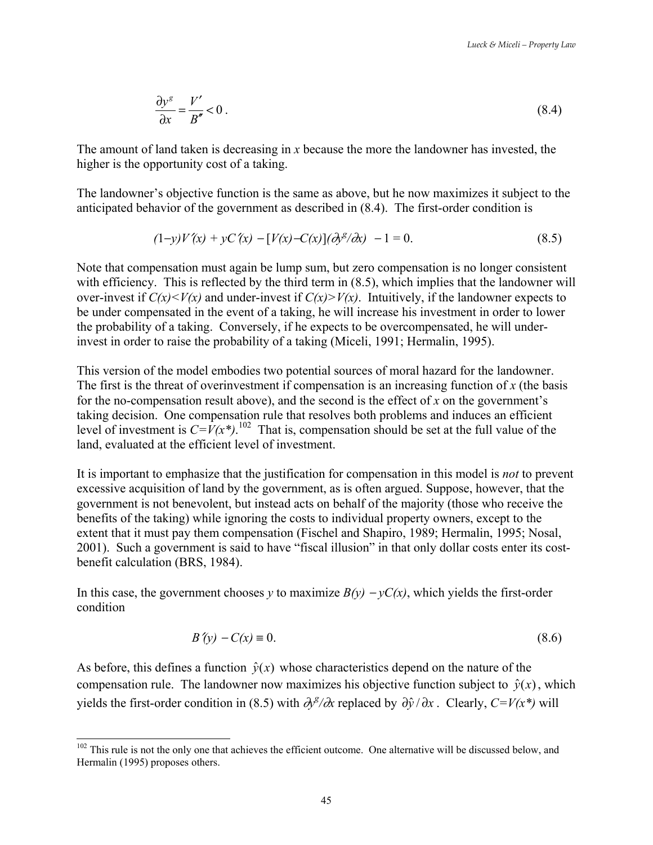$$
\frac{\partial y^s}{\partial x} = \frac{V'}{B''} < 0 \tag{8.4}
$$

The amount of land taken is decreasing in *x* because the more the landowner has invested, the higher is the opportunity cost of a taking.

The landowner's objective function is the same as above, but he now maximizes it subject to the anticipated behavior of the government as described in (8.4). The first-order condition is

$$
(1-y)V'(x) + yC'(x) - [V(x) - C(x)](\partial y^s/\partial x) - 1 = 0.
$$
\n(8.5)

Note that compensation must again be lump sum, but zero compensation is no longer consistent with efficiency. This is reflected by the third term in  $(8.5)$ , which implies that the landowner will over-invest if  $C(x) \le V(x)$  and under-invest if  $C(x) \ge V(x)$ . Intuitively, if the landowner expects to be under compensated in the event of a taking, he will increase his investment in order to lower the probability of a taking. Conversely, if he expects to be overcompensated, he will underinvest in order to raise the probability of a taking (Miceli, 1991; Hermalin, 1995).

This version of the model embodies two potential sources of moral hazard for the landowner. The first is the threat of overinvestment if compensation is an increasing function of *x* (the basis for the no-compensation result above), and the second is the effect of  $x$  on the government's taking decision. One compensation rule that resolves both problems and induces an efficient level of investment is  $C = V(x^*)$ .<sup>102</sup> That is, compensation should be set at the full value of the land, evaluated at the efficient level of investment.

It is important to emphasize that the justification for compensation in this model is *not* to prevent excessive acquisition of land by the government, as is often argued. Suppose, however, that the government is not benevolent, but instead acts on behalf of the majority (those who receive the benefits of the taking) while ignoring the costs to individual property owners, except to the extent that it must pay them compensation (Fischel and Shapiro, 1989; Hermalin, 1995; Nosal, 2001). Such a government is said to have "fiscal illusion" in that only dollar costs enter its costbenefit calculation (BRS, 1984).

In this case, the government chooses *y* to maximize  $B(y) - yC(x)$ , which yields the first-order condition

$$
B'(y) - C(x) \equiv 0. \tag{8.6}
$$

As before, this defines a function  $\hat{y}(x)$  whose characteristics depend on the nature of the compensation rule. The landowner now maximizes his objective function subject to  $\hat{y}(x)$ , which yields the first-order condition in (8.5) with  $\partial y^s / \partial x$  replaced by  $\partial \hat{y} / \partial x$ . Clearly,  $C = V(x^*)$  will

 $\overline{a}$ 

 $102$  This rule is not the only one that achieves the efficient outcome. One alternative will be discussed below, and Hermalin (1995) proposes others.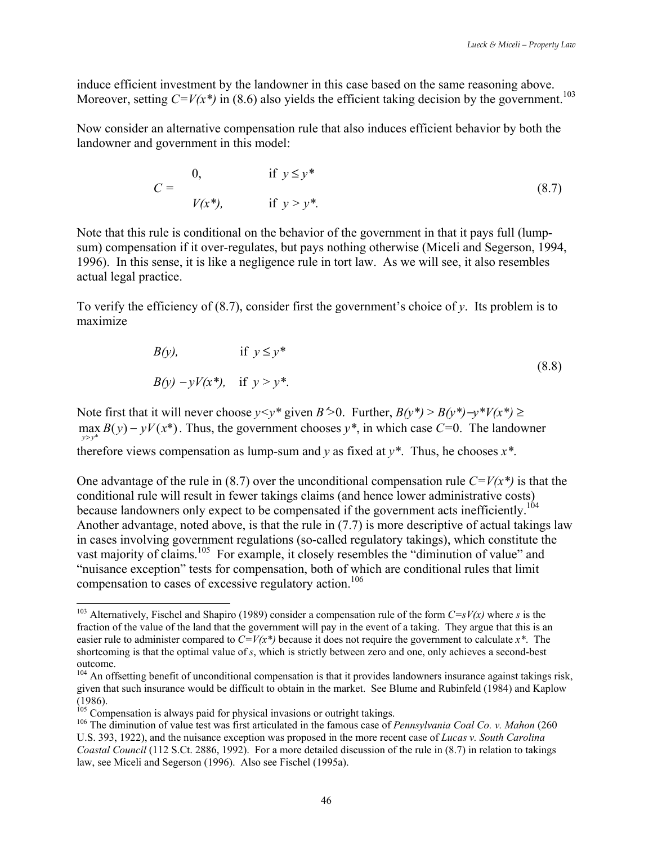induce efficient investment by the landowner in this case based on the same reasoning above. Moreover, setting  $C=V(x^*)$  in (8.6) also yields the efficient taking decision by the government.<sup>103</sup>

Now consider an alternative compensation rule that also induces efficient behavior by both the landowner and government in this model:

$$
C = \begin{cases} 0, & \text{if } y \leq y^* \\ V(x^*), & \text{if } y > y^*. \end{cases} \tag{8.7}
$$

Note that this rule is conditional on the behavior of the government in that it pays full (lumpsum) compensation if it over-regulates, but pays nothing otherwise (Miceli and Segerson, 1994, 1996). In this sense, it is like a negligence rule in tort law. As we will see, it also resembles actual legal practice.

To verify the efficiency of (8.7), consider first the government's choice of *y*. Its problem is to maximize

$$
B(y), \qquad \text{if } y \leq y^* B(y) - yV(x^*), \quad \text{if } y > y^*.
$$
\n
$$
(8.8)
$$

Note first that it will never choose  $v \leq v^*$  given  $B \geq 0$ . Further,  $B(v^*) > B(v^*) - v^*V(x^*) \geq 0$  $\max_{y>y^*} B(y) - yV(x^*)$ . Thus, the government chooses  $y^*$ , in which case  $C=0$ . The landowner  $v > v^3$ therefore views compensation as lump-sum and  $y$  as fixed at  $y^*$ . Thus, he chooses  $x^*$ .

One advantage of the rule in (8.7) over the unconditional compensation rule  $C=V(x^*)$  is that the conditional rule will result in fewer takings claims (and hence lower administrative costs) because landowners only expect to be compensated if the government acts inefficiently.<sup>104</sup> Another advantage, noted above, is that the rule in (7.7) is more descriptive of actual takings law in cases involving government regulations (so-called regulatory takings), which constitute the vast majority of claims.<sup>105</sup> For example, it closely resembles the "diminution of value" and "nuisance exception" tests for compensation, both of which are conditional rules that limit compensation to cases of excessive regulatory action.<sup>106</sup>

 $\overline{a}$ 

<sup>&</sup>lt;sup>103</sup> Alternatively, Fischel and Shapiro (1989) consider a compensation rule of the form  $C=sV(x)$  where *s* is the fraction of the value of the land that the government will pay in the event of a taking. They argue that this is an easier rule to administer compared to *C=V(x\*)* because it does not require the government to calculate *x\**. The shortcoming is that the optimal value of *s*, which is strictly between zero and one, only achieves a second-best outcome.

<sup>&</sup>lt;sup>104</sup> An offsetting benefit of unconditional compensation is that it provides landowners insurance against takings risk, given that such insurance would be difficult to obtain in the market. See Blume and Rubinfeld (1984) and Kaplow

 $(1986)$ .<br><sup>105</sup> Compensation is always paid for physical invasions or outright takings.

<sup>&</sup>lt;sup>106</sup> The diminution of value test was first articulated in the famous case of *Pennsylvania Coal Co. v. Mahon* (260 U.S. 393, 1922), and the nuisance exception was proposed in the more recent case of *Lucas v. South Carolina Coastal Council* (112 S.Ct. 2886, 1992). For a more detailed discussion of the rule in (8.7) in relation to takings law, see Miceli and Segerson (1996). Also see Fischel (1995a).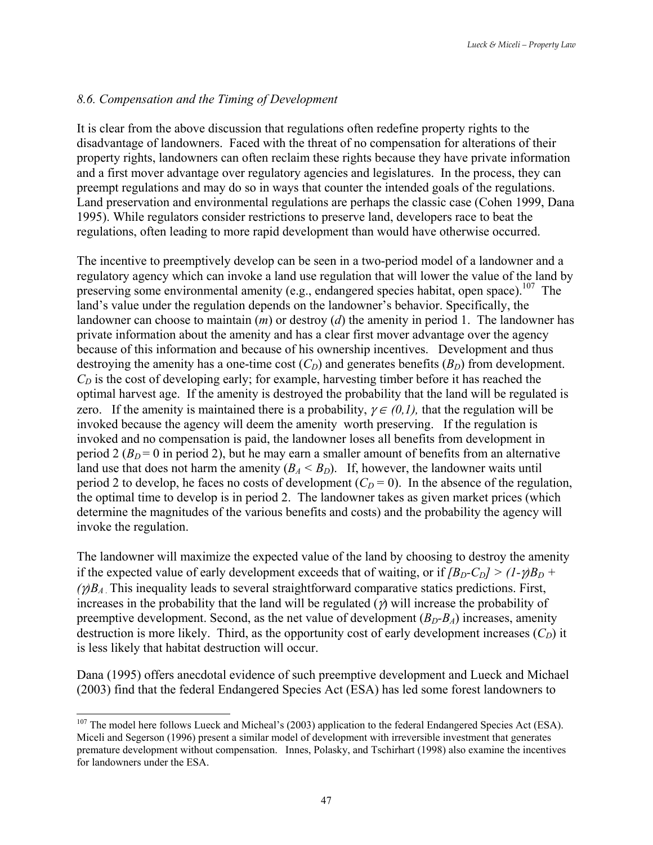## *8.6. Compensation and the Timing of Development*

It is clear from the above discussion that regulations often redefine property rights to the disadvantage of landowners. Faced with the threat of no compensation for alterations of their property rights, landowners can often reclaim these rights because they have private information and a first mover advantage over regulatory agencies and legislatures. In the process, they can preempt regulations and may do so in ways that counter the intended goals of the regulations. Land preservation and environmental regulations are perhaps the classic case (Cohen 1999, Dana 1995). While regulators consider restrictions to preserve land, developers race to beat the regulations, often leading to more rapid development than would have otherwise occurred.

The incentive to preemptively develop can be seen in a two-period model of a landowner and a regulatory agency which can invoke a land use regulation that will lower the value of the land by preserving some environmental amenity (e.g., endangered species habitat, open space).<sup>107</sup> The land's value under the regulation depends on the landowner's behavior. Specifically, the landowner can choose to maintain (*m*) or destroy (*d*) the amenity in period 1. The landowner has private information about the amenity and has a clear first mover advantage over the agency because of this information and because of his ownership incentives. Development and thus destroying the amenity has a one-time cost  $(C_D)$  and generates benefits  $(B_D)$  from development.  $C_D$  is the cost of developing early; for example, harvesting timber before it has reached the optimal harvest age. If the amenity is destroyed the probability that the land will be regulated is zero. If the amenity is maintained there is a probability,  $\gamma \in (0,1)$ , that the regulation will be invoked because the agency will deem the amenity worth preserving. If the regulation is invoked and no compensation is paid, the landowner loses all benefits from development in period 2 ( $B<sub>D</sub>$  = 0 in period 2), but he may earn a smaller amount of benefits from an alternative land use that does not harm the amenity  $(B_A < B_D)$ . If, however, the landowner waits until period 2 to develop, he faces no costs of development  $(C_D = 0)$ . In the absence of the regulation, the optimal time to develop is in period 2. The landowner takes as given market prices (which determine the magnitudes of the various benefits and costs) and the probability the agency will invoke the regulation.

The landowner will maximize the expected value of the land by choosing to destroy the amenity if the expected value of early development exceeds that of waiting, or if  $/B_D-C_D$   $>$   $(1-\gamma)B_D$  +  $(\gamma)B<sub>A</sub>$  This inequality leads to several straightforward comparative statics predictions. First, increases in the probability that the land will be regulated  $(\gamma)$  will increase the probability of preemptive development. Second, as the net value of development  $(B_D - B_A)$  increases, amenity destruction is more likely. Third, as the opportunity cost of early development increases  $(C_D)$  it is less likely that habitat destruction will occur.

Dana (1995) offers anecdotal evidence of such preemptive development and Lueck and Michael (2003) find that the federal Endangered Species Act (ESA) has led some forest landowners to

 $\overline{a}$ <sup>107</sup> The model here follows Lueck and Micheal's (2003) application to the federal Endangered Species Act (ESA). Miceli and Segerson (1996) present a similar model of development with irreversible investment that generates premature development without compensation. Innes, Polasky, and Tschirhart (1998) also examine the incentives for landowners under the ESA.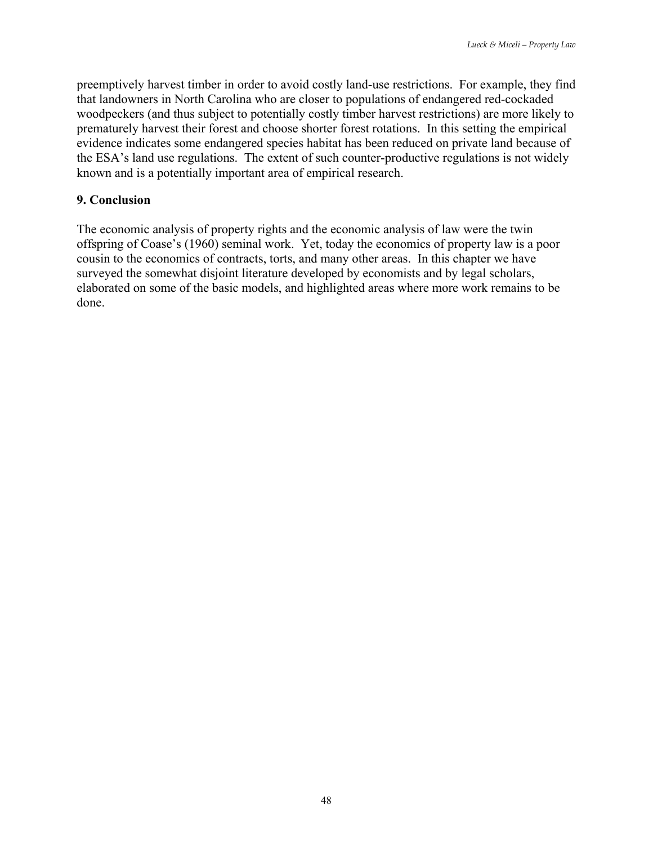preemptively harvest timber in order to avoid costly land-use restrictions. For example, they find that landowners in North Carolina who are closer to populations of endangered red-cockaded woodpeckers (and thus subject to potentially costly timber harvest restrictions) are more likely to prematurely harvest their forest and choose shorter forest rotations. In this setting the empirical evidence indicates some endangered species habitat has been reduced on private land because of the ESA's land use regulations. The extent of such counter-productive regulations is not widely known and is a potentially important area of empirical research.

#### **9. Conclusion**

The economic analysis of property rights and the economic analysis of law were the twin offspring of Coase's (1960) seminal work. Yet, today the economics of property law is a poor cousin to the economics of contracts, torts, and many other areas. In this chapter we have surveyed the somewhat disjoint literature developed by economists and by legal scholars, elaborated on some of the basic models, and highlighted areas where more work remains to be done.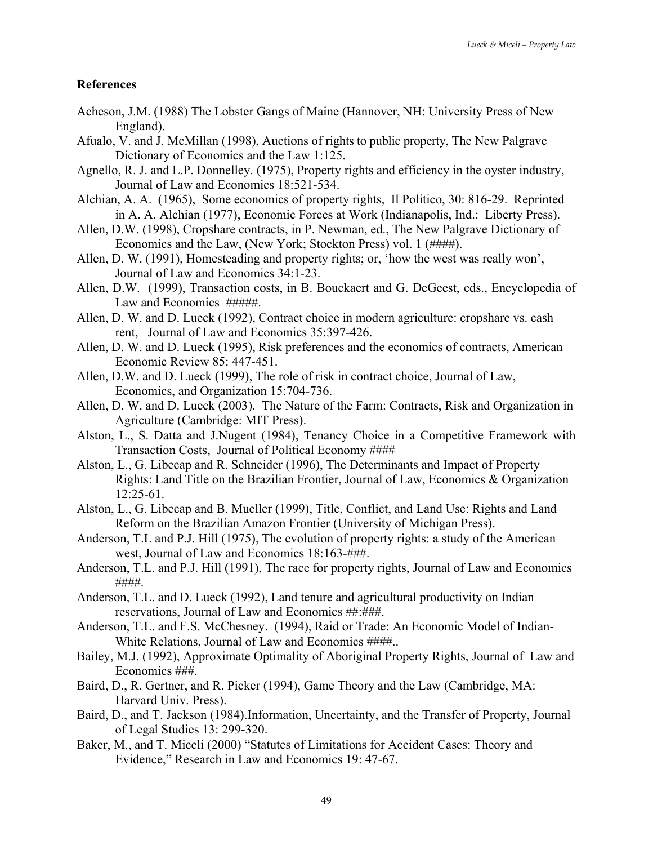## **References**

- Acheson, J.M. (1988) The Lobster Gangs of Maine (Hannover, NH: University Press of New England).
- Afualo, V. and J. McMillan (1998), Auctions of rights to public property, The New Palgrave Dictionary of Economics and the Law 1:125.
- Agnello, R. J. and L.P. Donnelley. (1975), Property rights and efficiency in the oyster industry, Journal of Law and Economics 18:521-534.
- Alchian, A. A. (1965), Some economics of property rights, Il Politico, 30: 816-29. Reprinted in A. A. Alchian (1977), Economic Forces at Work (Indianapolis, Ind.: Liberty Press).
- Allen, D.W. (1998), Cropshare contracts, in P. Newman, ed., The New Palgrave Dictionary of Economics and the Law, (New York; Stockton Press) vol. 1 (####).
- Allen, D. W. (1991), Homesteading and property rights; or, 'how the west was really won', Journal of Law and Economics 34:1-23.
- Allen, D.W. (1999), Transaction costs, in B. Bouckaert and G. DeGeest, eds., Encyclopedia of Law and Economics #####.
- Allen, D. W. and D. Lueck (1992), Contract choice in modern agriculture: cropshare vs. cash rent, Journal of Law and Economics 35:397-426.
- Allen, D. W. and D. Lueck (1995), Risk preferences and the economics of contracts, American Economic Review 85: 447-451.
- Allen, D.W. and D. Lueck (1999), The role of risk in contract choice, Journal of Law, Economics, and Organization 15:704-736.
- Allen, D. W. and D. Lueck (2003). The Nature of the Farm: Contracts, Risk and Organization in Agriculture (Cambridge: MIT Press).
- Alston, L., S. Datta and J.Nugent (1984), Tenancy Choice in a Competitive Framework with Transaction Costs, Journal of Political Economy ####
- Alston, L., G. Libecap and R. Schneider (1996), The Determinants and Impact of Property Rights: Land Title on the Brazilian Frontier, Journal of Law, Economics & Organization 12:25-61.
- Alston, L., G. Libecap and B. Mueller (1999), Title, Conflict, and Land Use: Rights and Land Reform on the Brazilian Amazon Frontier (University of Michigan Press).
- Anderson, T.L and P.J. Hill (1975), The evolution of property rights: a study of the American west, Journal of Law and Economics 18:163-###.
- Anderson, T.L. and P.J. Hill (1991), The race for property rights, Journal of Law and Economics ####.
- Anderson, T.L. and D. Lueck (1992), Land tenure and agricultural productivity on Indian reservations, Journal of Law and Economics ##:###.
- Anderson, T.L. and F.S. McChesney. (1994), Raid or Trade: An Economic Model of Indian-White Relations, Journal of Law and Economics ####..
- Bailey, M.J. (1992), Approximate Optimality of Aboriginal Property Rights, Journal of Law and Economics ###.
- Baird, D., R. Gertner, and R. Picker (1994), Game Theory and the Law (Cambridge, MA: Harvard Univ. Press).
- Baird, D., and T. Jackson (1984).Information, Uncertainty, and the Transfer of Property, Journal of Legal Studies 13: 299-320.
- Baker, M., and T. Miceli (2000) "Statutes of Limitations for Accident Cases: Theory and Evidence," Research in Law and Economics 19: 47-67.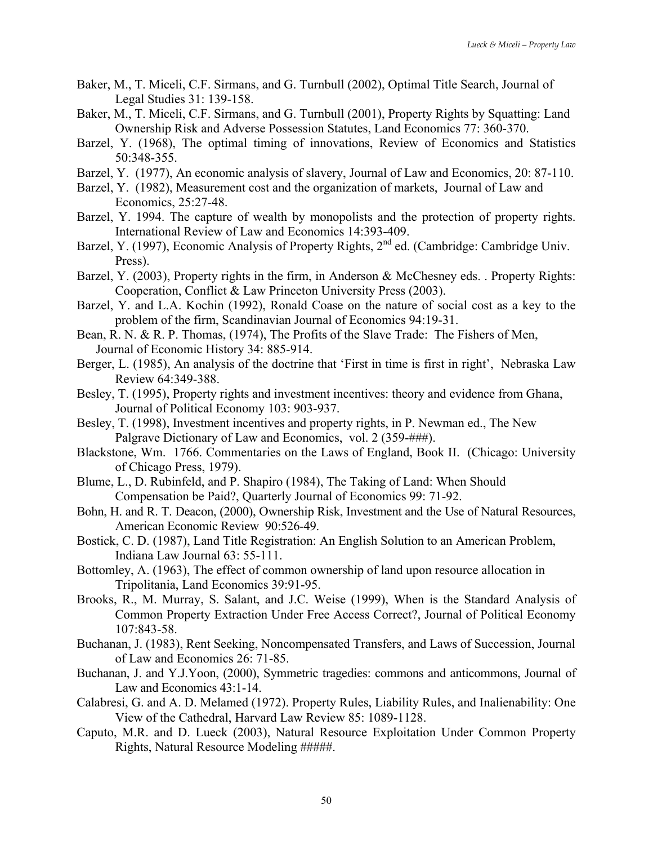- Baker, M., T. Miceli, C.F. Sirmans, and G. Turnbull (2002), Optimal Title Search, Journal of Legal Studies 31: 139-158.
- Baker, M., T. Miceli, C.F. Sirmans, and G. Turnbull (2001), Property Rights by Squatting: Land Ownership Risk and Adverse Possession Statutes, Land Economics 77: 360-370.
- Barzel, Y. (1968), The optimal timing of innovations, Review of Economics and Statistics 50:348-355.
- Barzel, Y. (1977), An economic analysis of slavery, Journal of Law and Economics, 20: 87-110.
- Barzel, Y. (1982), Measurement cost and the organization of markets, Journal of Law and Economics, 25:27-48.
- Barzel, Y. 1994. The capture of wealth by monopolists and the protection of property rights. International Review of Law and Economics 14:393-409.
- Barzel, Y. (1997), Economic Analysis of Property Rights, 2<sup>nd</sup> ed. (Cambridge: Cambridge Univ. Press).
- Barzel, Y. (2003), Property rights in the firm, in Anderson & McChesney eds. . Property Rights: Cooperation, Conflict & Law Princeton University Press (2003).
- Barzel, Y. and L.A. Kochin (1992), Ronald Coase on the nature of social cost as a key to the problem of the firm, Scandinavian Journal of Economics 94:19-31.
- Bean, R. N. & R. P. Thomas, (1974), The Profits of the Slave Trade: The Fishers of Men, Journal of Economic History 34: 885-914.
- Berger, L. (1985), An analysis of the doctrine that 'First in time is first in right', Nebraska Law Review 64:349-388.
- Besley, T. (1995), Property rights and investment incentives: theory and evidence from Ghana, Journal of Political Economy 103: 903-937.
- Besley, T. (1998), Investment incentives and property rights, in P. Newman ed., The New Palgrave Dictionary of Law and Economics, vol. 2 (359-###).
- Blackstone, Wm. 1766. Commentaries on the Laws of England, Book II. (Chicago: University of Chicago Press, 1979).
- Blume, L., D. Rubinfeld, and P. Shapiro (1984), The Taking of Land: When Should Compensation be Paid?, Quarterly Journal of Economics 99: 71-92.
- Bohn, H. and R. T. Deacon, (2000), Ownership Risk, Investment and the Use of Natural Resources, American Economic Review 90:526-49.
- Bostick, C. D. (1987), Land Title Registration: An English Solution to an American Problem, Indiana Law Journal 63: 55-111.
- Bottomley, A. (1963), The effect of common ownership of land upon resource allocation in Tripolitania, Land Economics 39:91-95.
- Brooks, R., M. Murray, S. Salant, and J.C. Weise (1999), When is the Standard Analysis of Common Property Extraction Under Free Access Correct?, Journal of Political Economy 107:843-58.
- Buchanan, J. (1983), Rent Seeking, Noncompensated Transfers, and Laws of Succession, Journal of Law and Economics 26: 71-85.
- Buchanan, J. and Y.J.Yoon, (2000), Symmetric tragedies: commons and anticommons, Journal of Law and Economics 43:1-14.
- Calabresi, G. and A. D. Melamed (1972). Property Rules, Liability Rules, and Inalienability: One View of the Cathedral, Harvard Law Review 85: 1089-1128.
- Caputo, M.R. and D. Lueck (2003), Natural Resource Exploitation Under Common Property Rights, Natural Resource Modeling #####.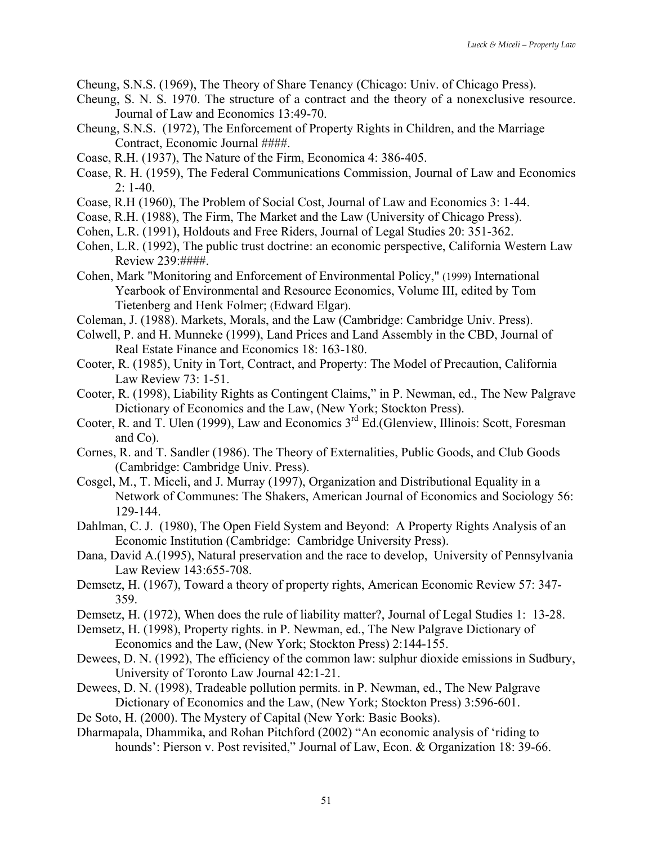- Cheung, S.N.S. (1969), The Theory of Share Tenancy (Chicago: Univ. of Chicago Press).
- Cheung, S. N. S. 1970. The structure of a contract and the theory of a nonexclusive resource. Journal of Law and Economics 13:49-70.
- Cheung, S.N.S. (1972), The Enforcement of Property Rights in Children, and the Marriage Contract, Economic Journal ####.
- Coase, R.H. (1937), The Nature of the Firm, Economica 4: 386-405.
- Coase, R. H. (1959), The Federal Communications Commission, Journal of Law and Economics 2: 1-40.
- Coase, R.H (1960), The Problem of Social Cost, Journal of Law and Economics 3: 1-44.
- Coase, R.H. (1988), The Firm, The Market and the Law (University of Chicago Press).
- Cohen, L.R. (1991), Holdouts and Free Riders, Journal of Legal Studies 20: 351-362.
- Cohen, L.R. (1992), The public trust doctrine: an economic perspective, California Western Law Review 239:####.
- Cohen, Mark "Monitoring and Enforcement of Environmental Policy," (1999) International Yearbook of Environmental and Resource Economics, Volume III, edited by Tom Tietenberg and Henk Folmer; (Edward Elgar).
- Coleman, J. (1988). Markets, Morals, and the Law (Cambridge: Cambridge Univ. Press).
- Colwell, P. and H. Munneke (1999), Land Prices and Land Assembly in the CBD, Journal of Real Estate Finance and Economics 18: 163-180.
- Cooter, R. (1985), Unity in Tort, Contract, and Property: The Model of Precaution, California Law Review 73: 1-51.
- Cooter, R. (1998), Liability Rights as Contingent Claims," in P. Newman, ed., The New Palgrave Dictionary of Economics and the Law, (New York; Stockton Press).
- Cooter, R. and T. Ulen (1999), Law and Economics 3<sup>rd</sup> Ed. (Glenview, Illinois: Scott, Foresman and Co).
- Cornes, R. and T. Sandler (1986). The Theory of Externalities, Public Goods, and Club Goods (Cambridge: Cambridge Univ. Press).
- Cosgel, M., T. Miceli, and J. Murray (1997), Organization and Distributional Equality in a Network of Communes: The Shakers, American Journal of Economics and Sociology 56: 129-144.
- Dahlman, C. J. (1980), The Open Field System and Beyond: A Property Rights Analysis of an Economic Institution (Cambridge: Cambridge University Press).
- Dana, David A.(1995), Natural preservation and the race to develop, University of Pennsylvania Law Review 143:655-708.
- Demsetz, H. (1967), Toward a theory of property rights, American Economic Review 57: 347- 359.
- Demsetz, H. (1972), When does the rule of liability matter?, Journal of Legal Studies 1: 13-28.
- Demsetz, H. (1998), Property rights. in P. Newman, ed., The New Palgrave Dictionary of Economics and the Law, (New York; Stockton Press) 2:144-155.
- Dewees, D. N. (1992), The efficiency of the common law: sulphur dioxide emissions in Sudbury, University of Toronto Law Journal 42:1-21.
- Dewees, D. N. (1998), Tradeable pollution permits. in P. Newman, ed., The New Palgrave Dictionary of Economics and the Law, (New York; Stockton Press) 3:596-601.
- De Soto, H. (2000). The Mystery of Capital (New York: Basic Books).
- Dharmapala, Dhammika, and Rohan Pitchford (2002) "An economic analysis of 'riding to hounds': Pierson v. Post revisited," Journal of Law, Econ. & Organization 18: 39-66.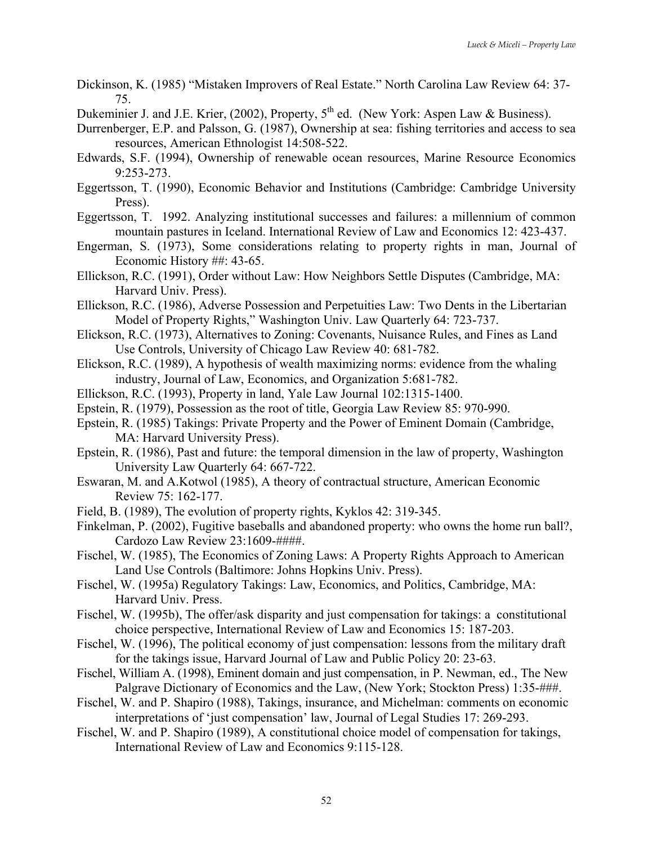- Dickinson, K. (1985) "Mistaken Improvers of Real Estate." North Carolina Law Review 64: 37- 75.
- Dukeminier J. and J.E. Krier, (2002), Property,  $5<sup>th</sup>$  ed. (New York: Aspen Law & Business).
- Durrenberger, E.P. and Palsson, G. (1987), Ownership at sea: fishing territories and access to sea resources, American Ethnologist 14:508-522.
- Edwards, S.F. (1994), Ownership of renewable ocean resources, Marine Resource Economics 9:253-273.
- Eggertsson, T. (1990), Economic Behavior and Institutions (Cambridge: Cambridge University Press).
- Eggertsson, T. 1992. Analyzing institutional successes and failures: a millennium of common mountain pastures in Iceland. International Review of Law and Economics 12: 423-437.
- Engerman, S. (1973), Some considerations relating to property rights in man, Journal of Economic History ##: 43-65.
- Ellickson, R.C. (1991), Order without Law: How Neighbors Settle Disputes (Cambridge, MA: Harvard Univ. Press).
- Ellickson, R.C. (1986), Adverse Possession and Perpetuities Law: Two Dents in the Libertarian Model of Property Rights," Washington Univ. Law Quarterly 64: 723-737.
- Elickson, R.C. (1973), Alternatives to Zoning: Covenants, Nuisance Rules, and Fines as Land Use Controls, University of Chicago Law Review 40: 681-782.
- Elickson, R.C. (1989), A hypothesis of wealth maximizing norms: evidence from the whaling industry, Journal of Law, Economics, and Organization 5:681-782.
- Ellickson, R.C. (1993), Property in land, Yale Law Journal 102:1315-1400.
- Epstein, R. (1979), Possession as the root of title, Georgia Law Review 85: 970-990.
- Epstein, R. (1985) Takings: Private Property and the Power of Eminent Domain (Cambridge, MA: Harvard University Press).
- Epstein, R. (1986), Past and future: the temporal dimension in the law of property, Washington University Law Quarterly 64: 667-722.
- Eswaran, M. and A.Kotwol (1985), A theory of contractual structure, American Economic Review 75: 162-177.
- Field, B. (1989), The evolution of property rights, Kyklos 42: 319-345.
- Finkelman, P. (2002), Fugitive baseballs and abandoned property: who owns the home run ball?, Cardozo Law Review 23:1609-####.
- Fischel, W. (1985), The Economics of Zoning Laws: A Property Rights Approach to American Land Use Controls (Baltimore: Johns Hopkins Univ. Press).
- Fischel, W. (1995a) Regulatory Takings: Law, Economics, and Politics, Cambridge, MA: Harvard Univ. Press.
- Fischel, W. (1995b), The offer/ask disparity and just compensation for takings: a constitutional choice perspective, International Review of Law and Economics 15: 187-203.
- Fischel, W. (1996), The political economy of just compensation: lessons from the military draft for the takings issue, Harvard Journal of Law and Public Policy 20: 23-63.
- Fischel, William A. (1998), Eminent domain and just compensation, in P. Newman, ed., The New Palgrave Dictionary of Economics and the Law, (New York; Stockton Press) 1:35-###.
- Fischel, W. and P. Shapiro (1988), Takings, insurance, and Michelman: comments on economic interpretations of 'just compensation' law, Journal of Legal Studies 17: 269-293.
- Fischel, W. and P. Shapiro (1989), A constitutional choice model of compensation for takings, International Review of Law and Economics 9:115-128.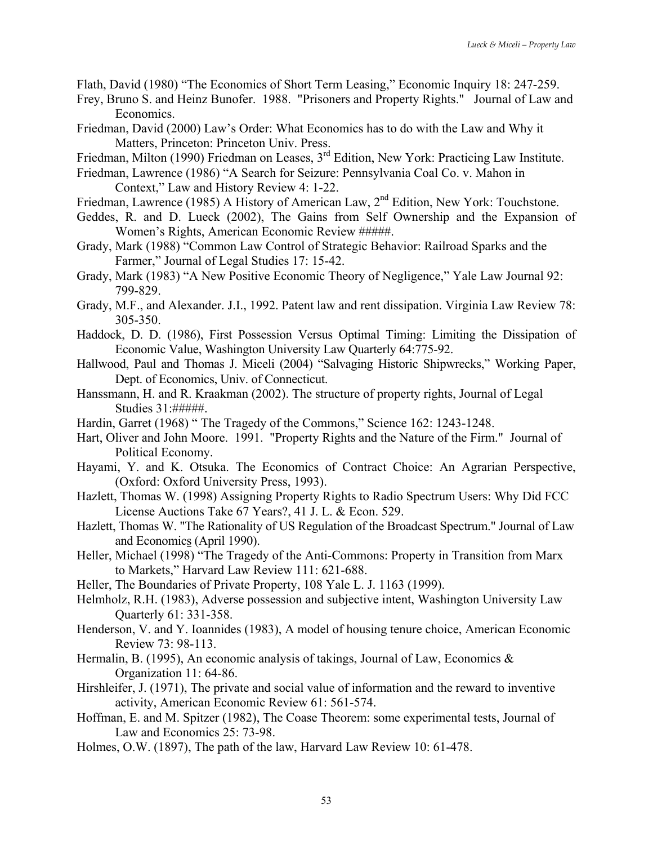Flath, David (1980) "The Economics of Short Term Leasing," Economic Inquiry 18: 247-259.

Frey, Bruno S. and Heinz Bunofer. 1988. "Prisoners and Property Rights." Journal of Law and Economics.

- Friedman, David (2000) Law's Order: What Economics has to do with the Law and Why it Matters, Princeton: Princeton Univ. Press.
- Friedman, Milton (1990) Friedman on Leases, 3rd Edition, New York: Practicing Law Institute.
- Friedman, Lawrence (1986) "A Search for Seizure: Pennsylvania Coal Co. v. Mahon in Context," Law and History Review 4: 1-22.
- Friedman, Lawrence (1985) A History of American Law, 2<sup>nd</sup> Edition, New York: Touchstone.
- Geddes, R. and D. Lueck (2002), The Gains from Self Ownership and the Expansion of Women's Rights, American Economic Review #####.
- Grady, Mark (1988) "Common Law Control of Strategic Behavior: Railroad Sparks and the Farmer," Journal of Legal Studies 17: 15-42.
- Grady, Mark (1983) "A New Positive Economic Theory of Negligence," Yale Law Journal 92: 799-829.
- Grady, M.F., and Alexander. J.I., 1992. Patent law and rent dissipation. Virginia Law Review 78: 305-350.
- Haddock, D. D. (1986), First Possession Versus Optimal Timing: Limiting the Dissipation of Economic Value, Washington University Law Quarterly 64:775-92.
- Hallwood, Paul and Thomas J. Miceli (2004) "Salvaging Historic Shipwrecks," Working Paper, Dept. of Economics, Univ. of Connecticut.
- Hanssmann, H. and R. Kraakman (2002). The structure of property rights, Journal of Legal Studies 31:#####.
- Hardin, Garret (1968) " The Tragedy of the Commons," Science 162: 1243-1248.
- Hart, Oliver and John Moore. 1991. "Property Rights and the Nature of the Firm." Journal of Political Economy.
- Hayami, Y. and K. Otsuka. The Economics of Contract Choice: An Agrarian Perspective, (Oxford: Oxford University Press, 1993).
- Hazlett, Thomas W. (1998) Assigning Property Rights to Radio Spectrum Users: Why Did FCC License Auctions Take 67 Years?, 41 J. L. & Econ. 529.
- Hazlett, Thomas W. "The Rationality of US Regulation of the Broadcast Spectrum." Journal of Law and Economics (April 1990).
- Heller, Michael (1998) "The Tragedy of the Anti-Commons: Property in Transition from Marx to Markets," Harvard Law Review 111: 621-688.
- Heller, The Boundaries of Private Property, 108 Yale L. J. 1163 (1999).
- Helmholz, R.H. (1983), Adverse possession and subjective intent, Washington University Law Quarterly 61: 331-358.
- Henderson, V. and Y. Ioannides (1983), A model of housing tenure choice, American Economic Review 73: 98-113.
- Hermalin, B. (1995), An economic analysis of takings, Journal of Law, Economics & Organization 11: 64-86.
- Hirshleifer, J. (1971), The private and social value of information and the reward to inventive activity, American Economic Review 61: 561-574.
- Hoffman, E. and M. Spitzer (1982), The Coase Theorem: some experimental tests, Journal of Law and Economics 25: 73-98.
- Holmes, O.W. (1897), The path of the law, Harvard Law Review 10: 61-478.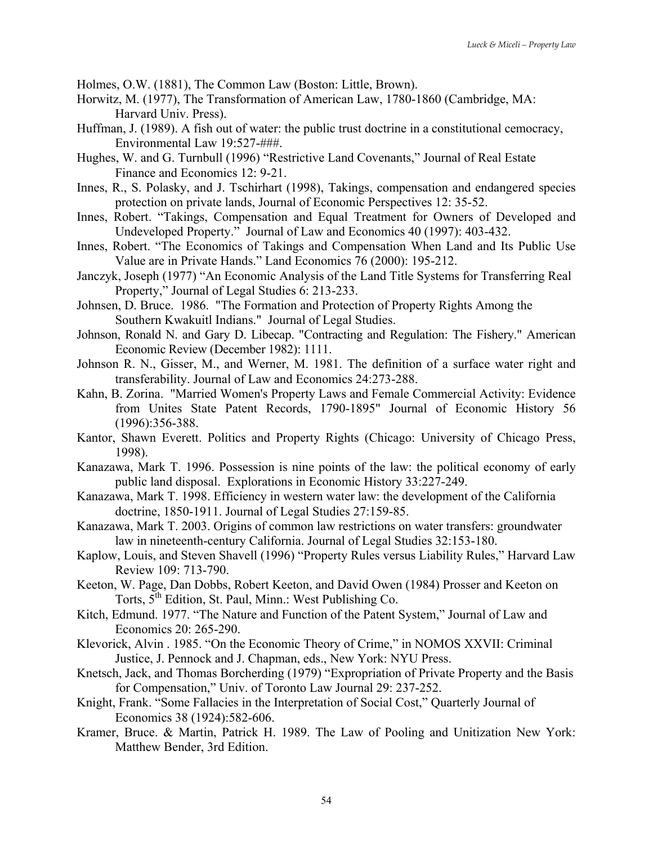Holmes, O.W. (1881), The Common Law (Boston: Little, Brown).

- Horwitz, M. (1977), The Transformation of American Law, 1780-1860 (Cambridge, MA: Harvard Univ. Press).
- Huffman, J. (1989). A fish out of water: the public trust doctrine in a constitutional cemocracy, Environmental Law 19:527-###.
- Hughes, W. and G. Turnbull (1996) "Restrictive Land Covenants," Journal of Real Estate Finance and Economics 12: 9-21.
- Innes, R., S. Polasky, and J. Tschirhart (1998), Takings, compensation and endangered species protection on private lands, Journal of Economic Perspectives 12: 35-52.
- Innes, Robert. "Takings, Compensation and Equal Treatment for Owners of Developed and Undeveloped Property." Journal of Law and Economics 40 (1997): 403-432.
- Innes, Robert. "The Economics of Takings and Compensation When Land and Its Public Use Value are in Private Hands." Land Economics 76 (2000): 195-212.
- Janczyk, Joseph (1977) "An Economic Analysis of the Land Title Systems for Transferring Real Property," Journal of Legal Studies 6: 213-233.
- Johnsen, D. Bruce. 1986. "The Formation and Protection of Property Rights Among the Southern Kwakuitl Indians." Journal of Legal Studies.
- Johnson, Ronald N. and Gary D. Libecap. "Contracting and Regulation: The Fishery." American Economic Review (December 1982): 1111.
- Johnson R. N., Gisser, M., and Werner, M. 1981. The definition of a surface water right and transferability. Journal of Law and Economics 24:273-288.
- Kahn, B. Zorina. "Married Women's Property Laws and Female Commercial Activity: Evidence from Unites State Patent Records, 1790-1895" Journal of Economic History 56 (1996):356-388.
- Kantor, Shawn Everett. Politics and Property Rights (Chicago: University of Chicago Press, 1998).
- Kanazawa, Mark T. 1996. Possession is nine points of the law: the political economy of early public land disposal. Explorations in Economic History 33:227-249.
- Kanazawa, Mark T. 1998. Efficiency in western water law: the development of the California doctrine, 1850-1911. Journal of Legal Studies 27:159-85.
- Kanazawa, Mark T. 2003. Origins of common law restrictions on water transfers: groundwater law in nineteenth-century California. Journal of Legal Studies 32:153-180.
- Kaplow, Louis, and Steven Shavell (1996) "Property Rules versus Liability Rules," Harvard Law Review 109: 713-790.
- Keeton, W. Page, Dan Dobbs, Robert Keeton, and David Owen (1984) Prosser and Keeton on Torts,  $5<sup>th</sup>$  Edition, St. Paul, Minn.: West Publishing Co.
- Kitch, Edmund. 1977. "The Nature and Function of the Patent System," Journal of Law and Economics 20: 265-290.
- Klevorick, Alvin . 1985. "On the Economic Theory of Crime," in NOMOS XXVII: Criminal Justice, J. Pennock and J. Chapman, eds., New York: NYU Press.
- Knetsch, Jack, and Thomas Borcherding (1979) "Expropriation of Private Property and the Basis for Compensation," Univ. of Toronto Law Journal 29: 237-252.
- Knight, Frank. "Some Fallacies in the Interpretation of Social Cost," Quarterly Journal of Economics 38 (1924):582-606.
- Kramer, Bruce. & Martin, Patrick H. 1989. The Law of Pooling and Unitization New York: Matthew Bender, 3rd Edition.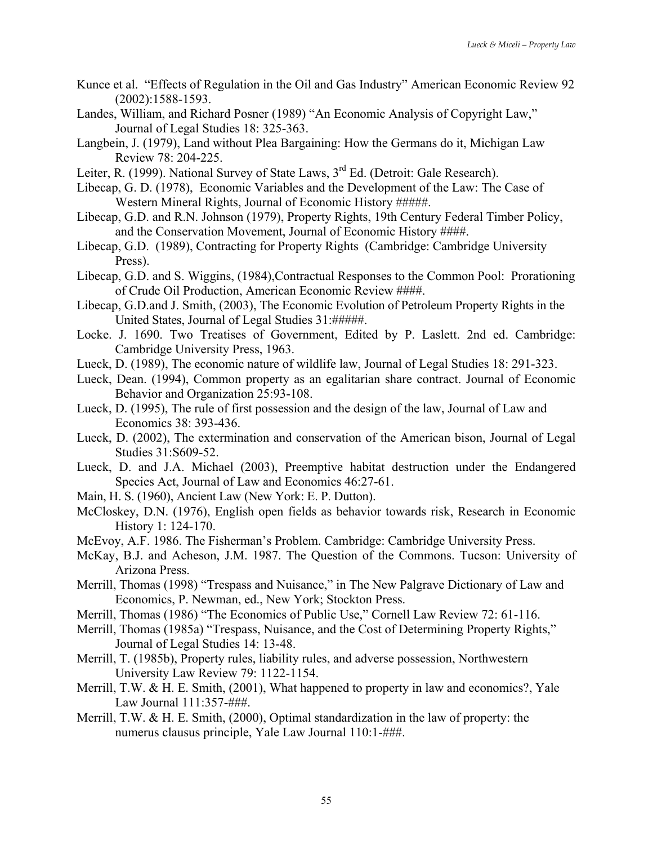- Kunce et al. "Effects of Regulation in the Oil and Gas Industry" American Economic Review 92 (2002):1588-1593.
- Landes, William, and Richard Posner (1989) "An Economic Analysis of Copyright Law," Journal of Legal Studies 18: 325-363.
- Langbein, J. (1979), Land without Plea Bargaining: How the Germans do it, Michigan Law Review 78: 204-225.
- Leiter, R. (1999). National Survey of State Laws, 3<sup>rd</sup> Ed. (Detroit: Gale Research).
- Libecap, G. D. (1978), Economic Variables and the Development of the Law: The Case of Western Mineral Rights, Journal of Economic History #####.
- Libecap, G.D. and R.N. Johnson (1979), Property Rights, 19th Century Federal Timber Policy, and the Conservation Movement, Journal of Economic History ####.
- Libecap, G.D. (1989), Contracting for Property Rights (Cambridge: Cambridge University Press).
- Libecap, G.D. and S. Wiggins, (1984),Contractual Responses to the Common Pool: Prorationing of Crude Oil Production, American Economic Review ####.
- Libecap, G.D.and J. Smith, (2003), The Economic Evolution of Petroleum Property Rights in the United States, Journal of Legal Studies 31:#####.
- Locke. J. 1690. Two Treatises of Government, Edited by P. Laslett. 2nd ed. Cambridge: Cambridge University Press, 1963.
- Lueck, D. (1989), The economic nature of wildlife law, Journal of Legal Studies 18: 291-323.
- Lueck, Dean. (1994), Common property as an egalitarian share contract. Journal of Economic Behavior and Organization 25:93-108.
- Lueck, D. (1995), The rule of first possession and the design of the law, Journal of Law and Economics 38: 393-436.
- Lueck, D. (2002), The extermination and conservation of the American bison, Journal of Legal Studies 31:S609-52.
- Lueck, D. and J.A. Michael (2003), Preemptive habitat destruction under the Endangered Species Act, Journal of Law and Economics 46:27-61.
- Main, H. S. (1960), Ancient Law (New York: E. P. Dutton).
- McCloskey, D.N. (1976), English open fields as behavior towards risk, Research in Economic History 1: 124-170.
- McEvoy, A.F. 1986. The Fisherman's Problem. Cambridge: Cambridge University Press.
- McKay, B.J. and Acheson, J.M. 1987. The Question of the Commons. Tucson: University of Arizona Press.
- Merrill, Thomas (1998) "Trespass and Nuisance," in The New Palgrave Dictionary of Law and Economics, P. Newman, ed., New York; Stockton Press.
- Merrill, Thomas (1986) "The Economics of Public Use," Cornell Law Review 72: 61-116.
- Merrill, Thomas (1985a) "Trespass, Nuisance, and the Cost of Determining Property Rights," Journal of Legal Studies 14: 13-48.
- Merrill, T. (1985b), Property rules, liability rules, and adverse possession, Northwestern University Law Review 79: 1122-1154.
- Merrill, T.W. & H. E. Smith, (2001), What happened to property in law and economics?, Yale Law Journal 111:357-###.
- Merrill, T.W. & H. E. Smith, (2000), Optimal standardization in the law of property: the numerus clausus principle, Yale Law Journal 110:1-###.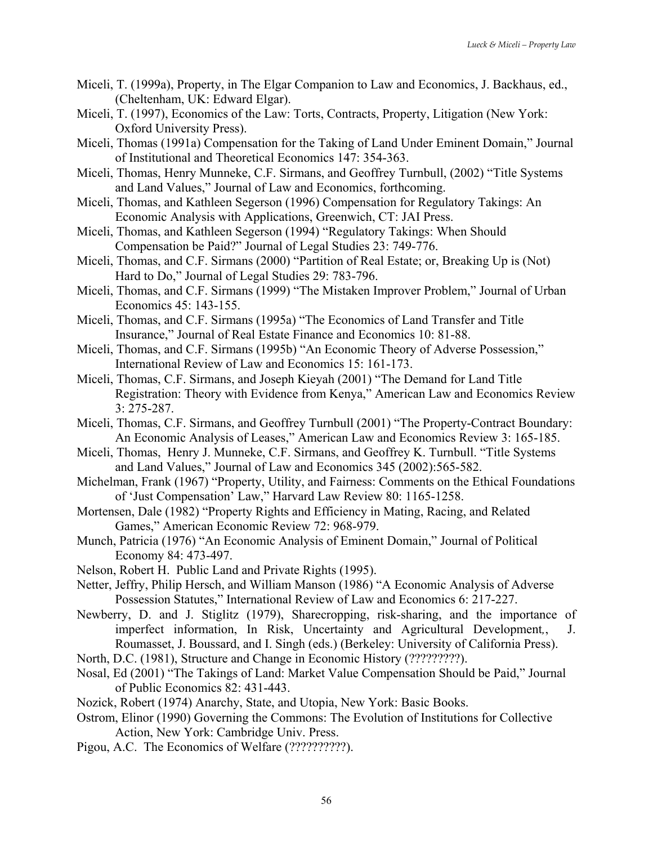- Miceli, T. (1999a), Property, in The Elgar Companion to Law and Economics, J. Backhaus, ed., (Cheltenham, UK: Edward Elgar).
- Miceli, T. (1997), Economics of the Law: Torts, Contracts, Property, Litigation (New York: Oxford University Press).
- Miceli, Thomas (1991a) Compensation for the Taking of Land Under Eminent Domain," Journal of Institutional and Theoretical Economics 147: 354-363.
- Miceli, Thomas, Henry Munneke, C.F. Sirmans, and Geoffrey Turnbull, (2002) "Title Systems and Land Values," Journal of Law and Economics, forthcoming.
- Miceli, Thomas, and Kathleen Segerson (1996) Compensation for Regulatory Takings: An Economic Analysis with Applications, Greenwich, CT: JAI Press.
- Miceli, Thomas, and Kathleen Segerson (1994) "Regulatory Takings: When Should Compensation be Paid?" Journal of Legal Studies 23: 749-776.
- Miceli, Thomas, and C.F. Sirmans (2000) "Partition of Real Estate; or, Breaking Up is (Not) Hard to Do," Journal of Legal Studies 29: 783-796.
- Miceli, Thomas, and C.F. Sirmans (1999) "The Mistaken Improver Problem," Journal of Urban Economics 45: 143-155.
- Miceli, Thomas, and C.F. Sirmans (1995a) "The Economics of Land Transfer and Title Insurance," Journal of Real Estate Finance and Economics 10: 81-88.
- Miceli, Thomas, and C.F. Sirmans (1995b) "An Economic Theory of Adverse Possession," International Review of Law and Economics 15: 161-173.
- Miceli, Thomas, C.F. Sirmans, and Joseph Kieyah (2001) "The Demand for Land Title Registration: Theory with Evidence from Kenya," American Law and Economics Review 3: 275-287.
- Miceli, Thomas, C.F. Sirmans, and Geoffrey Turnbull (2001) "The Property-Contract Boundary: An Economic Analysis of Leases," American Law and Economics Review 3: 165-185.
- Miceli, Thomas, Henry J. Munneke, C.F. Sirmans, and Geoffrey K. Turnbull. "Title Systems and Land Values," Journal of Law and Economics 345 (2002):565-582.
- Michelman, Frank (1967) "Property, Utility, and Fairness: Comments on the Ethical Foundations of 'Just Compensation' Law," Harvard Law Review 80: 1165-1258.
- Mortensen, Dale (1982) "Property Rights and Efficiency in Mating, Racing, and Related Games," American Economic Review 72: 968-979.
- Munch, Patricia (1976) "An Economic Analysis of Eminent Domain," Journal of Political Economy 84: 473-497.
- Nelson, Robert H. Public Land and Private Rights (1995).
- Netter, Jeffry, Philip Hersch, and William Manson (1986) "A Economic Analysis of Adverse Possession Statutes," International Review of Law and Economics 6: 217-227.
- Newberry, D. and J. Stiglitz (1979), Sharecropping, risk-sharing, and the importance of imperfect information, In Risk, Uncertainty and Agricultural Development*,*, J. Roumasset, J. Boussard, and I. Singh (eds.) (Berkeley: University of California Press).
- North, D.C. (1981), Structure and Change in Economic History (?????????).
- Nosal, Ed (2001) "The Takings of Land: Market Value Compensation Should be Paid," Journal of Public Economics 82: 431-443.
- Nozick, Robert (1974) Anarchy, State, and Utopia, New York: Basic Books.
- Ostrom, Elinor (1990) Governing the Commons: The Evolution of Institutions for Collective Action, New York: Cambridge Univ. Press.
- Pigou, A.C. The Economics of Welfare (??????????).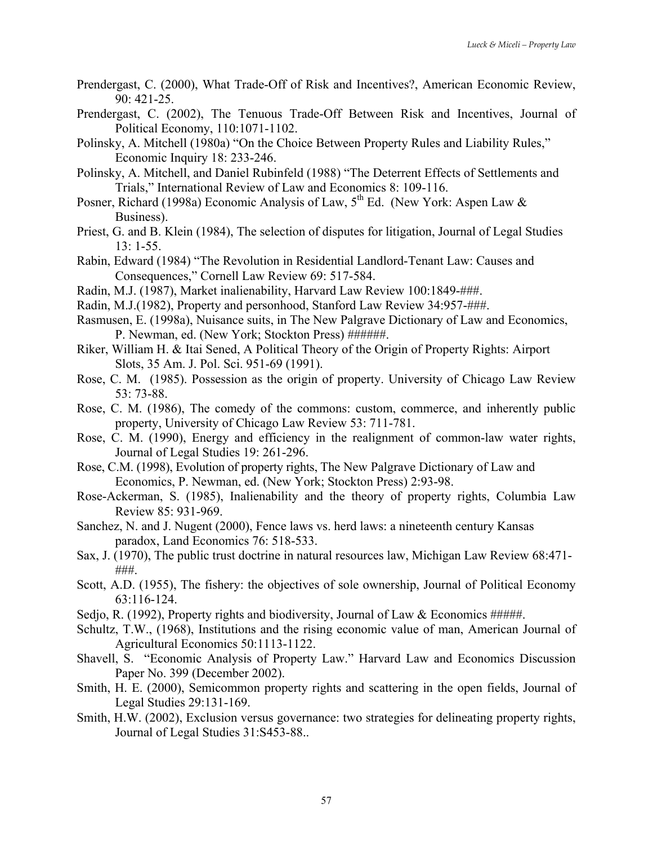- Prendergast, C. (2000), What Trade-Off of Risk and Incentives?, American Economic Review, 90: 421-25.
- Prendergast, C. (2002), The Tenuous Trade-Off Between Risk and Incentives, Journal of Political Economy, 110:1071-1102.
- Polinsky, A. Mitchell (1980a) "On the Choice Between Property Rules and Liability Rules," Economic Inquiry 18: 233-246.
- Polinsky, A. Mitchell, and Daniel Rubinfeld (1988) "The Deterrent Effects of Settlements and Trials," International Review of Law and Economics 8: 109-116.
- Posner, Richard (1998a) Economic Analysis of Law,  $5^{th}$  Ed. (New York: Aspen Law  $\&$ Business).
- Priest, G. and B. Klein (1984), The selection of disputes for litigation, Journal of Legal Studies 13: 1-55.
- Rabin, Edward (1984) "The Revolution in Residential Landlord-Tenant Law: Causes and Consequences," Cornell Law Review 69: 517-584.
- Radin, M.J. (1987), Market inalienability, Harvard Law Review 100:1849-###.
- Radin, M.J.(1982), Property and personhood, Stanford Law Review 34:957-###.
- Rasmusen, E. (1998a), Nuisance suits, in The New Palgrave Dictionary of Law and Economics, P. Newman, ed. (New York; Stockton Press) ######.
- Riker, William H. & Itai Sened, A Political Theory of the Origin of Property Rights: Airport Slots, 35 Am. J. Pol. Sci. 951-69 (1991).
- Rose, C. M. (1985). Possession as the origin of property. University of Chicago Law Review 53: 73-88.
- Rose, C. M. (1986), The comedy of the commons: custom, commerce, and inherently public property, University of Chicago Law Review 53: 711-781.
- Rose, C. M. (1990), Energy and efficiency in the realignment of common-law water rights, Journal of Legal Studies 19: 261-296.
- Rose, C.M. (1998), Evolution of property rights, The New Palgrave Dictionary of Law and Economics, P. Newman, ed. (New York; Stockton Press) 2:93-98.
- Rose-Ackerman, S. (1985), Inalienability and the theory of property rights, Columbia Law Review 85: 931-969.
- Sanchez, N. and J. Nugent (2000), Fence laws vs. herd laws: a nineteenth century Kansas paradox, Land Economics 76: 518-533.
- Sax, J. (1970), The public trust doctrine in natural resources law, Michigan Law Review 68:471- ###.
- Scott, A.D. (1955), The fishery: the objectives of sole ownership, Journal of Political Economy 63:116-124.
- Sedjo, R. (1992), Property rights and biodiversity, Journal of Law & Economics #####.
- Schultz, T.W., (1968), Institutions and the rising economic value of man, American Journal of Agricultural Economics 50:1113-1122.
- Shavell, S. "Economic Analysis of Property Law." Harvard Law and Economics Discussion Paper No. 399 (December 2002).
- Smith, H. E. (2000), Semicommon property rights and scattering in the open fields, Journal of Legal Studies 29:131-169.
- Smith, H.W. (2002), Exclusion versus governance: two strategies for delineating property rights, Journal of Legal Studies 31:S453-88..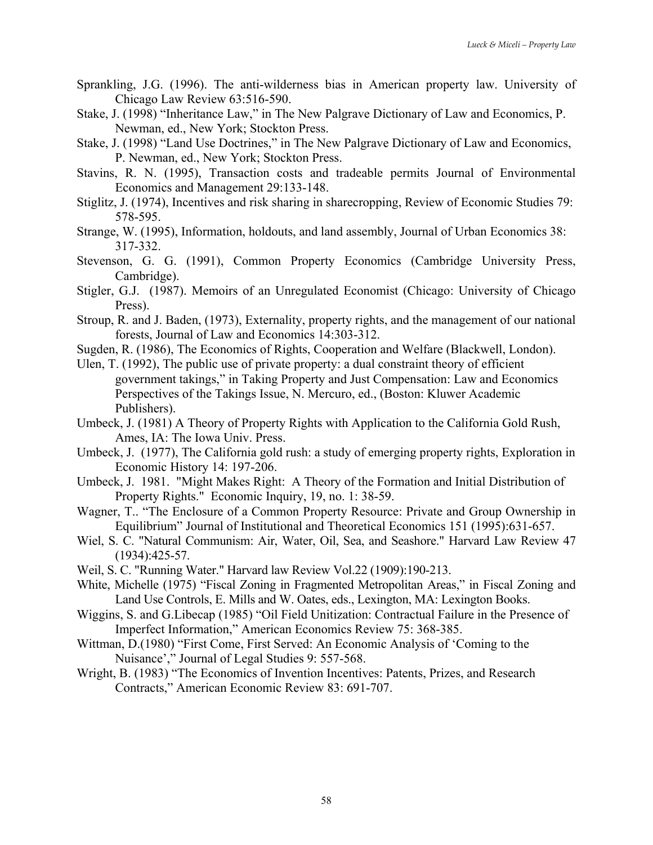- Sprankling, J.G. (1996). The anti-wilderness bias in American property law. University of Chicago Law Review 63:516-590.
- Stake, J. (1998) "Inheritance Law," in The New Palgrave Dictionary of Law and Economics, P. Newman, ed., New York; Stockton Press.
- Stake, J. (1998) "Land Use Doctrines," in The New Palgrave Dictionary of Law and Economics, P. Newman, ed., New York; Stockton Press.
- Stavins, R. N. (1995), Transaction costs and tradeable permits Journal of Environmental Economics and Management 29:133-148.
- Stiglitz, J. (1974), Incentives and risk sharing in sharecropping, Review of Economic Studies 79: 578-595.
- Strange, W. (1995), Information, holdouts, and land assembly, Journal of Urban Economics 38: 317-332.
- Stevenson, G. G. (1991), Common Property Economics (Cambridge University Press, Cambridge).
- Stigler, G.J. (1987). Memoirs of an Unregulated Economist (Chicago: University of Chicago Press).
- Stroup, R. and J. Baden, (1973), Externality, property rights, and the management of our national forests, Journal of Law and Economics 14:303-312.
- Sugden, R. (1986), The Economics of Rights, Cooperation and Welfare (Blackwell, London).
- Ulen, T. (1992), The public use of private property: a dual constraint theory of efficient government takings," in Taking Property and Just Compensation: Law and Economics Perspectives of the Takings Issue, N. Mercuro, ed., (Boston: Kluwer Academic Publishers).
- Umbeck, J. (1981) A Theory of Property Rights with Application to the California Gold Rush, Ames, IA: The Iowa Univ. Press.
- Umbeck, J. (1977), The California gold rush: a study of emerging property rights, Exploration in Economic History 14: 197-206.
- Umbeck, J. 1981. "Might Makes Right: A Theory of the Formation and Initial Distribution of Property Rights." Economic Inquiry, 19, no. 1: 38-59.
- Wagner, T.. "The Enclosure of a Common Property Resource: Private and Group Ownership in Equilibrium" Journal of Institutional and Theoretical Economics 151 (1995):631-657.
- Wiel, S. C. "Natural Communism: Air, Water, Oil, Sea, and Seashore." Harvard Law Review 47 (1934):425-57.
- Weil, S. C. "Running Water." Harvard law Review Vol.22 (1909):190-213.
- White, Michelle (1975) "Fiscal Zoning in Fragmented Metropolitan Areas," in Fiscal Zoning and Land Use Controls, E. Mills and W. Oates, eds., Lexington, MA: Lexington Books.
- Wiggins, S. and G.Libecap (1985) "Oil Field Unitization: Contractual Failure in the Presence of Imperfect Information," American Economics Review 75: 368-385.
- Wittman, D.(1980) "First Come, First Served: An Economic Analysis of 'Coming to the Nuisance'," Journal of Legal Studies 9: 557-568.
- Wright, B. (1983) "The Economics of Invention Incentives: Patents, Prizes, and Research Contracts," American Economic Review 83: 691-707.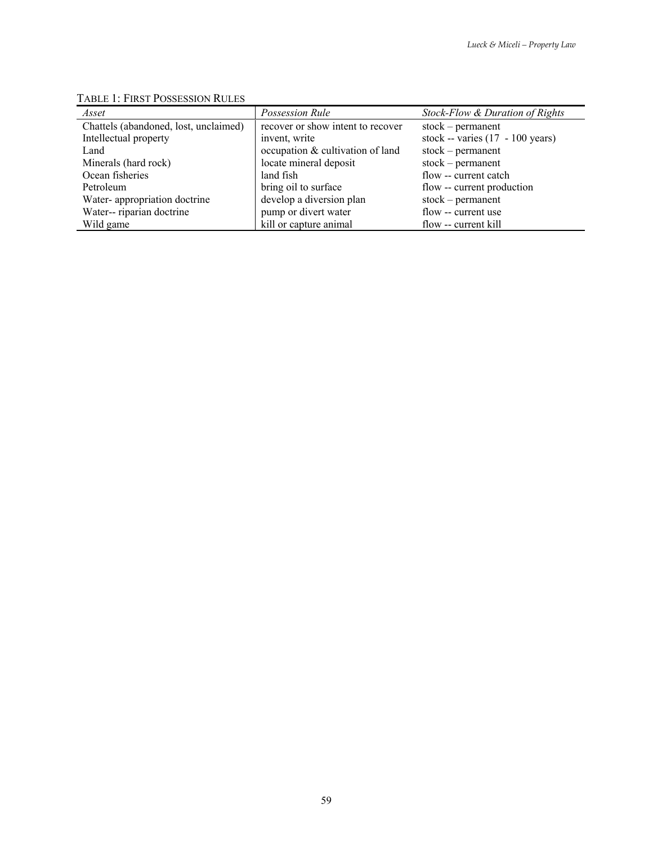*Asset Possession Rule Stock-Flow & Duration of Rights* Chattels (abandoned, lost, unclaimed) recover or show intent to recover stock – permanent<br>Intellectual property stock -- varies (17 Intellectual property invent, write stock -- varies (17 - 100 years) Land  $\begin{array}{|l|l|}\n$  Land  $\end{array}$  occupation & cultivation of land stock – permanent Minerals (hard rock)  $\begin{array}{c|l}\n$  locate mineral deposit stock – permanent Minerals (hard rock) locate mineral deposit<br>Ocean fisheries and permanent land fish Ocean fishering of the contractor of the contractors of the contractors of the contractors of the current catch flow -- current catch Petroleum bring oil to surface flow -- current production<br>Water-appropriation doctrine develop a diversion plan stock – permanent Water- appropriation doctrine develop a diversion plan stock – permanent Water-- riparian doctrine pump or divert water flow -- current use Water-- riparian doctrine pump or divert water flow -- current use<br>Wild game has been wild game flow -- current kill Wild game kill or capture animal

TABLE 1: FIRST POSSESSION RULES